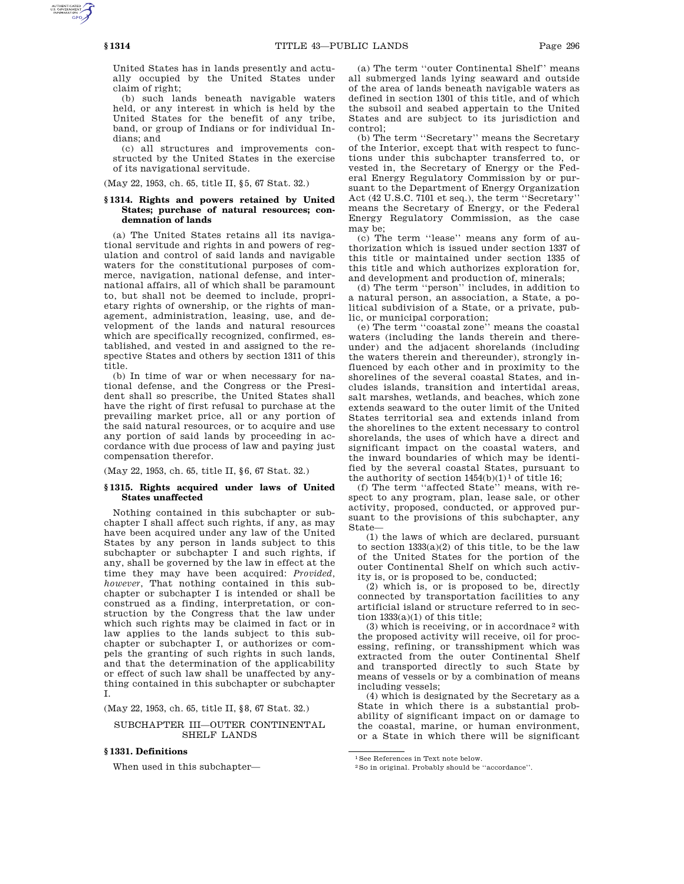United States has in lands presently and actually occupied by the United States under claim of right;

(b) such lands beneath navigable waters held, or any interest in which is held by the United States for the benefit of any tribe, band, or group of Indians or for individual Indians; and

(c) all structures and improvements constructed by the United States in the exercise of its navigational servitude.

(May 22, 1953, ch. 65, title II, §5, 67 Stat. 32.)

## **§ 1314. Rights and powers retained by United States; purchase of natural resources; condemnation of lands**

(a) The United States retains all its navigational servitude and rights in and powers of regulation and control of said lands and navigable waters for the constitutional purposes of commerce, navigation, national defense, and international affairs, all of which shall be paramount to, but shall not be deemed to include, proprietary rights of ownership, or the rights of management, administration, leasing, use, and development of the lands and natural resources which are specifically recognized, confirmed, established, and vested in and assigned to the respective States and others by section 1311 of this title.

(b) In time of war or when necessary for national defense, and the Congress or the President shall so prescribe, the United States shall have the right of first refusal to purchase at the prevailing market price, all or any portion of the said natural resources, or to acquire and use any portion of said lands by proceeding in accordance with due process of law and paying just compensation therefor.

(May 22, 1953, ch. 65, title II, §6, 67 Stat. 32.)

#### **§ 1315. Rights acquired under laws of United States unaffected**

Nothing contained in this subchapter or subchapter I shall affect such rights, if any, as may have been acquired under any law of the United States by any person in lands subject to this subchapter or subchapter I and such rights, if any, shall be governed by the law in effect at the time they may have been acquired: *Provided, however*, That nothing contained in this subchapter or subchapter I is intended or shall be construed as a finding, interpretation, or construction by the Congress that the law under which such rights may be claimed in fact or in law applies to the lands subject to this subchapter or subchapter I, or authorizes or compels the granting of such rights in such lands, and that the determination of the applicability or effect of such law shall be unaffected by anything contained in this subchapter or subchapter I.

(May 22, 1953, ch. 65, title II, §8, 67 Stat. 32.)

## SUBCHAPTER III—OUTER CONTINENTAL SHELF LANDS

#### **§ 1331. Definitions**

When used in this subchapter—

(a) The term ''outer Continental Shelf'' means all submerged lands lying seaward and outside of the area of lands beneath navigable waters as defined in section 1301 of this title, and of which the subsoil and seabed appertain to the United States and are subject to its jurisdiction and control;

(b) The term ''Secretary'' means the Secretary of the Interior, except that with respect to functions under this subchapter transferred to, or vested in, the Secretary of Energy or the Federal Energy Regulatory Commission by or pursuant to the Department of Energy Organization Act (42 U.S.C. 7101 et seq.), the term ''Secretary'' means the Secretary of Energy, or the Federal Energy Regulatory Commission, as the case may be;

(c) The term ''lease'' means any form of authorization which is issued under section 1337 of this title or maintained under section 1335 of this title and which authorizes exploration for, and development and production of, minerals;

(d) The term ''person'' includes, in addition to a natural person, an association, a State, a political subdivision of a State, or a private, public, or municipal corporation;

(e) The term ''coastal zone'' means the coastal waters (including the lands therein and thereunder) and the adjacent shorelands (including the waters therein and thereunder), strongly influenced by each other and in proximity to the shorelines of the several coastal States, and includes islands, transition and intertidal areas, salt marshes, wetlands, and beaches, which zone extends seaward to the outer limit of the United States territorial sea and extends inland from the shorelines to the extent necessary to control shorelands, the uses of which have a direct and significant impact on the coastal waters, and the inward boundaries of which may be identified by the several coastal States, pursuant to the authority of section  $1454(b)(1)^1$  of title 16;

(f) The term ''affected State'' means, with respect to any program, plan, lease sale, or other activity, proposed, conducted, or approved pursuant to the provisions of this subchapter, any State—

(1) the laws of which are declared, pursuant to section  $1333(a)(2)$  of this title, to be the law of the United States for the portion of the outer Continental Shelf on which such activity is, or is proposed to be, conducted;

(2) which is, or is proposed to be, directly connected by transportation facilities to any artificial island or structure referred to in section 1333(a)(1) of this title;

(3) which is receiving, or in accordnace 2 with the proposed activity will receive, oil for processing, refining, or transshipment which was extracted from the outer Continental Shelf and transported directly to such State by means of vessels or by a combination of means including vessels;

(4) which is designated by the Secretary as a State in which there is a substantial probability of significant impact on or damage to the coastal, marine, or human environment, or a State in which there will be significant

<sup>1</sup>See References in Text note below.

<sup>2</sup>So in original. Probably should be ''accordance''.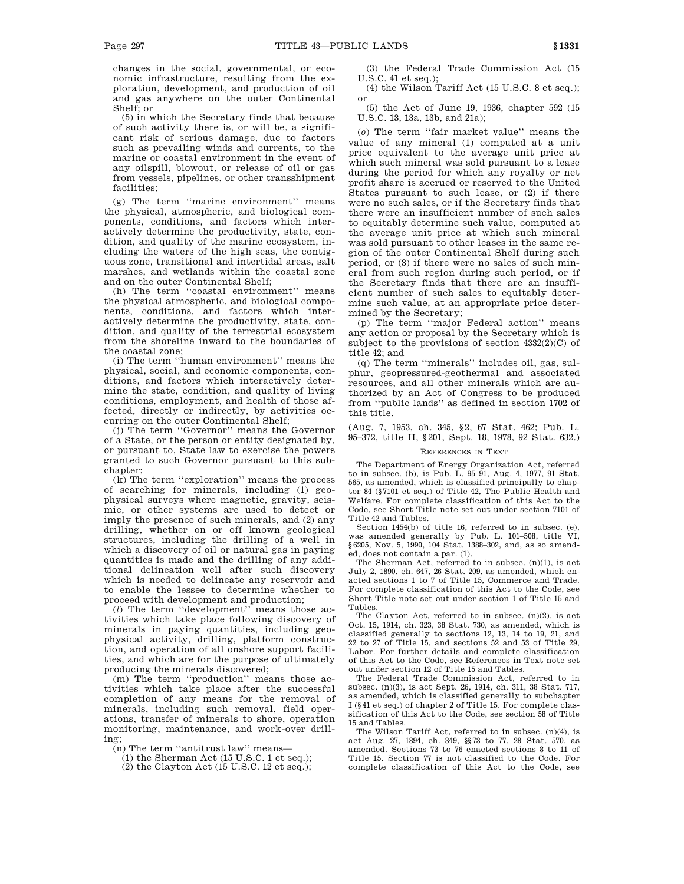changes in the social, governmental, or economic infrastructure, resulting from the exploration, development, and production of oil and gas anywhere on the outer Continental Shelf; or

(5) in which the Secretary finds that because of such activity there is, or will be, a significant risk of serious damage, due to factors such as prevailing winds and currents, to the marine or coastal environment in the event of any oilspill, blowout, or release of oil or gas from vessels, pipelines, or other transshipment facilities;

(g) The term ''marine environment'' means the physical, atmospheric, and biological components, conditions, and factors which interactively determine the productivity, state, condition, and quality of the marine ecosystem, including the waters of the high seas, the contiguous zone, transitional and intertidal areas, salt marshes, and wetlands within the coastal zone and on the outer Continental Shelf;

(h) The term ''coastal environment'' means the physical atmospheric, and biological components, conditions, and factors which interactively determine the productivity, state, condition, and quality of the terrestrial ecosystem from the shoreline inward to the boundaries of the coastal zone;

(i) The term ''human environment'' means the physical, social, and economic components, conditions, and factors which interactively determine the state, condition, and quality of living conditions, employment, and health of those affected, directly or indirectly, by activities occurring on the outer Continental Shelf;

(j) The term ''Governor'' means the Governor of a State, or the person or entity designated by, or pursuant to, State law to exercise the powers granted to such Governor pursuant to this subchapter;

(k) The term ''exploration'' means the process of searching for minerals, including (1) geophysical surveys where magnetic, gravity, seismic, or other systems are used to detect or imply the presence of such minerals, and (2) any drilling, whether on or off known geological structures, including the drilling of a well in which a discovery of oil or natural gas in paying quantities is made and the drilling of any additional delineation well after such discovery which is needed to delineate any reservoir and to enable the lessee to determine whether to proceed with development and production;

(*l*) The term ''development'' means those activities which take place following discovery of minerals in paying quantities, including geophysical activity, drilling, platform construction, and operation of all onshore support facilities, and which are for the purpose of ultimately producing the minerals discovered;

(m) The term ''production'' means those activities which take place after the successful completion of any means for the removal of minerals, including such removal, field operations, transfer of minerals to shore, operation monitoring, maintenance, and work-over drilling;

(n) The term ''antitrust law'' means—

(1) the Sherman Act (15 U.S.C. 1 et seq.);

(2) the Clayton Act (15 U.S.C. 12 et seq.);

(3) the Federal Trade Commission Act (15 U.S.C. 41 et seq.);

(4) the Wilson Tariff Act (15 U.S.C. 8 et seq.); or

(5) the Act of June 19, 1936, chapter 592 (15 U.S.C. 13, 13a, 13b, and 21a);

(*o*) The term ''fair market value'' means the value of any mineral (1) computed at a unit price equivalent to the average unit price at which such mineral was sold pursuant to a lease during the period for which any royalty or net profit share is accrued or reserved to the United States pursuant to such lease, or (2) if there were no such sales, or if the Secretary finds that there were an insufficient number of such sales to equitably determine such value, computed at the average unit price at which such mineral was sold pursuant to other leases in the same region of the outer Continental Shelf during such period, or (3) if there were no sales of such mineral from such region during such period, or if the Secretary finds that there are an insufficient number of such sales to equitably determine such value, at an appropriate price determined by the Secretary;

(p) The term ''major Federal action'' means any action or proposal by the Secretary which is subject to the provisions of section  $4332(2)(C)$  of title 42; and

(q) The term ''minerals'' includes oil, gas, sulphur, geopressured-geothermal and associated resources, and all other minerals which are authorized by an Act of Congress to be produced from ''public lands'' as defined in section 1702 of this title.

(Aug. 7, 1953, ch. 345, §2, 67 Stat. 462; Pub. L. 95–372, title II, §201, Sept. 18, 1978, 92 Stat. 632.)

#### REFERENCES IN TEXT

The Department of Energy Organization Act, referred to in subsec. (b), is Pub. L. 95–91, Aug. 4, 1977, 91 Stat. 565, as amended, which is classified principally to chapter 84 (§7101 et seq.) of Title 42, The Public Health and Welfare. For complete classification of this Act to the Code, see Short Title note set out under section 7101 of Title 42 and Tables.

Section 1454(b) of title 16, referred to in subsec. (e), was amended generally by Pub. L. 101–508, title VI, §6205, Nov. 5, 1990, 104 Stat. 1388–302, and, as so amended, does not contain a par. (1).

The Sherman Act, referred to in subsec. (n)(1), is act July 2, 1890, ch. 647, 26 Stat. 209, as amended, which enacted sections 1 to 7 of Title 15, Commerce and Trade. For complete classification of this Act to the Code, see Short Title note set out under section 1 of Title 15 and Tables.

The Clayton Act, referred to in subsec. (n)(2), is act Oct. 15, 1914, ch. 323, 38 Stat. 730, as amended, which is classified generally to sections 12, 13, 14 to 19, 21, and 22 to 27 of Title 15, and sections 52 and 53 of Title 29, Labor. For further details and complete classification of this Act to the Code, see References in Text note set out under section 12 of Title 15 and Tables.

The Federal Trade Commission Act, referred to in subsec. (n)(3), is act Sept. 26, 1914, ch. 311, 38 Stat. 717, as amended, which is classified generally to subchapter I (§41 et seq.) of chapter 2 of Title 15. For complete classification of this Act to the Code, see section 58 of Title 15 and Tables.

The Wilson Tariff Act, referred to in subsec. (n)(4), is act Aug. 27, 1894, ch. 349, §§73 to 77, 28 Stat. 570, as amended. Sections 73 to 76 enacted sections 8 to 11 of Title 15. Section 77 is not classified to the Code. For complete classification of this Act to the Code, see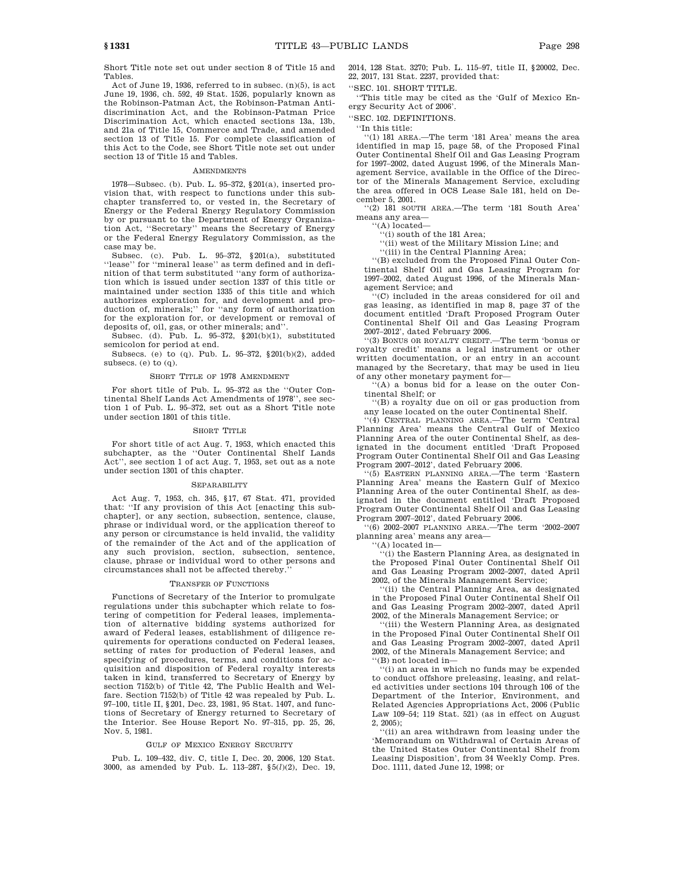Short Title note set out under section 8 of Title 15 and Tables.

Act of June 19, 1936, referred to in subsec. (n)(5), is act June 19, 1936, ch. 592, 49 Stat. 1526, popularly known as the Robinson-Patman Act, the Robinson-Patman Antidiscrimination Act, and the Robinson-Patman Price Discrimination Act, which enacted sections 13a, 13b, and 21a of Title 15, Commerce and Trade, and amended section 13 of Title 15. For complete classification of this Act to the Code, see Short Title note set out under section 13 of Title 15 and Tables.

#### AMENDMENTS

1978—Subsec. (b). Pub. L. 95–372, §201(a), inserted provision that, with respect to functions under this subchapter transferred to, or vested in, the Secretary of Energy or the Federal Energy Regulatory Commission by or pursuant to the Department of Energy Organization Act, ''Secretary'' means the Secretary of Energy or the Federal Energy Regulatory Commission, as the case may be.

Subsec. (c). Pub. L. 95–372, §201(a), substituted ''lease'' for ''mineral lease'' as term defined and in definition of that term substituted ''any form of authorization which is issued under section 1337 of this title or maintained under section 1335 of this title and which authorizes exploration for, and development and production of, minerals;'' for ''any form of authorization for the exploration for, or development or removal of deposits of, oil, gas, or other minerals; and''.

Subsec. (d). Pub. L. 95–372, §201(b)(1), substituted semicolon for period at end.

Subsecs. (e) to (q). Pub. L. 95–372, §201(b)(2), added subsecs. (e) to (q).

#### SHORT TITLE OF 1978 AMENDMENT

For short title of Pub. L. 95–372 as the ''Outer Continental Shelf Lands Act Amendments of 1978'', see section 1 of Pub. L. 95–372, set out as a Short Title note under section 1801 of this title.

#### SHORT TITLE

For short title of act Aug. 7, 1953, which enacted this subchapter, as the ''Outer Continental Shelf Lands Act", see section 1 of act Aug. 7, 1953, set out as a note under section 1301 of this chapter.

#### SEPARABILITY

Act Aug. 7, 1953, ch. 345, §17, 67 Stat. 471, provided that: ''If any provision of this Act [enacting this subchapter], or any section, subsection, sentence, clause, phrase or individual word, or the application thereof to any person or circumstance is held invalid, the validity of the remainder of the Act and of the application of any such provision, section, subsection, sentence, clause, phrase or individual word to other persons and circumstances shall not be affected thereby.

#### TRANSFER OF FUNCTIONS

Functions of Secretary of the Interior to promulgate regulations under this subchapter which relate to fostering of competition for Federal leases, implementation of alternative bidding systems authorized for award of Federal leases, establishment of diligence requirements for operations conducted on Federal leases, setting of rates for production of Federal leases, and specifying of procedures, terms, and conditions for acquisition and disposition of Federal royalty interests taken in kind, transferred to Secretary of Energy by section 7152(b) of Title 42, The Public Health and Welfare. Section 7152(b) of Title 42 was repealed by Pub. L. 97–100, title II, §201, Dec. 23, 1981, 95 Stat. 1407, and functions of Secretary of Energy returned to Secretary of the Interior. See House Report No. 97–315, pp. 25, 26, Nov. 5, 1981.

#### GULF OF MEXICO ENERGY SECURITY

Pub. L. 109–432, div. C, title I, Dec. 20, 2006, 120 Stat. 3000, as amended by Pub. L. 113–287, §5(*l*)(2), Dec. 19, 2014, 128 Stat. 3270; Pub. L. 115–97, title II, §20002, Dec. 22, 2017, 131 Stat. 2237, provided that:

''SEC. 101. SHORT TITLE.

''This title may be cited as the 'Gulf of Mexico Energy Security Act of 2006'.

'SEC. 102. DEFINITIONS.

''In this title:

''(1) 181 AREA.—The term '181 Area' means the area identified in map 15, page 58, of the Proposed Final Outer Continental Shelf Oil and Gas Leasing Program for 1997–2002, dated August 1996, of the Minerals Management Service, available in the Office of the Director of the Minerals Management Service, excluding the area offered in OCS Lease Sale 181, held on December 5, 2001.

''(2) 181 SOUTH AREA.—The term '181 South Area' means any area—

''(A) located—

''(i) south of the 181 Area;

''(ii) west of the Military Mission Line; and

''(iii) in the Central Planning Area;

''(B) excluded from the Proposed Final Outer Continental Shelf Oil and Gas Leasing Program for 1997–2002, dated August 1996, of the Minerals Management Service; and

''(C) included in the areas considered for oil and gas leasing, as identified in map 8, page 37 of the document entitled 'Draft Proposed Program Outer Continental Shelf Oil and Gas Leasing Program 2007–2012', dated February 2006.

''(3) BONUS OR ROYALTY CREDIT.—The term 'bonus or royalty credit' means a legal instrument or other written documentation, or an entry in an account managed by the Secretary, that may be used in lieu of any other monetary payment for—

''(A) a bonus bid for a lease on the outer Continental Shelf; or

''(B) a royalty due on oil or gas production from any lease located on the outer Continental Shelf.

''(4) CENTRAL PLANNING AREA.—The term 'Central Planning Area' means the Central Gulf of Mexico Planning Area of the outer Continental Shelf, as designated in the document entitled 'Draft Proposed Program Outer Continental Shelf Oil and Gas Leasing Program 2007–2012', dated February 2006.

''(5) EASTERN PLANNING AREA.—The term 'Eastern Planning Area' means the Eastern Gulf of Mexico Planning Area of the outer Continental Shelf, as designated in the document entitled 'Draft Proposed Program Outer Continental Shelf Oil and Gas Leasing Program 2007–2012', dated February 2006.

''(6) 2002–2007 PLANNING AREA.—The term '2002–2007 planning area' means any area—

''(A) located in—

''(i) the Eastern Planning Area, as designated in the Proposed Final Outer Continental Shelf Oil and Gas Leasing Program 2002–2007, dated April 2002, of the Minerals Management Service;

''(ii) the Central Planning Area, as designated in the Proposed Final Outer Continental Shelf Oil and Gas Leasing Program 2002–2007, dated April 2002, of the Minerals Management Service; or

''(iii) the Western Planning Area, as designated in the Proposed Final Outer Continental Shelf Oil and Gas Leasing Program 2002–2007, dated April 2002, of the Minerals Management Service; and ''(B) not located in—

''(i) an area in which no funds may be expended to conduct offshore preleasing, leasing, and related activities under sections 104 through 106 of the Department of the Interior, Environment, and Related Agencies Appropriations Act, 2006 (Public Law 109–54; 119 Stat. 521) (as in effect on August 2, 2005);

''(ii) an area withdrawn from leasing under the 'Memorandum on Withdrawal of Certain Areas of the United States Outer Continental Shelf from Leasing Disposition', from 34 Weekly Comp. Pres. Doc. 1111, dated June 12, 1998; or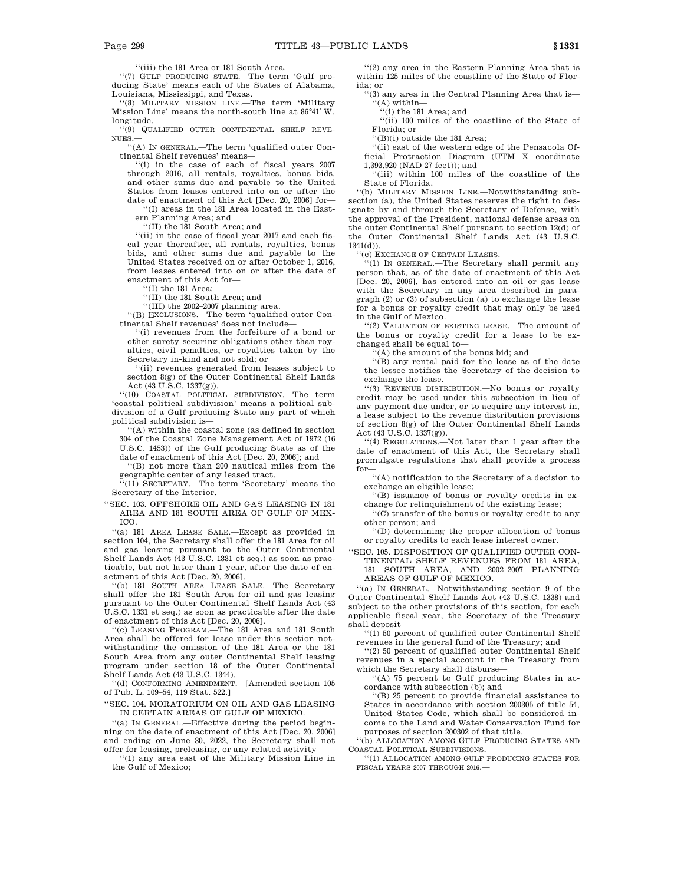''(iii) the 181 Area or 181 South Area.

''(7) GULF PRODUCING STATE.—The term 'Gulf producing State' means each of the States of Alabama, Louisiana, Mississippi, and Texas.

''(8) MILITARY MISSION LINE.—The term 'Military Mission Line' means the north-south line at 86°41′ W. longitude.

''(9) QUALIFIED OUTER CONTINENTAL SHELF REVE-NUES.—

''(A) IN GENERAL.—The term 'qualified outer Continental Shelf revenues' means—

''(i) in the case of each of fiscal years 2007 through 2016, all rentals, royalties, bonus bids, and other sums due and payable to the United States from leases entered into on or after the date of enactment of this Act [Dec. 20, 2006] for—

''(I) areas in the 181 Area located in the East-

ern Planning Area; and ''(II) the 181 South Area; and

''(ii) in the case of fiscal year 2017 and each fiscal year thereafter, all rentals, royalties, bonus bids, and other sums due and payable to the

United States received on or after October 1, 2016, from leases entered into on or after the date of enactment of this Act for—

(I) the 181 Area;

''(II) the 181 South Area; and

''(III) the 2002–2007 planning area.

''(B) EXCLUSIONS.—The term 'qualified outer Continental Shelf revenues' does not include—

''(i) revenues from the forfeiture of a bond or other surety securing obligations other than royalties, civil penalties, or royalties taken by the Secretary in-kind and not sold; or

''(ii) revenues generated from leases subject to section 8(g) of the Outer Continental Shelf Lands Act (43 U.S.C. 1337(g)).

''(10) COASTAL POLITICAL SUBDIVISION.—The term 'coastal political subdivision' means a political subdivision of a Gulf producing State any part of which political subdivision is—

 $f(A)$  within the coastal zone (as defined in section 304 of the Coastal Zone Management Act of 1972 (16 U.S.C. 1453)) of the Gulf producing State as of the date of enactment of this Act [Dec. 20, 2006]; and

''(B) not more than 200 nautical miles from the geographic center of any leased tract.

 $(11)$  SECRETARY.—The term 'Secretary' means the Secretary of the Interior.

''SEC. 103. OFFSHORE OIL AND GAS LEASING IN 181 AREA AND 181 SOUTH AREA OF GULF OF MEX-ICO.

''(a) 181 AREA LEASE SALE.—Except as provided in section 104, the Secretary shall offer the 181 Area for oil and gas leasing pursuant to the Outer Continental Shelf Lands Act (43 U.S.C. 1331 et seq.) as soon as practicable, but not later than 1 year, after the date of enactment of this Act [Dec. 20, 2006].

''(b) 181 SOUTH AREA LEASE SALE.—The Secretary shall offer the 181 South Area for oil and gas leasing pursuant to the Outer Continental Shelf Lands Act (43 U.S.C. 1331 et seq.) as soon as practicable after the date of enactment of this Act [Dec. 20, 2006].

''(c) LEASING PROGRAM.—The 181 Area and 181 South Area shall be offered for lease under this section notwithstanding the omission of the 181 Area or the 181 South Area from any outer Continental Shelf leasing program under section 18 of the Outer Continental Shelf Lands Act (43 U.S.C. 1344).

''(d) CONFORMING AMENDMENT.—[Amended section 105 of Pub. L. 109–54, 119 Stat. 522.]

''SEC. 104. MORATORIUM ON OIL AND GAS LEASING IN CERTAIN AREAS OF GULF OF MEXICO.

''(a) IN GENERAL.—Effective during the period beginning on the date of enactment of this Act [Dec. 20, 2006] and ending on June 30, 2022, the Secretary shall not offer for leasing, preleasing, or any related activity—

''(1) any area east of the Military Mission Line in the Gulf of Mexico;

''(2) any area in the Eastern Planning Area that is within 125 miles of the coastline of the State of Florida; or

''(3) any area in the Central Planning Area that is—  $($ A) within-

''(i) the 181 Area; and

''(ii) 100 miles of the coastline of the State of Florida; or

''(B)(i) outside the 181 Area;

''(ii) east of the western edge of the Pensacola Official Protraction Diagram (UTM X coordinate 1,393,920 (NAD 27 feet)); and

''(iii) within 100 miles of the coastline of the State of Florida.

''(b) MILITARY MISSION LINE.—Notwithstanding subsection (a), the United States reserves the right to designate by and through the Secretary of Defense, with the approval of the President, national defense areas on the outer Continental Shelf pursuant to section 12(d) of the Outer Continental Shelf Lands Act (43 U.S.C. 1341(d)).

'(c) EXCHANGE OF CERTAIN LEASES.-

''(1) IN GENERAL.—The Secretary shall permit any person that, as of the date of enactment of this Act [Dec. 20, 2006], has entered into an oil or gas lease with the Secretary in any area described in paragraph (2) or (3) of subsection (a) to exchange the lease for a bonus or royalty credit that may only be used in the Gulf of Mexico.

''(2) VALUATION OF EXISTING LEASE.—The amount of the bonus or royalty credit for a lease to be exchanged shall be equal to—

''(A) the amount of the bonus bid; and

''(B) any rental paid for the lease as of the date the lessee notifies the Secretary of the decision to exchange the lease.

''(3) REVENUE DISTRIBUTION.—No bonus or royalty credit may be used under this subsection in lieu of any payment due under, or to acquire any interest in, a lease subject to the revenue distribution provisions of section 8(g) of the Outer Continental Shelf Lands Act (43 U.S.C. 1337(g)).

''(4) REGULATIONS.—Not later than 1 year after the date of enactment of this Act, the Secretary shall promulgate regulations that shall provide a process for—

''(A) notification to the Secretary of a decision to exchange an eligible lease;

''(B) issuance of bonus or royalty credits in exchange for relinquishment of the existing lease;

''(C) transfer of the bonus or royalty credit to any other person; and

''(D) determining the proper allocation of bonus or royalty credits to each lease interest owner.

''SEC. 105. DISPOSITION OF QUALIFIED OUTER CON-TINENTAL SHELF REVENUES FROM 181 AREA, 181 SOUTH AREA, AND 2002–2007 PLANNING AREAS OF GULF OF MEXICO.

''(a) IN GENERAL.—Notwithstanding section 9 of the Outer Continental Shelf Lands Act (43 U.S.C. 1338) and subject to the other provisions of this section, for each applicable fiscal year, the Secretary of the Treasury shall deposit—

''(1) 50 percent of qualified outer Continental Shelf revenues in the general fund of the Treasury; and

''(2) 50 percent of qualified outer Continental Shelf revenues in a special account in the Treasury from which the Secretary shall disburse—

''(A) 75 percent to Gulf producing States in accordance with subsection (b); and

''(B) 25 percent to provide financial assistance to States in accordance with section 200305 of title 54, United States Code, which shall be considered income to the Land and Water Conservation Fund for purposes of section 200302 of that title.

''(b) ALLOCATION AMONG GULF PRODUCING STATES AND COASTAL POLITICAL SUBDIVISIONS.—

''(1) ALLOCATION AMONG GULF PRODUCING STATES FOR FISCAL YEARS 2007 THROUGH 2016.—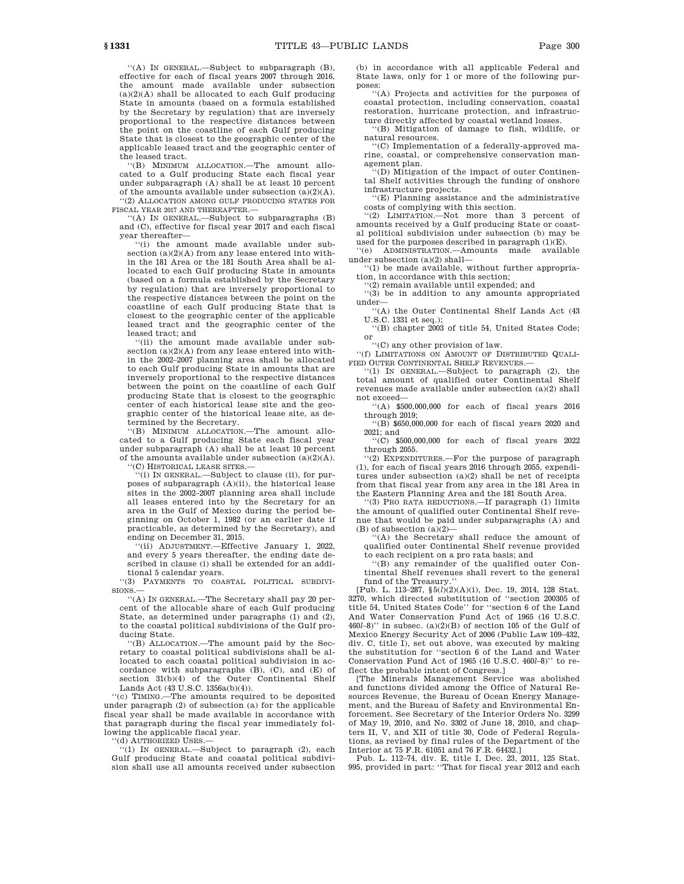''(A) IN GENERAL.—Subject to subparagraph (B), effective for each of fiscal years 2007 through 2016, the amount made available under subsection  $(a)(2)(A)$  shall be allocated to each Gulf producing State in amounts (based on a formula established by the Secretary by regulation) that are inversely proportional to the respective distances between the point on the coastline of each Gulf producing State that is closest to the geographic center of the applicable leased tract and the geographic center of the leased tract.

'(B) MINIMUM ALLOCATION.—The amount allocated to a Gulf producing State each fiscal year under subparagraph (A) shall be at least 10 percent of the amounts available under subsection (a)(2)(A). '(2) ALLOCATION AMONG GULF PRODUCING STATES FOR FISCAL YEAR 2017 AND THEREAFTER.—

'(A) IN GENERAL.—Subject to subparagraphs (B) and (C), effective for fiscal year 2017 and each fiscal year thereafter—

''(i) the amount made available under subsection  $(a)(2)(A)$  from any lease entered into within the 181 Area or the 181 South Area shall be allocated to each Gulf producing State in amounts (based on a formula established by the Secretary by regulation) that are inversely proportional to the respective distances between the point on the coastline of each Gulf producing State that is closest to the geographic center of the applicable leased tract and the geographic center of the leased tract; and

''(ii) the amount made available under subsection  $(a)(2)(A)$  from any lease entered into within the 2002–2007 planning area shall be allocated to each Gulf producing State in amounts that are inversely proportional to the respective distances between the point on the coastline of each Gulf producing State that is closest to the geographic center of each historical lease site and the geographic center of the historical lease site, as determined by the Secretary.

''(B) MINIMUM ALLOCATION.—The amount allocated to a Gulf producing State each fiscal year under subparagraph (A) shall be at least 10 percent of the amounts available under subsection (a)(2)(A). ''(C) HISTORICAL LEASE SITES.—

''(i) IN GENERAL.—Subject to clause (ii), for purposes of subparagraph (A)(ii), the historical lease sites in the 2002–2007 planning area shall include all leases entered into by the Secretary for an area in the Gulf of Mexico during the period beginning on October 1, 1982 (or an earlier date if practicable, as determined by the Secretary), and ending on December 31, 2015.

''(ii) ADJUSTMENT.—Effective January 1, 2022, and every 5 years thereafter, the ending date described in clause (i) shall be extended for an additional 5 calendar years.

''(3) PAYMENTS TO COASTAL POLITICAL SUBDIVI-SIONS.—

''(A) IN GENERAL.—The Secretary shall pay 20 percent of the allocable share of each Gulf producing State, as determined under paragraphs (1) and (2), to the coastal political subdivisions of the Gulf producing State.

''(B) ALLOCATION.—The amount paid by the Secretary to coastal political subdivisions shall be allocated to each coastal political subdivision in accordance with subparagraphs (B), (C), and (E) of section 31(b)(4) of the Outer Continental Shelf Lands Act (43 U.S.C. 1356a(b)(4)).

'(c) TIMING.—The amounts required to be deposited under paragraph (2) of subsection (a) for the applicable fiscal year shall be made available in accordance with that paragraph during the fiscal year immediately following the applicable fiscal year.

''(d) AUTHORIZED USES.—

 $(1)$  IN GENERAL.—Subject to paragraph  $(2)$ , each Gulf producing State and coastal political subdivision shall use all amounts received under subsection (b) in accordance with all applicable Federal and State laws, only for 1 or more of the following purposes:

''(A) Projects and activities for the purposes of coastal protection, including conservation, coastal restoration, hurricane protection, and infrastructure directly affected by coastal wetland losses.

"(B) Mitigation of damage to fish, wildlife, natural resources.

''(C) Implementation of a federally-approved marine, coastal, or comprehensive conservation management plan.

''(D) Mitigation of the impact of outer Continental Shelf activities through the funding of onshore infrastructure projects.

''(E) Planning assistance and the administrative

costs of complying with this section. ''(2) LIMITATION.—Not more than 3 percent of amounts received by a Gulf producing State or coastal political subdivision under subsection (b) may be

used for the purposes described in paragraph  $(1)(E)$ . '(e) ADMINISTRATION.—Amounts made available under subsection (a)(2) shall—

''(1) be made available, without further appropriation, in accordance with this section;

''(2) remain available until expended; and

''(3) be in addition to any amounts appropriated under—

''(A) the Outer Continental Shelf Lands Act (43 U.S.C. 1331 et seq.); ''(B) chapter 2003 of title 54, United States Code;

or

''(C) any other provision of law.

''(f) LIMITATIONS ON AMOUNT OF DISTRIBUTED QUALI-FIED OUTER CONTINENTAL SHELF REVENUES.

'(1) IN GENERAL.—Subject to paragraph (2), the total amount of qualified outer Continental Shelf revenues made available under subsection (a)(2) shall not exceed—

''(A) \$500,000,000 for each of fiscal years 2016 through 2019;

''(B) \$650,000,000 for each of fiscal years 2020 and 2021; and

''(C) \$500,000,000 for each of fiscal years 2022 through 2055.

''(2) EXPENDITURES.—For the purpose of paragraph (1), for each of fiscal years 2016 through 2055, expenditures under subsection (a)(2) shall be net of receipts from that fiscal year from any area in the 181 Area in the Eastern Planning Area and the 181 South Area.

''(3) PRO RATA REDUCTIONS.—If paragraph (1) limits the amount of qualified outer Continental Shelf revenue that would be paid under subparagraphs (A) and  $(B)$  of subsection  $(a)(2)$ –

 $(A)$  the Secretary shall reduce the amount of qualified outer Continental Shelf revenue provided to each recipient on a pro rata basis; and

''(B) any remainder of the qualified outer Continental Shelf revenues shall revert to the general fund of the Treasury.''

[Pub. L. 113–287, §5(*l*)(2)(A)(i), Dec. 19, 2014, 128 Stat. 3270, which directed substitution of ''section 200305 of title 54, United States Code'' for ''section 6 of the Land And Water Conservation Fund Act of 1965 (16 U.S.C. 460*l*–8)'' in subsec. (a)(2)(B) of section 105 of the Gulf of Mexico Energy Security Act of 2006 (Public Law 109–432, div. C, title I), set out above, was executed by making the substitution for ''section 6 of the Land and Water Conservation Fund Act of 1965 (16 U.S.C. 460*l*–8)'' to reflect the probable intent of Congress.]

[The Minerals Management Service was abolished and functions divided among the Office of Natural Resources Revenue, the Bureau of Ocean Energy Management, and the Bureau of Safety and Environmental Enforcement. See Secretary of the Interior Orders No. 3299 of May 19, 2010, and No. 3302 of June 18, 2010, and chapters II, V, and XII of title 30, Code of Federal Regulations, as revised by final rules of the Department of the Interior at 75 F.R. 61051 and 76 F.R. 64432.]

Pub. L. 112–74, div. E, title I, Dec. 23, 2011, 125 Stat. 995, provided in part: ''That for fiscal year 2012 and each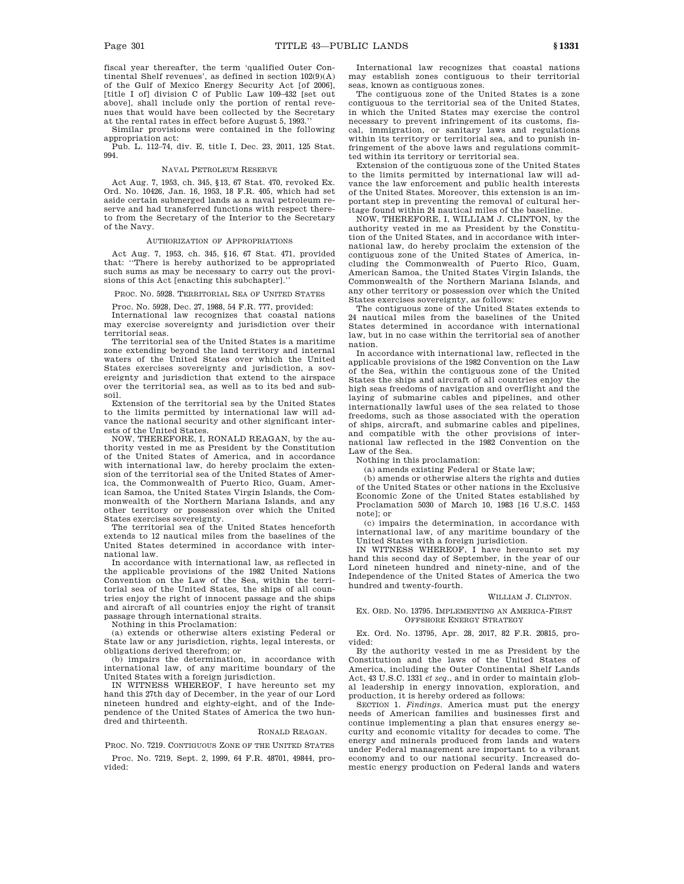fiscal year thereafter, the term 'qualified Outer Continental Shelf revenues', as defined in section 102(9)(A) of the Gulf of Mexico Energy Security Act [of 2006], [title I of] division C of Public Law 109–432 [set out above], shall include only the portion of rental revenues that would have been collected by the Secretary at the rental rates in effect before August 5, 1993.''

Similar provisions were contained in the following appropriation act:

Pub. L. 112–74, div. E, title I, Dec. 23, 2011, 125 Stat. 994.

#### NAVAL PETROLEUM RESERVE

Act Aug. 7, 1953, ch. 345, §13, 67 Stat. 470, revoked Ex. Ord. No. 10426, Jan. 16, 1953, 18 F.R. 405, which had set aside certain submerged lands as a naval petroleum reserve and had transferred functions with respect thereto from the Secretary of the Interior to the Secretary of the Navy.

#### AUTHORIZATION OF APPROPRIATIONS

Act Aug. 7, 1953, ch. 345, §16, 67 Stat. 471, provided that: ''There is hereby authorized to be appropriated such sums as may be necessary to carry out the provisions of this Act [enacting this subchapter].''

PROC. NO. 5928. TERRITORIAL SEA OF UNITED STATES

Proc. No. 5928, Dec. 27, 1988, 54 F.R. 777, provided:

International law recognizes that coastal nations may exercise sovereignty and jurisdiction over their territorial seas.

The territorial sea of the United States is a maritime zone extending beyond the land territory and internal waters of the United States over which the United States exercises sovereignty and jurisdiction, a sovereignty and jurisdiction that extend to the airspace over the territorial sea, as well as to its bed and subsoil.

Extension of the territorial sea by the United States to the limits permitted by international law will advance the national security and other significant interests of the United States.

NOW, THEREFORE, I, RONALD REAGAN, by the authority vested in me as President by the Constitution of the United States of America, and in accordance with international law, do hereby proclaim the extension of the territorial sea of the United States of America, the Commonwealth of Puerto Rico, Guam, American Samoa, the United States Virgin Islands, the Commonwealth of the Northern Mariana Islands, and any other territory or possession over which the United States exercises sovereignty.

The territorial sea of the United States henceforth extends to 12 nautical miles from the baselines of the United States determined in accordance with international law.

In accordance with international law, as reflected in the applicable provisions of the 1982 United Nations Convention on the Law of the Sea, within the territorial sea of the United States, the ships of all countries enjoy the right of innocent passage and the ships and aircraft of all countries enjoy the right of transit passage through international straits.

Nothing in this Proclamation:

(a) extends or otherwise alters existing Federal or State law or any jurisdiction, rights, legal interests, or obligations derived therefrom; or

(b) impairs the determination, in accordance with international law, of any maritime boundary of the United States with a foreign jurisdiction.

IN WITNESS WHEREOF, I have hereunto set my hand this 27th day of December, in the year of our Lord nineteen hundred and eighty-eight, and of the Independence of the United States of America the two hundred and thirteenth.

#### RONALD REAGAN.

PROC. NO. 7219. CONTIGUOUS ZONE OF THE UNITED STATES Proc. No. 7219, Sept. 2, 1999, 64 F.R. 48701, 49844, pro-

vided:

International law recognizes that coastal nations may establish zones contiguous to their territorial seas, known as contiguous zones.

The contiguous zone of the United States is a zone contiguous to the territorial sea of the United States, in which the United States may exercise the control necessary to prevent infringement of its customs, fiscal, immigration, or sanitary laws and regulations within its territory or territorial sea, and to punish infringement of the above laws and regulations committed within its territory or territorial sea.

Extension of the contiguous zone of the United States to the limits permitted by international law will advance the law enforcement and public health interests of the United States. Moreover, this extension is an important step in preventing the removal of cultural heritage found within 24 nautical miles of the baseline.

NOW, THEREFORE, I, WILLIAM J. CLINTON, by the authority vested in me as President by the Constitution of the United States, and in accordance with international law, do hereby proclaim the extension of the contiguous zone of the United States of America, including the Commonwealth of Puerto Rico, Guam, American Samoa, the United States Virgin Islands, the Commonwealth of the Northern Mariana Islands, and any other territory or possession over which the United States exercises sovereignty, as follows:

The contiguous zone of the United States extends to 24 nautical miles from the baselines of the United States determined in accordance with international law, but in no case within the territorial sea of another nation.

In accordance with international law, reflected in the applicable provisions of the 1982 Convention on the Law of the Sea, within the contiguous zone of the United States the ships and aircraft of all countries enjoy the high seas freedoms of navigation and overflight and the laying of submarine cables and pipelines, and other internationally lawful uses of the sea related to those freedoms, such as those associated with the operation of ships, aircraft, and submarine cables and pipelines, and compatible with the other provisions of international law reflected in the 1982 Convention on the Law of the Sea.

Nothing in this proclamation:

(a) amends existing Federal or State law;

(b) amends or otherwise alters the rights and duties of the United States or other nations in the Exclusive Economic Zone of the United States established by Proclamation 5030 of March 10, 1983 [16 U.S.C. 1453 note]; or

(c) impairs the determination, in accordance with international law, of any maritime boundary of the United States with a foreign jurisdiction.

IN WITNESS WHEREOF, I have hereunto set my hand this second day of September, in the year of our Lord nineteen hundred and ninety-nine, and of the Independence of the United States of America the two hundred and twenty-fourth.

#### WILLIAM J. CLINTON.

#### EX. ORD. NO. 13795. IMPLEMENTING AN AMERICA-FIRST OFFSHORE ENERGY STRATEGY

Ex. Ord. No. 13795, Apr. 28, 2017, 82 F.R. 20815, provided:

By the authority vested in me as President by the Constitution and the laws of the United States of America, including the Outer Continental Shelf Lands Act, 43 U.S.C. 1331 *et seq*., and in order to maintain global leadership in energy innovation, exploration, and production, it is hereby ordered as follows:

SECTION 1. *Findings*. America must put the energy needs of American families and businesses first and continue implementing a plan that ensures energy security and economic vitality for decades to come. The energy and minerals produced from lands and waters under Federal management are important to a vibrant economy and to our national security. Increased domestic energy production on Federal lands and waters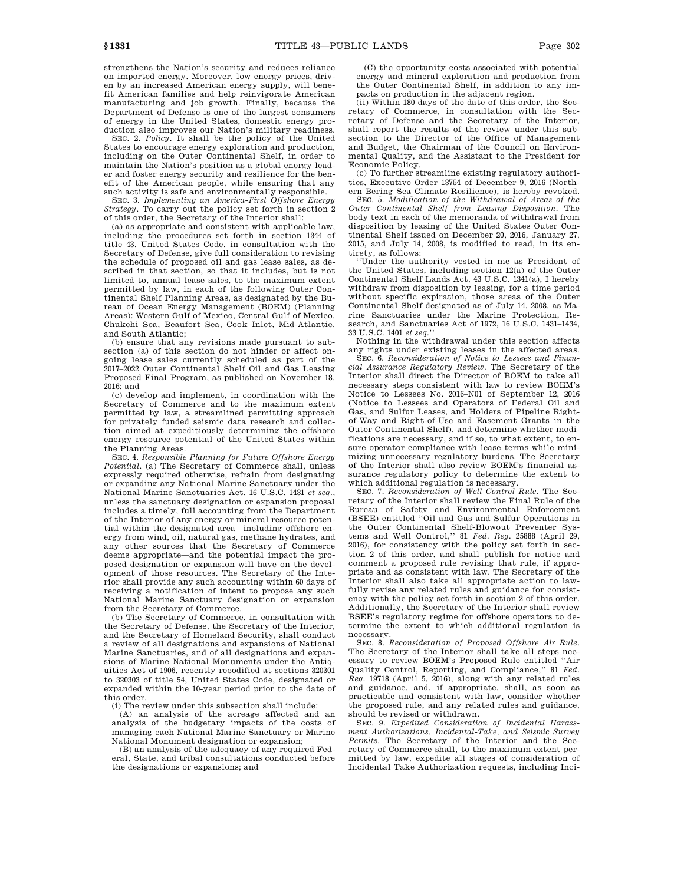strengthens the Nation's security and reduces reliance on imported energy. Moreover, low energy prices, driven by an increased American energy supply, will benefit American families and help reinvigorate American manufacturing and job growth. Finally, because the Department of Defense is one of the largest consumers of energy in the United States, domestic energy production also improves our Nation's military readiness.

SEC. 2. *Policy*. It shall be the policy of the United States to encourage energy exploration and production, including on the Outer Continental Shelf, in order to maintain the Nation's position as a global energy leader and foster energy security and resilience for the benefit of the American people, while ensuring that any such activity is safe and environmentally responsible.

SEC. 3. *Implementing an America-First Offshore Energy Strategy*. To carry out the policy set forth in section 2 of this order, the Secretary of the Interior shall:

(a) as appropriate and consistent with applicable law, including the procedures set forth in section 1344 of title 43, United States Code, in consultation with the Secretary of Defense, give full consideration to revising the schedule of proposed oil and gas lease sales, as described in that section, so that it includes, but is not limited to, annual lease sales, to the maximum extent permitted by law, in each of the following Outer Continental Shelf Planning Areas, as designated by the Bureau of Ocean Energy Management (BOEM) (Planning Areas): Western Gulf of Mexico, Central Gulf of Mexico, Chukchi Sea, Beaufort Sea, Cook Inlet, Mid-Atlantic, and South Atlantic;

(b) ensure that any revisions made pursuant to subsection (a) of this section do not hinder or affect ongoing lease sales currently scheduled as part of the 2017–2022 Outer Continental Shelf Oil and Gas Leasing Proposed Final Program, as published on November 18, 2016; and

(c) develop and implement, in coordination with the Secretary of Commerce and to the maximum extent permitted by law, a streamlined permitting approach for privately funded seismic data research and collection aimed at expeditiously determining the offshore energy resource potential of the United States within the Planning Areas.

SEC. 4. *Responsible Planning for Future Offshore Energy Potential*. (a) The Secretary of Commerce shall, unless expressly required otherwise, refrain from designating or expanding any National Marine Sanctuary under the National Marine Sanctuaries Act, 16 U.S.C. 1431 *et seq*., unless the sanctuary designation or expansion proposal includes a timely, full accounting from the Department of the Interior of any energy or mineral resource potential within the designated area—including offshore energy from wind, oil, natural gas, methane hydrates, and any other sources that the Secretary of Commerce deems appropriate—and the potential impact the proposed designation or expansion will have on the development of those resources. The Secretary of the Interior shall provide any such accounting within 60 days of receiving a notification of intent to propose any such National Marine Sanctuary designation or expansion from the Secretary of Commerce.

(b) The Secretary of Commerce, in consultation with the Secretary of Defense, the Secretary of the Interior, and the Secretary of Homeland Security, shall conduct a review of all designations and expansions of National Marine Sanctuaries, and of all designations and expansions of Marine National Monuments under the Antiquities Act of 1906, recently recodified at sections 320301 to 320303 of title 54, United States Code, designated or expanded within the 10-year period prior to the date of this order.

(i) The review under this subsection shall include:

(A) an analysis of the acreage affected and an analysis of the budgetary impacts of the costs of managing each National Marine Sanctuary or Marine National Monument designation or expansion;

(B) an analysis of the adequacy of any required Federal, State, and tribal consultations conducted before the designations or expansions; and

(C) the opportunity costs associated with potential energy and mineral exploration and production from the Outer Continental Shelf, in addition to any impacts on production in the adjacent region.

(ii) Within 180 days of the date of this order, the Secretary of Commerce, in consultation with the Secretary of Defense and the Secretary of the Interior, shall report the results of the review under this subsection to the Director of the Office of Management and Budget, the Chairman of the Council on Environmental Quality, and the Assistant to the President for Economic Policy.

(c) To further streamline existing regulatory authorities, Executive Order 13754 of December 9, 2016 (Northern Bering Sea Climate Resilience), is hereby revoked.

SEC. 5. *Modification of the Withdrawal of Areas of the Outer Continental Shelf from Leasing Disposition*. The body text in each of the memoranda of withdrawal from disposition by leasing of the United States Outer Continental Shelf issued on December 20, 2016, January 27, 2015, and July 14, 2008, is modified to read, in its entirety, as follows:

''Under the authority vested in me as President of the United States, including section 12(a) of the Outer Continental Shelf Lands Act, 43 U.S.C. 1341(a), I hereby withdraw from disposition by leasing, for a time period without specific expiration, those areas of the Outer Continental Shelf designated as of July 14, 2008, as Marine Sanctuaries under the Marine Protection, Research, and Sanctuaries Act of 1972, 16 U.S.C. 1431–1434, 33 U.S.C. 1401 *et seq*.''

Nothing in the withdrawal under this section affects any rights under existing leases in the affected areas.

SEC. 6. *Reconsideration of Notice to Lessees and Financial Assurance Regulatory Review*. The Secretary of the Interior shall direct the Director of BOEM to take all necessary steps consistent with law to review BOEM's Notice to Lessees No. 2016–N01 of September 12, 2016 (Notice to Lessees and Operators of Federal Oil and Gas, and Sulfur Leases, and Holders of Pipeline Rightof-Way and Right-of-Use and Easement Grants in the Outer Continental Shelf), and determine whether modifications are necessary, and if so, to what extent, to ensure operator compliance with lease terms while minimizing unnecessary regulatory burdens. The Secretary of the Interior shall also review BOEM's financial assurance regulatory policy to determine the extent to which additional regulation is necessary. SEC. 7. *Reconsideration of Well Control Rule*. The Sec-

retary of the Interior shall review the Final Rule of the Bureau of Safety and Environmental Enforcement (BSEE) entitled ''Oil and Gas and Sulfur Operations in the Outer Continental Shelf-Blowout Preventer Systems and Well Control,'' 81 *Fed. Reg.* 25888 (April 29, 2016), for consistency with the policy set forth in section 2 of this order, and shall publish for notice and comment a proposed rule revising that rule, if appropriate and as consistent with law. The Secretary of the Interior shall also take all appropriate action to lawfully revise any related rules and guidance for consistency with the policy set forth in section 2 of this order. Additionally, the Secretary of the Interior shall review BSEE's regulatory regime for offshore operators to determine the extent to which additional regulation is necessary.

SEC. 8. *Reconsideration of Proposed Offshore Air Rule*. The Secretary of the Interior shall take all steps necessary to review BOEM's Proposed Rule entitled ''Air Quality Control, Reporting, and Compliance,'' 81 *Fed. Reg.* 19718 (April 5, 2016), along with any related rules and guidance, and, if appropriate, shall, as soon as practicable and consistent with law, consider whether the proposed rule, and any related rules and guidance, should be revised or withdrawn.

SEC. 9. *Expedited Consideration of Incidental Harassment Authorizations, Incidental-Take, and Seismic Survey Permits*. The Secretary of the Interior and the Secretary of Commerce shall, to the maximum extent permitted by law, expedite all stages of consideration of Incidental Take Authorization requests, including Inci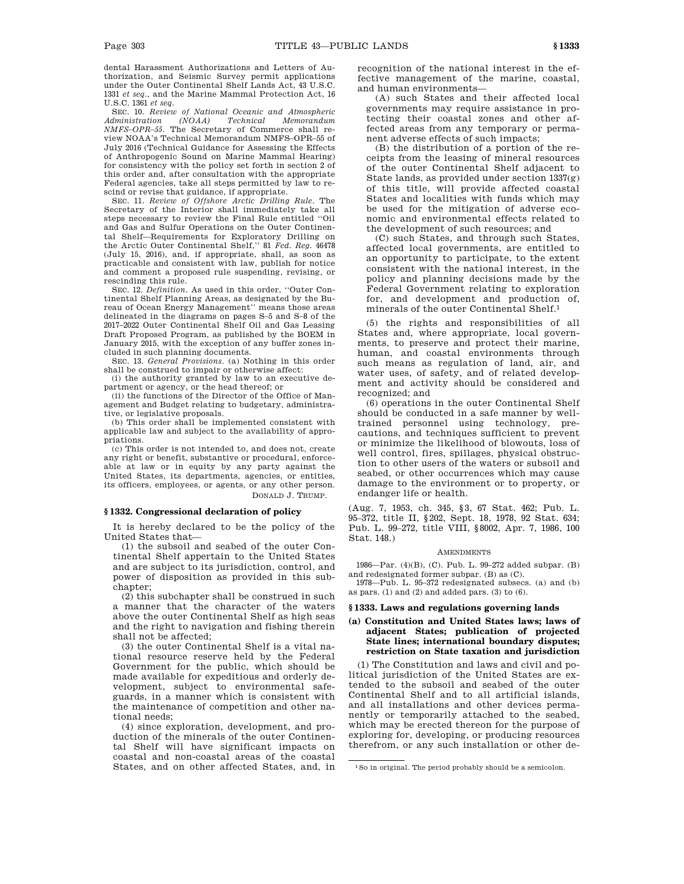dental Harassment Authorizations and Letters of Authorization, and Seismic Survey permit applications under the Outer Continental Shelf Lands Act, 43 U.S.C. 1331 *et seq*., and the Marine Mammal Protection Act, 16 U.S.C. 1361 *et seq*.

SEC. 10. *Review of National Oceanic and Atmospheric Administration (NOAA) Technical Memorandum NMFS–OPR–55*. The Secretary of Commerce shall review NOAA's Technical Memorandum NMFS–OPR–55 of July 2016 (Technical Guidance for Assessing the Effects of Anthropogenic Sound on Marine Mammal Hearing) for consistency with the policy set forth in section 2 of this order and, after consultation with the appropriate Federal agencies, take all steps permitted by law to rescind or revise that guidance, if appropriate.

SEC. 11. *Review of Offshore Arctic Drilling Rule*. The Secretary of the Interior shall immediately take all steps necessary to review the Final Rule entitled ''Oil and Gas and Sulfur Operations on the Outer Continental Shelf—Requirements for Exploratory Drilling on the Arctic Outer Continental Shelf,'' 81 *Fed. Reg.* 46478 (July 15, 2016), and, if appropriate, shall, as soon as practicable and consistent with law, publish for notice and comment a proposed rule suspending, revising, or rescinding this rule.

SEC. 12. *Definition*. As used in this order, ''Outer Continental Shelf Planning Areas, as designated by the Bureau of Ocean Energy Management'' means those areas delineated in the diagrams on pages S–5 and S–8 of the 2017–2022 Outer Continental Shelf Oil and Gas Leasing Draft Proposed Program, as published by the BOEM in January 2015, with the exception of any buffer zones included in such planning documents.

SEC. 13. *General Provisions*. (a) Nothing in this order shall be construed to impair or otherwise affect:

(i) the authority granted by law to an executive department or agency, or the head thereof; or

(ii) the functions of the Director of the Office of Management and Budget relating to budgetary, administrative, or legislative proposals.

(b) This order shall be implemented consistent with applicable law and subject to the availability of appropriations.

(c) This order is not intended to, and does not, create any right or benefit, substantive or procedural, enforceable at law or in equity by any party against the United States, its departments, agencies, or entities, its officers, employees, or agents, or any other person. DONALD J. TRUMP.

#### **§ 1332. Congressional declaration of policy**

It is hereby declared to be the policy of the United States that—

(1) the subsoil and seabed of the outer Continental Shelf appertain to the United States and are subject to its jurisdiction, control, and power of disposition as provided in this subchapter:

(2) this subchapter shall be construed in such a manner that the character of the waters above the outer Continental Shelf as high seas and the right to navigation and fishing therein shall not be affected;

(3) the outer Continental Shelf is a vital national resource reserve held by the Federal Government for the public, which should be made available for expeditious and orderly development, subject to environmental safeguards, in a manner which is consistent with the maintenance of competition and other national needs;

(4) since exploration, development, and production of the minerals of the outer Continental Shelf will have significant impacts on coastal and non-coastal areas of the coastal States, and on other affected States, and, in recognition of the national interest in the effective management of the marine, coastal, and human environments—

(A) such States and their affected local governments may require assistance in protecting their coastal zones and other affected areas from any temporary or permanent adverse effects of such impacts;

(B) the distribution of a portion of the receipts from the leasing of mineral resources of the outer Continental Shelf adjacent to State lands, as provided under section 1337(g) of this title, will provide affected coastal States and localities with funds which may be used for the mitigation of adverse economic and environmental effects related to the development of such resources; and

(C) such States, and through such States, affected local governments, are entitled to an opportunity to participate, to the extent consistent with the national interest, in the policy and planning decisions made by the Federal Government relating to exploration for, and development and production of, minerals of the outer Continental Shelf.1

(5) the rights and responsibilities of all States and, where appropriate, local governments, to preserve and protect their marine, human, and coastal environments through such means as regulation of land, air, and water uses, of safety, and of related development and activity should be considered and recognized; and

(6) operations in the outer Continental Shelf should be conducted in a safe manner by welltrained personnel using technology, precautions, and techniques sufficient to prevent or minimize the likelihood of blowouts, loss of well control, fires, spillages, physical obstruction to other users of the waters or subsoil and seabed, or other occurrences which may cause damage to the environment or to property, or endanger life or health.

(Aug. 7, 1953, ch. 345, §3, 67 Stat. 462; Pub. L. 95–372, title II, §202, Sept. 18, 1978, 92 Stat. 634; Pub. L. 99–272, title VIII, §8002, Apr. 7, 1986, 100 Stat. 148.)

#### AMENDMENTS

1986—Par. (4)(B), (C). Pub. L. 99–272 added subpar. (B) and redesignated former subpar. (B) as (C).

1978—Pub. L. 95–372 redesignated subsecs. (a) and (b) as pars.  $(1)$  and  $(2)$  and added pars.  $(3)$  to  $(6)$ .

#### **§ 1333. Laws and regulations governing lands**

# **(a) Constitution and United States laws; laws of adjacent States; publication of projected State lines; international boundary disputes; restriction on State taxation and jurisdiction**

(1) The Constitution and laws and civil and political jurisdiction of the United States are extended to the subsoil and seabed of the outer Continental Shelf and to all artificial islands, and all installations and other devices permanently or temporarily attached to the seabed, which may be erected thereon for the purpose of exploring for, developing, or producing resources therefrom, or any such installation or other de-

<sup>1</sup>So in original. The period probably should be a semicolon.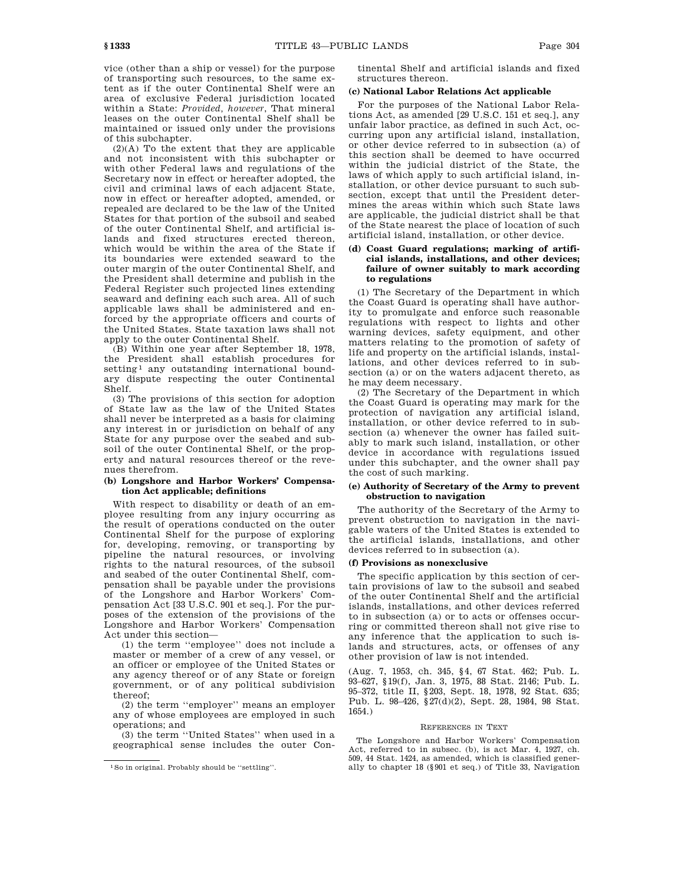vice (other than a ship or vessel) for the purpose of transporting such resources, to the same extent as if the outer Continental Shelf were an area of exclusive Federal jurisdiction located within a State: *Provided, however*, That mineral leases on the outer Continental Shelf shall be maintained or issued only under the provisions of this subchapter.

(2)(A) To the extent that they are applicable and not inconsistent with this subchapter or with other Federal laws and regulations of the Secretary now in effect or hereafter adopted, the civil and criminal laws of each adjacent State, now in effect or hereafter adopted, amended, or repealed are declared to be the law of the United States for that portion of the subsoil and seabed of the outer Continental Shelf, and artificial islands and fixed structures erected thereon, which would be within the area of the State if its boundaries were extended seaward to the outer margin of the outer Continental Shelf, and the President shall determine and publish in the Federal Register such projected lines extending seaward and defining each such area. All of such applicable laws shall be administered and enforced by the appropriate officers and courts of the United States. State taxation laws shall not apply to the outer Continental Shelf.

(B) Within one year after September 18, 1978, the President shall establish procedures for setting<sup>1</sup> any outstanding international boundary dispute respecting the outer Continental Shelf.

(3) The provisions of this section for adoption of State law as the law of the United States shall never be interpreted as a basis for claiming any interest in or jurisdiction on behalf of any State for any purpose over the seabed and subsoil of the outer Continental Shelf, or the property and natural resources thereof or the revenues therefrom.

## **(b) Longshore and Harbor Workers' Compensation Act applicable; definitions**

With respect to disability or death of an employee resulting from any injury occurring as the result of operations conducted on the outer Continental Shelf for the purpose of exploring for, developing, removing, or transporting by pipeline the natural resources, or involving rights to the natural resources, of the subsoil and seabed of the outer Continental Shelf, compensation shall be payable under the provisions of the Longshore and Harbor Workers' Compensation Act [33 U.S.C. 901 et seq.]. For the purposes of the extension of the provisions of the Longshore and Harbor Workers' Compensation Act under this section—

(1) the term ''employee'' does not include a master or member of a crew of any vessel, or an officer or employee of the United States or any agency thereof or of any State or foreign government, or of any political subdivision thereof;

(2) the term ''employer'' means an employer any of whose employees are employed in such operations; and

(3) the term ''United States'' when used in a geographical sense includes the outer Continental Shelf and artificial islands and fixed structures thereon.

## **(c) National Labor Relations Act applicable**

For the purposes of the National Labor Relations Act, as amended [29 U.S.C. 151 et seq.], any unfair labor practice, as defined in such Act, occurring upon any artificial island, installation, or other device referred to in subsection (a) of this section shall be deemed to have occurred within the judicial district of the State, the laws of which apply to such artificial island, installation, or other device pursuant to such subsection, except that until the President determines the areas within which such State laws are applicable, the judicial district shall be that of the State nearest the place of location of such artificial island, installation, or other device.

#### **(d) Coast Guard regulations; marking of artificial islands, installations, and other devices; failure of owner suitably to mark according to regulations**

(1) The Secretary of the Department in which the Coast Guard is operating shall have authority to promulgate and enforce such reasonable regulations with respect to lights and other warning devices, safety equipment, and other matters relating to the promotion of safety of life and property on the artificial islands, installations, and other devices referred to in subsection (a) or on the waters adjacent thereto, as he may deem necessary.

(2) The Secretary of the Department in which the Coast Guard is operating may mark for the protection of navigation any artificial island, installation, or other device referred to in subsection (a) whenever the owner has failed suitably to mark such island, installation, or other device in accordance with regulations issued under this subchapter, and the owner shall pay the cost of such marking.

# **(e) Authority of Secretary of the Army to prevent obstruction to navigation**

The authority of the Secretary of the Army to prevent obstruction to navigation in the navigable waters of the United States is extended to the artificial islands, installations, and other devices referred to in subsection (a).

# **(f) Provisions as nonexclusive**

The specific application by this section of certain provisions of law to the subsoil and seabed of the outer Continental Shelf and the artificial islands, installations, and other devices referred to in subsection (a) or to acts or offenses occurring or committed thereon shall not give rise to any inference that the application to such islands and structures, acts, or offenses of any other provision of law is not intended.

(Aug. 7, 1953, ch. 345, §4, 67 Stat. 462; Pub. L. 93–627, §19(f), Jan. 3, 1975, 88 Stat. 2146; Pub. L. 95–372, title II, §203, Sept. 18, 1978, 92 Stat. 635; Pub. L. 98–426, §27(d)(2), Sept. 28, 1984, 98 Stat. 1654.)

#### REFERENCES IN TEXT

The Longshore and Harbor Workers' Compensation Act, referred to in subsec. (b), is act Mar. 4, 1927, ch. 509, 44 Stat. 1424, as amended, which is classified generally to chapter 18 (§901 et seq.) of Title 33, Navigation

<sup>1</sup>So in original. Probably should be ''settling''.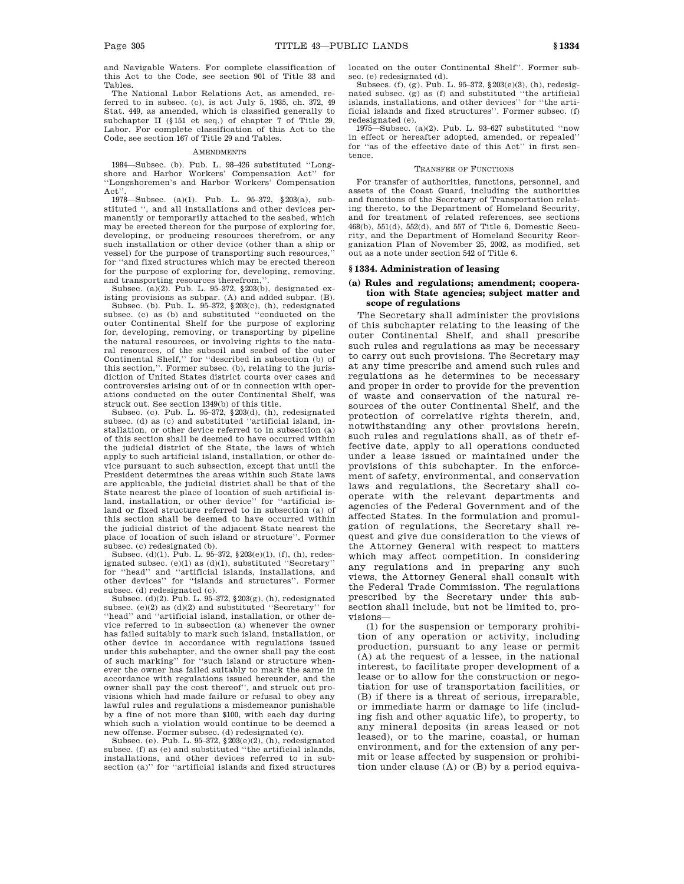and Navigable Waters. For complete classification of this Act to the Code, see section 901 of Title 33 and Tables.

The National Labor Relations Act, as amended, referred to in subsec. (c), is act July 5, 1935, ch. 372, 49 Stat. 449, as amended, which is classified generally to subchapter II (§151 et seq.) of chapter 7 of Title 29, Labor. For complete classification of this Act to the Code, see section 167 of Title 29 and Tables.

#### AMENDMENTS

1984—Subsec. (b). Pub. L. 98–426 substituted ''Longshore and Harbor Workers' Compensation Act'' for ''Longshoremen's and Harbor Workers' Compensation Act'

1978—Subsec. (a)(1). Pub. L. 95–372, §203(a), substituted '', and all installations and other devices permanently or temporarily attached to the seabed, which may be erected thereon for the purpose of exploring for, developing, or producing resources therefrom, or any such installation or other device (other than a ship or vessel) for the purpose of transporting such resources,'' for ''and fixed structures which may be erected thereon for the purpose of exploring for, developing, removing, and transporting resources therefrom,'

Subsec. (a)(2). Pub. L. 95–372, §203(b), designated existing provisions as subpar. (A) and added subpar. (B).

Subsec. (b). Pub. L. 95–372, §203(c), (h), redesignated subsec. (c) as (b) and substituted ''conducted on the outer Continental Shelf for the purpose of exploring for, developing, removing, or transporting by pipeline the natural resources, or involving rights to the natural resources, of the subsoil and seabed of the outer Continental Shelf,'' for ''described in subsection (b) of this section,''. Former subsec. (b), relating to the jurisdiction of United States district courts over cases and controversies arising out of or in connection with operations conducted on the outer Continental Shelf, was struck out. See section 1349(b) of this title.

Subsec. (c). Pub. L. 95–372, §203(d), (h), redesignated subsec. (d) as (c) and substituted ''artificial island, installation, or other device referred to in subsection (a) of this section shall be deemed to have occurred within the judicial district of the State, the laws of which apply to such artificial island, installation, or other device pursuant to such subsection, except that until the President determines the areas within such State laws are applicable, the judicial district shall be that of the State nearest the place of location of such artificial island, installation, or other device" for "artificial island or fixed structure referred to in subsection (a) of this section shall be deemed to have occurred within the judicial district of the adjacent State nearest the place of location of such island or structure''. Former subsec. (c) redesignated (b).

Subsec. (d)(1). Pub. L. 95–372,  $\frac{203(e)(1)}{1}$ , (f), (h), redesignated subsec. (e)(1) as (d)(1), substituted ''Secretary'' for ''head'' and ''artificial islands, installations, and other devices'' for ''islands and structures''. Former subsec. (d) redesignated (c).

Subsec.  $(d)(2)$ . Pub. L. 95–372, §203(g), (h), redesignated subsec.  $(e)(2)$  as  $(d)(2)$  and substituted "Secretary" for ''head'' and ''artificial island, installation, or other device referred to in subsection (a) whenever the owner has failed suitably to mark such island, installation, or other device in accordance with regulations issued under this subchapter, and the owner shall pay the cost of such marking'' for ''such island or structure whenever the owner has failed suitably to mark the same in accordance with regulations issued hereunder, and the owner shall pay the cost thereof'', and struck out provisions which had made failure or refusal to obey any lawful rules and regulations a misdemeanor punishable by a fine of not more than \$100, with each day during which such a violation would continue to be deemed a new offense. Former subsec. (d) redesignated (c).

Subsec. (e). Pub. L. 95–372, §203(e)(2), (h), redesignated subsec. (f) as (e) and substituted ''the artificial islands, installations, and other devices referred to in subsection (a)'' for ''artificial islands and fixed structures located on the outer Continental Shelf''. Former subsec. (e) redesignated (d).

Subsecs. (f), (g). Pub. L. 95–372,  $\S 203(e)(3)$ , (h), redesignated subsec. (g) as (f) and substituted ''the artificial islands, installations, and other devices'' for ''the artificial islands and fixed structures''. Former subsec. (f) redesignated (e).

1975—Subsec. (a)(2). Pub. L. 93–627 substituted ''now in effect or hereafter adopted, amended, or repealed'' for ''as of the effective date of this Act'' in first sentence.

#### TRANSFER OF FUNCTIONS

For transfer of authorities, functions, personnel, and assets of the Coast Guard, including the authorities and functions of the Secretary of Transportation relating thereto, to the Department of Homeland Security, and for treatment of related references, see sections 468(b), 551(d), 552(d), and 557 of Title 6, Domestic Security, and the Department of Homeland Security Reorganization Plan of November 25, 2002, as modified, set out as a note under section 542 of Title 6.

#### **§ 1334. Administration of leasing**

## **(a) Rules and regulations; amendment; cooperation with State agencies; subject matter and scope of regulations**

The Secretary shall administer the provisions of this subchapter relating to the leasing of the outer Continental Shelf, and shall prescribe such rules and regulations as may be necessary to carry out such provisions. The Secretary may at any time prescribe and amend such rules and regulations as he determines to be necessary and proper in order to provide for the prevention of waste and conservation of the natural resources of the outer Continental Shelf, and the protection of correlative rights therein, and, notwithstanding any other provisions herein, such rules and regulations shall, as of their effective date, apply to all operations conducted under a lease issued or maintained under the provisions of this subchapter. In the enforcement of safety, environmental, and conservation laws and regulations, the Secretary shall cooperate with the relevant departments and agencies of the Federal Government and of the affected States. In the formulation and promulgation of regulations, the Secretary shall request and give due consideration to the views of the Attorney General with respect to matters which may affect competition. In considering any regulations and in preparing any such views, the Attorney General shall consult with the Federal Trade Commission. The regulations prescribed by the Secretary under this subsection shall include, but not be limited to, provisions—

(1) for the suspension or temporary prohibition of any operation or activity, including production, pursuant to any lease or permit (A) at the request of a lessee, in the national interest, to facilitate proper development of a lease or to allow for the construction or negotiation for use of transportation facilities, or (B) if there is a threat of serious, irreparable, or immediate harm or damage to life (including fish and other aquatic life), to property, to any mineral deposits (in areas leased or not leased), or to the marine, coastal, or human environment, and for the extension of any permit or lease affected by suspension or prohibition under clause (A) or (B) by a period equiva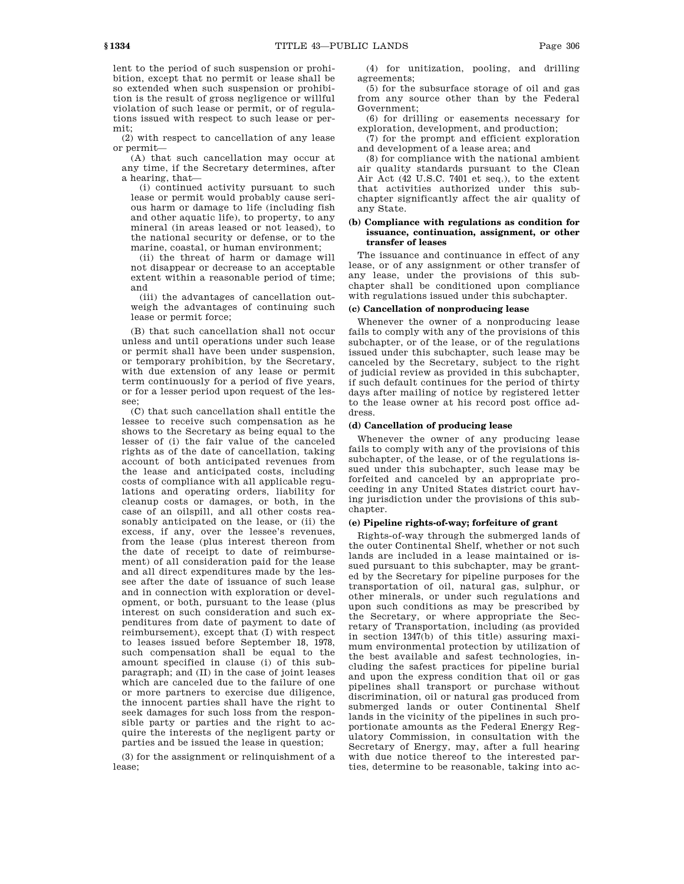lent to the period of such suspension or prohibition, except that no permit or lease shall be so extended when such suspension or prohibition is the result of gross negligence or willful violation of such lease or permit, or of regulations issued with respect to such lease or permit;

(2) with respect to cancellation of any lease or permit—

(A) that such cancellation may occur at any time, if the Secretary determines, after a hearing, that—

(i) continued activity pursuant to such lease or permit would probably cause serious harm or damage to life (including fish and other aquatic life), to property, to any mineral (in areas leased or not leased), to the national security or defense, or to the marine, coastal, or human environment;

(ii) the threat of harm or damage will not disappear or decrease to an acceptable extent within a reasonable period of time; and

(iii) the advantages of cancellation outweigh the advantages of continuing such lease or permit force;

(B) that such cancellation shall not occur unless and until operations under such lease or permit shall have been under suspension, or temporary prohibition, by the Secretary, with due extension of any lease or permit term continuously for a period of five years, or for a lesser period upon request of the lessee;

(C) that such cancellation shall entitle the lessee to receive such compensation as he shows to the Secretary as being equal to the lesser of (i) the fair value of the canceled rights as of the date of cancellation, taking account of both anticipated revenues from the lease and anticipated costs, including costs of compliance with all applicable regulations and operating orders, liability for cleanup costs or damages, or both, in the case of an oilspill, and all other costs reasonably anticipated on the lease, or (ii) the excess, if any, over the lessee's revenues, from the lease (plus interest thereon from the date of receipt to date of reimbursement) of all consideration paid for the lease and all direct expenditures made by the lessee after the date of issuance of such lease and in connection with exploration or development, or both, pursuant to the lease (plus interest on such consideration and such expenditures from date of payment to date of reimbursement), except that (I) with respect to leases issued before September 18, 1978, such compensation shall be equal to the amount specified in clause (i) of this subparagraph; and (II) in the case of joint leases which are canceled due to the failure of one or more partners to exercise due diligence, the innocent parties shall have the right to seek damages for such loss from the responsible party or parties and the right to acquire the interests of the negligent party or parties and be issued the lease in question;

(3) for the assignment or relinquishment of a lease;

(4) for unitization, pooling, and drilling agreements;

(5) for the subsurface storage of oil and gas from any source other than by the Federal Government;

(6) for drilling or easements necessary for exploration, development, and production;

(7) for the prompt and efficient exploration and development of a lease area; and

(8) for compliance with the national ambient air quality standards pursuant to the Clean Air Act (42 U.S.C. 7401 et seq.), to the extent that activities authorized under this subchapter significantly affect the air quality of any State.

#### **(b) Compliance with regulations as condition for issuance, continuation, assignment, or other transfer of leases**

The issuance and continuance in effect of any lease, or of any assignment or other transfer of any lease, under the provisions of this subchapter shall be conditioned upon compliance with regulations issued under this subchapter.

#### **(c) Cancellation of nonproducing lease**

Whenever the owner of a nonproducing lease fails to comply with any of the provisions of this subchapter, or of the lease, or of the regulations issued under this subchapter, such lease may be canceled by the Secretary, subject to the right of judicial review as provided in this subchapter, if such default continues for the period of thirty days after mailing of notice by registered letter to the lease owner at his record post office address.

#### **(d) Cancellation of producing lease**

Whenever the owner of any producing lease fails to comply with any of the provisions of this subchapter, of the lease, or of the regulations issued under this subchapter, such lease may be forfeited and canceled by an appropriate proceeding in any United States district court having jurisdiction under the provisions of this subchapter.

# **(e) Pipeline rights-of-way; forfeiture of grant**

Rights-of-way through the submerged lands of the outer Continental Shelf, whether or not such lands are included in a lease maintained or issued pursuant to this subchapter, may be granted by the Secretary for pipeline purposes for the transportation of oil, natural gas, sulphur, or other minerals, or under such regulations and upon such conditions as may be prescribed by the Secretary, or where appropriate the Secretary of Transportation, including (as provided in section 1347(b) of this title) assuring maximum environmental protection by utilization of the best available and safest technologies, including the safest practices for pipeline burial and upon the express condition that oil or gas pipelines shall transport or purchase without discrimination, oil or natural gas produced from submerged lands or outer Continental Shelf lands in the vicinity of the pipelines in such proportionate amounts as the Federal Energy Regulatory Commission, in consultation with the Secretary of Energy, may, after a full hearing with due notice thereof to the interested parties, determine to be reasonable, taking into ac-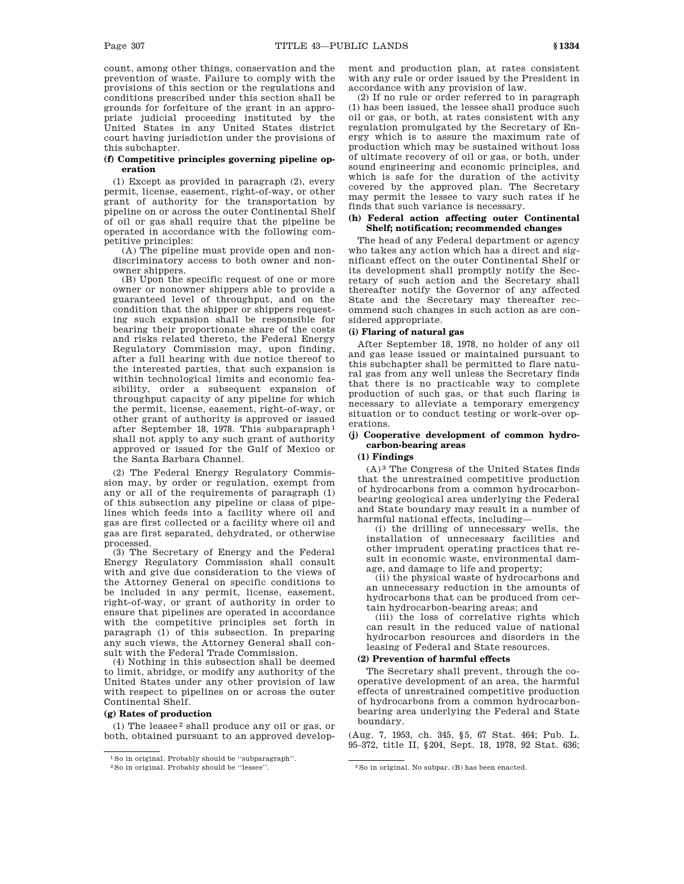count, among other things, conservation and the prevention of waste. Failure to comply with the provisions of this section or the regulations and conditions prescribed under this section shall be grounds for forfeiture of the grant in an appropriate judicial proceeding instituted by the United States in any United States district court having jurisdiction under the provisions of this subchapter.

#### **(f) Competitive principles governing pipeline operation**

(1) Except as provided in paragraph (2), every permit, license, easement, right-of-way, or other grant of authority for the transportation by pipeline on or across the outer Continental Shelf of oil or gas shall require that the pipeline be operated in accordance with the following competitive principles:

(A) The pipeline must provide open and nondiscriminatory access to both owner and nonowner shippers.

(B) Upon the specific request of one or more owner or nonowner shippers able to provide a guaranteed level of throughput, and on the condition that the shipper or shippers requesting such expansion shall be responsible for bearing their proportionate share of the costs and risks related thereto, the Federal Energy Regulatory Commission may, upon finding, after a full hearing with due notice thereof to the interested parties, that such expansion is within technological limits and economic feasibility, order a subsequent expansion of throughput capacity of any pipeline for which the permit, license, easement, right-of-way, or other grant of authority is approved or issued after September 18, 1978. This subparapraph1 shall not apply to any such grant of authority approved or issued for the Gulf of Mexico or the Santa Barbara Channel.

(2) The Federal Energy Regulatory Commission may, by order or regulation, exempt from any or all of the requirements of paragraph (1) of this subsection any pipeline or class of pipelines which feeds into a facility where oil and gas are first collected or a facility where oil and gas are first separated, dehydrated, or otherwise processed.

(3) The Secretary of Energy and the Federal Energy Regulatory Commission shall consult with and give due consideration to the views of the Attorney General on specific conditions to be included in any permit, license, easement, right-of-way, or grant of authority in order to ensure that pipelines are operated in accordance with the competitive principles set forth in paragraph (1) of this subsection. In preparing any such views, the Attorney General shall consult with the Federal Trade Commission.

(4) Nothing in this subsection shall be deemed to limit, abridge, or modify any authority of the United States under any other provision of law with respect to pipelines on or across the outer Continental Shelf.

# **(g) Rates of production**

(1) The leasee 2 shall produce any oil or gas, or both, obtained pursuant to an approved development and production plan, at rates consistent with any rule or order issued by the President in accordance with any provision of law.

(2) If no rule or order referred to in paragraph (1) has been issued, the lessee shall produce such oil or gas, or both, at rates consistent with any regulation promulgated by the Secretary of Energy which is to assure the maximum rate of production which may be sustained without loss of ultimate recovery of oil or gas, or both, under sound engineering and economic principles, and which is safe for the duration of the activity covered by the approved plan. The Secretary may permit the lessee to vary such rates if he finds that such variance is necessary.

# **(h) Federal action affecting outer Continental Shelf; notification; recommended changes**

The head of any Federal department or agency who takes any action which has a direct and significant effect on the outer Continental Shelf or its development shall promptly notify the Secretary of such action and the Secretary shall thereafter notify the Governor of any affected State and the Secretary may thereafter recommend such changes in such action as are considered appropriate.

#### **(i) Flaring of natural gas**

After September 18, 1978, no holder of any oil and gas lease issued or maintained pursuant to this subchapter shall be permitted to flare natural gas from any well unless the Secretary finds that there is no practicable way to complete production of such gas, or that such flaring is necessary to alleviate a temporary emergency situation or to conduct testing or work-over operations.

# **(j) Cooperative development of common hydrocarbon-bearing areas**

## **(1) Findings**

(A) 3 The Congress of the United States finds that the unrestrained competitive production of hydrocarbons from a common hydrocarbonbearing geological area underlying the Federal and State boundary may result in a number of harmful national effects, including—

(i) the drilling of unnecessary wells, the installation of unnecessary facilities and other imprudent operating practices that result in economic waste, environmental damage, and damage to life and property;

(ii) the physical waste of hydrocarbons and an unnecessary reduction in the amounts of hydrocarbons that can be produced from certain hydrocarbon-bearing areas; and

(iii) the loss of correlative rights which can result in the reduced value of national hydrocarbon resources and disorders in the leasing of Federal and State resources.

#### **(2) Prevention of harmful effects**

The Secretary shall prevent, through the cooperative development of an area, the harmful effects of unrestrained competitive production of hydrocarbons from a common hydrocarbonbearing area underlying the Federal and State boundary.

(Aug. 7, 1953, ch. 345, §5, 67 Stat. 464; Pub. L. 95–372, title II, §204, Sept. 18, 1978, 92 Stat. 636;

<sup>1</sup>So in original. Probably should be ''subparagraph''.

<sup>&</sup>lt;sup>2</sup> So in original. Probably should be "lessee".  $^{3}$  So in original. No subpar. (B) has been enacted.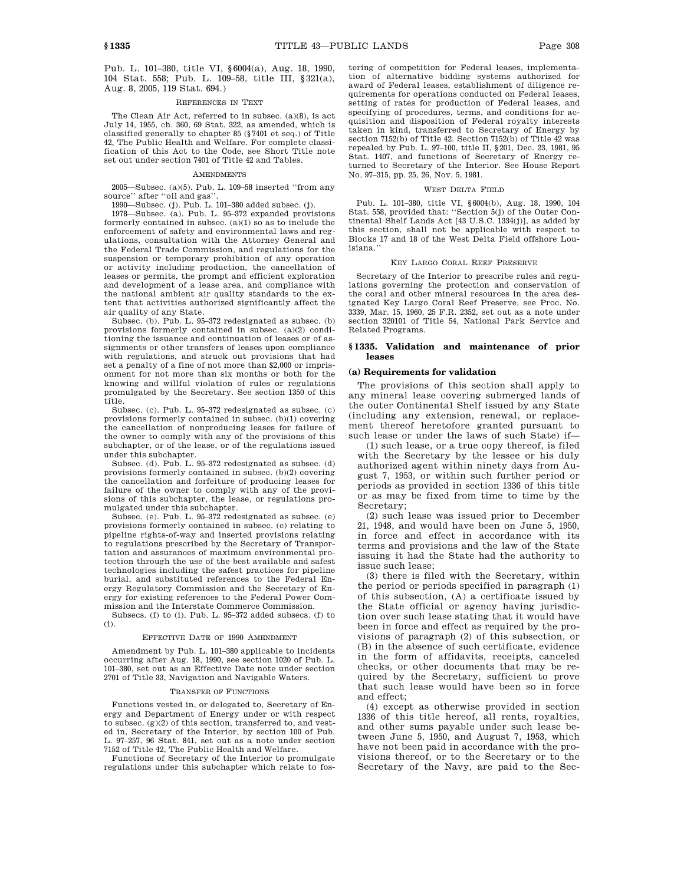Pub. L. 101–380, title VI, §6004(a), Aug. 18, 1990, 104 Stat. 558; Pub. L. 109–58, title III, §321(a), Aug. 8, 2005, 119 Stat. 694.)

#### REFERENCES IN TEXT

The Clean Air Act, referred to in subsec. (a)(8), is act July 14, 1955, ch. 360, 69 Stat. 322, as amended, which is classified generally to chapter 85 (§7401 et seq.) of Title 42, The Public Health and Welfare. For complete classification of this Act to the Code, see Short Title note set out under section 7401 of Title 42 and Tables.

#### **AMENDMENTS**

2005—Subsec. (a)(5). Pub. L. 109–58 inserted ''from any source" after "oil and gas"

1990—Subsec. (j). Pub. L. 101–380 added subsec. (j).

1978—Subsec. (a). Pub. L. 95–372 expanded provisions formerly contained in subsec. (a)(1) so as to include the enforcement of safety and environmental laws and regulations, consultation with the Attorney General and the Federal Trade Commission, and regulations for the suspension or temporary prohibition of any operation or activity including production, the cancellation of leases or permits, the prompt and efficient exploration and development of a lease area, and compliance with the national ambient air quality standards to the extent that activities authorized significantly affect the air quality of any State.

Subsec. (b). Pub. L. 95–372 redesignated as subsec. (b) provisions formerly contained in subsec. (a)(2) conditioning the issuance and continuation of leases or of assignments or other transfers of leases upon compliance with regulations, and struck out provisions that had set a penalty of a fine of not more than \$2,000 or imprisonment for not more than six months or both for the knowing and willful violation of rules or regulations promulgated by the Secretary. See section 1350 of this title.

Subsec. (c). Pub. L. 95–372 redesignated as subsec. (c) provisions formerly contained in subsec. (b)(1) covering the cancellation of nonproducing leases for failure of the owner to comply with any of the provisions of this subchapter, or of the lease, or of the regulations issued under this subchapter.

Subsec. (d). Pub. L. 95–372 redesignated as subsec. (d) provisions formerly contained in subsec. (b)(2) covering the cancellation and forfeiture of producing leases for failure of the owner to comply with any of the provisions of this subchapter, the lease, or regulations promulgated under this subchapter.

Subsec. (e). Pub. L. 95–372 redesignated as subsec. (e) provisions formerly contained in subsec. (c) relating to pipeline rights-of-way and inserted provisions relating to regulations prescribed by the Secretary of Transportation and assurances of maximum environmental protection through the use of the best available and safest technologies including the safest practices for pipeline burial, and substituted references to the Federal Energy Regulatory Commission and the Secretary of Energy for existing references to the Federal Power Commission and the Interstate Commerce Commission.

Subsecs. (f) to (i). Pub. L. 95–372 added subsecs. (f) to (i).

#### EFFECTIVE DATE OF 1990 AMENDMENT

Amendment by Pub. L. 101–380 applicable to incidents occurring after Aug. 18, 1990, see section 1020 of Pub. L. 101–380, set out as an Effective Date note under section 2701 of Title 33, Navigation and Navigable Waters.

#### TRANSFER OF FUNCTIONS

Functions vested in, or delegated to, Secretary of Energy and Department of Energy under or with respect to subsec.  $(g)(2)$  of this section, transferred to, and vested in, Secretary of the Interior, by section 100 of Pub. L. 97–257, 96 Stat. 841, set out as a note under section 7152 of Title 42, The Public Health and Welfare.

Functions of Secretary of the Interior to promulgate regulations under this subchapter which relate to fostering of competition for Federal leases, implementation of alternative bidding systems authorized for award of Federal leases, establishment of diligence requirements for operations conducted on Federal leases, setting of rates for production of Federal leases, and specifying of procedures, terms, and conditions for acquisition and disposition of Federal royalty interests taken in kind, transferred to Secretary of Energy by section 7152(b) of Title 42. Section 7152(b) of Title 42 was repealed by Pub. L. 97–100, title II, §201, Dec. 23, 1981, 95 Stat. 1407, and functions of Secretary of Energy returned to Secretary of the Interior. See House Report No. 97–315, pp. 25, 26, Nov. 5, 1981.

#### WEST DELTA FIELD

Pub. L. 101–380, title VI, §6004(b), Aug. 18, 1990, 104 Stat. 558, provided that: ''Section 5(j) of the Outer Continental Shelf Lands Act [43 U.S.C. 1334(j)], as added by this section, shall not be applicable with respect to Blocks 17 and 18 of the West Delta Field offshore Louisiana.''

#### KEY LARGO CORAL REEF PRESERVE

Secretary of the Interior to prescribe rules and regulations governing the protection and conservation of the coral and other mineral resources in the area designated Key Largo Coral Reef Preserve, see Proc. No. 3339, Mar. 15, 1960, 25 F.R. 2352, set out as a note under section 320101 of Title 54, National Park Service and Related Programs.

#### **§ 1335. Validation and maintenance of prior leases**

#### **(a) Requirements for validation**

The provisions of this section shall apply to any mineral lease covering submerged lands of the outer Continental Shelf issued by any State (including any extension, renewal, or replacement thereof heretofore granted pursuant to such lease or under the laws of such State) if—

(1) such lease, or a true copy thereof, is filed with the Secretary by the lessee or his duly authorized agent within ninety days from August 7, 1953, or within such further period or periods as provided in section 1336 of this title or as may be fixed from time to time by the Secretary;

(2) such lease was issued prior to December 21, 1948, and would have been on June 5, 1950, in force and effect in accordance with its terms and provisions and the law of the State issuing it had the State had the authority to issue such lease;

(3) there is filed with the Secretary, within the period or periods specified in paragraph (1) of this subsection, (A) a certificate issued by the State official or agency having jurisdiction over such lease stating that it would have been in force and effect as required by the provisions of paragraph (2) of this subsection, or (B) in the absence of such certificate, evidence in the form of affidavits, receipts, canceled checks, or other documents that may be required by the Secretary, sufficient to prove that such lease would have been so in force and effect;

(4) except as otherwise provided in section 1336 of this title hereof, all rents, royalties, and other sums payable under such lease between June 5, 1950, and August 7, 1953, which have not been paid in accordance with the provisions thereof, or to the Secretary or to the Secretary of the Navy, are paid to the Sec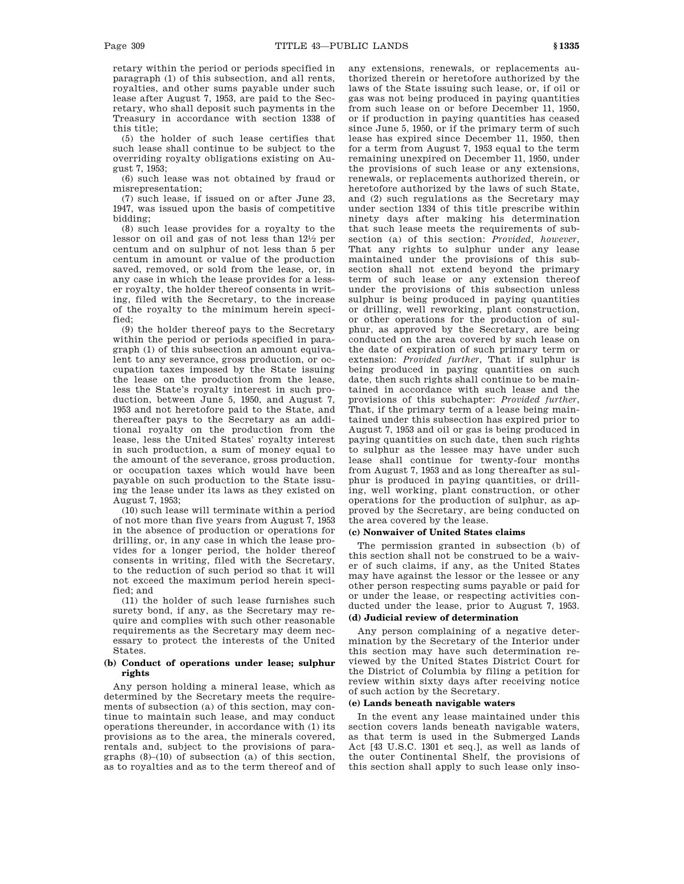retary within the period or periods specified in paragraph (1) of this subsection, and all rents, royalties, and other sums payable under such lease after August 7, 1953, are paid to the Secretary, who shall deposit such payments in the Treasury in accordance with section 1338 of this title;

(5) the holder of such lease certifies that such lease shall continue to be subject to the overriding royalty obligations existing on August 7, 1953;

(6) such lease was not obtained by fraud or misrepresentation;

(7) such lease, if issued on or after June 23, 1947, was issued upon the basis of competitive bidding;

(8) such lease provides for a royalty to the lessor on oil and gas of not less than 121 ⁄2 per centum and on sulphur of not less than 5 per centum in amount or value of the production saved, removed, or sold from the lease, or, in any case in which the lease provides for a lesser royalty, the holder thereof consents in writing, filed with the Secretary, to the increase of the royalty to the minimum herein specified;

(9) the holder thereof pays to the Secretary within the period or periods specified in paragraph (1) of this subsection an amount equivalent to any severance, gross production, or occupation taxes imposed by the State issuing the lease on the production from the lease, less the State's royalty interest in such production, between June 5, 1950, and August 7, 1953 and not heretofore paid to the State, and thereafter pays to the Secretary as an additional royalty on the production from the lease, less the United States' royalty interest in such production, a sum of money equal to the amount of the severance, gross production, or occupation taxes which would have been payable on such production to the State issuing the lease under its laws as they existed on August 7, 1953;

(10) such lease will terminate within a period of not more than five years from August 7, 1953 in the absence of production or operations for drilling, or, in any case in which the lease provides for a longer period, the holder thereof consents in writing, filed with the Secretary, to the reduction of such period so that it will not exceed the maximum period herein specified; and

(11) the holder of such lease furnishes such surety bond, if any, as the Secretary may require and complies with such other reasonable requirements as the Secretary may deem necessary to protect the interests of the United States.

# **(b) Conduct of operations under lease; sulphur rights**

Any person holding a mineral lease, which as determined by the Secretary meets the requirements of subsection (a) of this section, may continue to maintain such lease, and may conduct operations thereunder, in accordance with (1) its provisions as to the area, the minerals covered, rentals and, subject to the provisions of paragraphs  $(8)$ – $(10)$  of subsection  $(a)$  of this section, as to royalties and as to the term thereof and of any extensions, renewals, or replacements authorized therein or heretofore authorized by the laws of the State issuing such lease, or, if oil or gas was not being produced in paying quantities from such lease on or before December 11, 1950, or if production in paying quantities has ceased since June 5, 1950, or if the primary term of such lease has expired since December 11, 1950, then for a term from August 7, 1953 equal to the term remaining unexpired on December 11, 1950, under the provisions of such lease or any extensions, renewals, or replacements authorized therein, or heretofore authorized by the laws of such State, and (2) such regulations as the Secretary may under section 1334 of this title prescribe within ninety days after making his determination that such lease meets the requirements of subsection (a) of this section: *Provided, however*, That any rights to sulphur under any lease maintained under the provisions of this subsection shall not extend beyond the primary term of such lease or any extension thereof under the provisions of this subsection unless sulphur is being produced in paying quantities or drilling, well reworking, plant construction, or other operations for the production of sulphur, as approved by the Secretary, are being conducted on the area covered by such lease on the date of expiration of such primary term or extension: *Provided further*, That if sulphur is being produced in paying quantities on such date, then such rights shall continue to be maintained in accordance with such lease and the provisions of this subchapter: *Provided further*, That, if the primary term of a lease being maintained under this subsection has expired prior to August 7, 1953 and oil or gas is being produced in paying quantities on such date, then such rights to sulphur as the lessee may have under such lease shall continue for twenty-four months from August 7, 1953 and as long thereafter as sulphur is produced in paying quantities, or drilling, well working, plant construction, or other operations for the production of sulphur, as approved by the Secretary, are being conducted on the area covered by the lease.

## **(c) Nonwaiver of United States claims**

The permission granted in subsection (b) of this section shall not be construed to be a waiver of such claims, if any, as the United States may have against the lessor or the lessee or any other person respecting sums payable or paid for or under the lease, or respecting activities conducted under the lease, prior to August 7, 1953.

# **(d) Judicial review of determination**

Any person complaining of a negative determination by the Secretary of the Interior under this section may have such determination reviewed by the United States District Court for the District of Columbia by filing a petition for review within sixty days after receiving notice of such action by the Secretary.

## **(e) Lands beneath navigable waters**

In the event any lease maintained under this section covers lands beneath navigable waters, as that term is used in the Submerged Lands Act [43 U.S.C. 1301 et seq.], as well as lands of the outer Continental Shelf, the provisions of this section shall apply to such lease only inso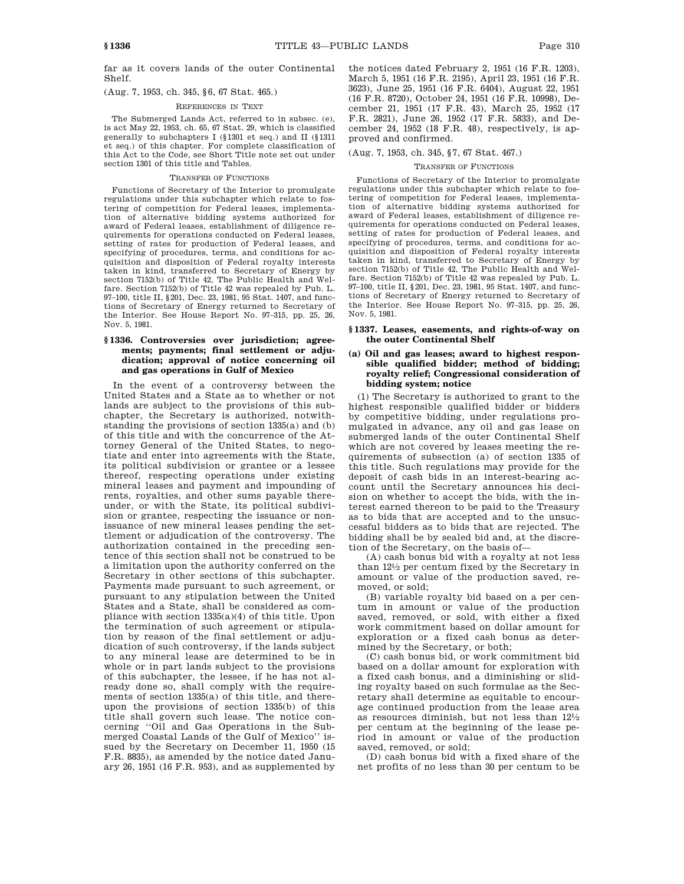far as it covers lands of the outer Continental Shelf.

# (Aug. 7, 1953, ch. 345, §6, 67 Stat. 465.)

# REFERENCES IN TEXT

The Submerged Lands Act, referred to in subsec. (e), is act May 22, 1953, ch. 65, 67 Stat. 29, which is classified generally to subchapters I (§1301 et seq.) and II (§1311 et seq.) of this chapter. For complete classification of this Act to the Code, see Short Title note set out under section 1301 of this title and Tables.

# TRANSFER OF FUNCTIONS

Functions of Secretary of the Interior to promulgate regulations under this subchapter which relate to fostering of competition for Federal leases, implementation of alternative bidding systems authorized for award of Federal leases, establishment of diligence requirements for operations conducted on Federal leases, setting of rates for production of Federal leases, and specifying of procedures, terms, and conditions for acquisition and disposition of Federal royalty interests taken in kind, transferred to Secretary of Energy by section 7152(b) of Title 42, The Public Health and Welfare. Section 7152(b) of Title 42 was repealed by Pub. L. 97–100, title II, §201, Dec. 23, 1981, 95 Stat. 1407, and functions of Secretary of Energy returned to Secretary of the Interior. See House Report No. 97–315, pp. 25, 26, Nov. 5, 1981.

## **§ 1336. Controversies over jurisdiction; agreements; payments; final settlement or adjudication; approval of notice concerning oil and gas operations in Gulf of Mexico**

In the event of a controversy between the United States and a State as to whether or not lands are subject to the provisions of this subchapter, the Secretary is authorized, notwithstanding the provisions of section 1335(a) and (b) of this title and with the concurrence of the Attorney General of the United States, to negotiate and enter into agreements with the State, its political subdivision or grantee or a lessee thereof, respecting operations under existing mineral leases and payment and impounding of rents, royalties, and other sums payable thereunder, or with the State, its political subdivision or grantee, respecting the issuance or nonissuance of new mineral leases pending the settlement or adjudication of the controversy. The authorization contained in the preceding sentence of this section shall not be construed to be a limitation upon the authority conferred on the Secretary in other sections of this subchapter. Payments made pursuant to such agreement, or pursuant to any stipulation between the United States and a State, shall be considered as compliance with section 1335(a)(4) of this title. Upon the termination of such agreement or stipulation by reason of the final settlement or adjudication of such controversy, if the lands subject to any mineral lease are determined to be in whole or in part lands subject to the provisions of this subchapter, the lessee, if he has not already done so, shall comply with the requirements of section 1335(a) of this title, and thereupon the provisions of section 1335(b) of this title shall govern such lease. The notice concerning ''Oil and Gas Operations in the Submerged Coastal Lands of the Gulf of Mexico'' issued by the Secretary on December 11, 1950 (15 F.R. 8835), as amended by the notice dated January 26, 1951 (16 F.R. 953), and as supplemented by

the notices dated February 2, 1951 (16 F.R. 1203), March 5, 1951 (16 F.R. 2195), April 23, 1951 (16 F.R. 3623), June 25, 1951 (16 F.R. 6404), August 22, 1951 (16 F.R. 8720), October 24, 1951 (16 F.R. 10998), December 21, 1951 (17 F.R. 43), March 25, 1952 (17 F.R. 2821), June 26, 1952 (17 F.R. 5833), and December 24, 1952 (18 F.R. 48), respectively, is approved and confirmed.

(Aug. 7, 1953, ch. 345, §7, 67 Stat. 467.)

#### TRANSFER OF FUNCTIONS

Functions of Secretary of the Interior to promulgate regulations under this subchapter which relate to fostering of competition for Federal leases, implementation of alternative bidding systems authorized for award of Federal leases, establishment of diligence requirements for operations conducted on Federal leases, setting of rates for production of Federal leases, and specifying of procedures, terms, and conditions for acquisition and disposition of Federal royalty interests taken in kind, transferred to Secretary of Energy by section 7152(b) of Title 42, The Public Health and Welfare. Section 7152(b) of Title 42 was repealed by Pub. L. 97–100, title II, §201, Dec. 23, 1981, 95 Stat. 1407, and functions of Secretary of Energy returned to Secretary of the Interior. See House Report No. 97–315, pp. 25, 26, Nov. 5, 1981.

#### **§ 1337. Leases, easements, and rights-of-way on the outer Continental Shelf**

## **(a) Oil and gas leases; award to highest responsible qualified bidder; method of bidding; royalty relief; Congressional consideration of bidding system; notice**

(1) The Secretary is authorized to grant to the highest responsible qualified bidder or bidders by competitive bidding, under regulations promulgated in advance, any oil and gas lease on submerged lands of the outer Continental Shelf which are not covered by leases meeting the requirements of subsection (a) of section 1335 of this title. Such regulations may provide for the deposit of cash bids in an interest-bearing account until the Secretary announces his decision on whether to accept the bids, with the interest earned thereon to be paid to the Treasury as to bids that are accepted and to the unsuccessful bidders as to bids that are rejected. The bidding shall be by sealed bid and, at the discretion of the Secretary, on the basis of—

(A) cash bonus bid with a royalty at not less than 121 ⁄2 per centum fixed by the Secretary in amount or value of the production saved, removed, or sold;

(B) variable royalty bid based on a per centum in amount or value of the production saved, removed, or sold, with either a fixed work commitment based on dollar amount for exploration or a fixed cash bonus as determined by the Secretary, or both;

(C) cash bonus bid, or work commitment bid based on a dollar amount for exploration with a fixed cash bonus, and a diminishing or sliding royalty based on such formulae as the Secretary shall determine as equitable to encourage continued production from the lease area as resources diminish, but not less than  $12\frac{1}{2}$ per centum at the beginning of the lease period in amount or value of the production saved, removed, or sold;

(D) cash bonus bid with a fixed share of the net profits of no less than 30 per centum to be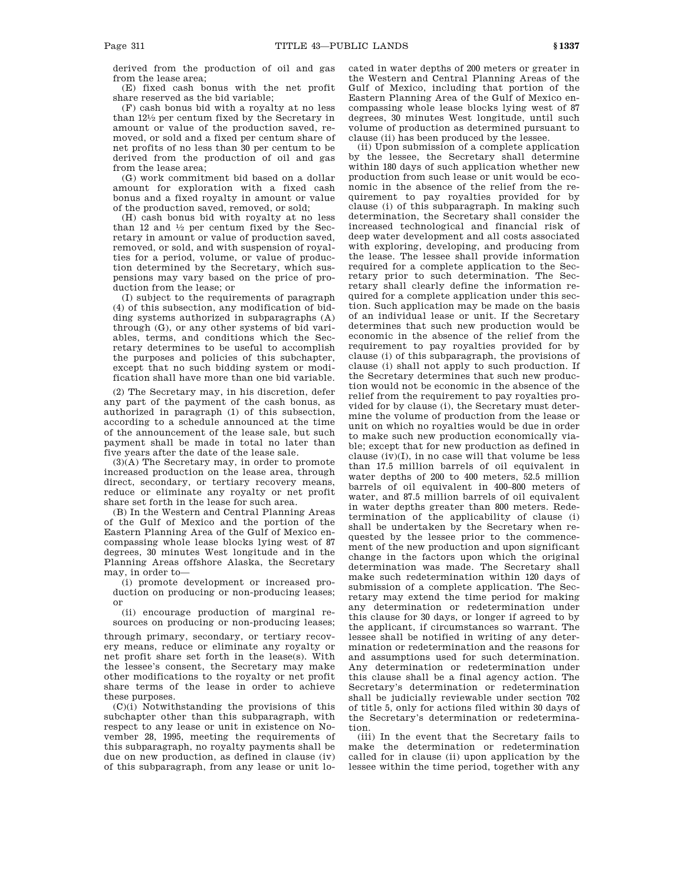derived from the production of oil and gas from the lease area;

(E) fixed cash bonus with the net profit share reserved as the bid variable;

(F) cash bonus bid with a royalty at no less than 121 ⁄2 per centum fixed by the Secretary in amount or value of the production saved, removed, or sold and a fixed per centum share of net profits of no less than 30 per centum to be derived from the production of oil and gas from the lease area;

(G) work commitment bid based on a dollar amount for exploration with a fixed cash bonus and a fixed royalty in amount or value of the production saved, removed, or sold;

(H) cash bonus bid with royalty at no less than 12 and  $\frac{1}{2}$  per centum fixed by the Secretary in amount or value of production saved, removed, or sold, and with suspension of royalties for a period, volume, or value of production determined by the Secretary, which suspensions may vary based on the price of production from the lease; or

(I) subject to the requirements of paragraph (4) of this subsection, any modification of bidding systems authorized in subparagraphs (A) through (G), or any other systems of bid variables, terms, and conditions which the Secretary determines to be useful to accomplish the purposes and policies of this subchapter, except that no such bidding system or modification shall have more than one bid variable.

(2) The Secretary may, in his discretion, defer any part of the payment of the cash bonus, as authorized in paragraph (1) of this subsection, according to a schedule announced at the time of the announcement of the lease sale, but such payment shall be made in total no later than five years after the date of the lease sale.

(3)(A) The Secretary may, in order to promote increased production on the lease area, through direct, secondary, or tertiary recovery means, reduce or eliminate any royalty or net profit share set forth in the lease for such area.

(B) In the Western and Central Planning Areas of the Gulf of Mexico and the portion of the Eastern Planning Area of the Gulf of Mexico encompassing whole lease blocks lying west of 87 degrees, 30 minutes West longitude and in the Planning Areas offshore Alaska, the Secretary may, in order to—

(i) promote development or increased production on producing or non-producing leases; or

(ii) encourage production of marginal resources on producing or non-producing leases;

through primary, secondary, or tertiary recovery means, reduce or eliminate any royalty or net profit share set forth in the lease(s). With the lessee's consent, the Secretary may make other modifications to the royalty or net profit share terms of the lease in order to achieve these purposes.

(C)(i) Notwithstanding the provisions of this subchapter other than this subparagraph, with respect to any lease or unit in existence on November 28, 1995, meeting the requirements of this subparagraph, no royalty payments shall be due on new production, as defined in clause (iv) of this subparagraph, from any lease or unit located in water depths of 200 meters or greater in the Western and Central Planning Areas of the Gulf of Mexico, including that portion of the Eastern Planning Area of the Gulf of Mexico encompassing whole lease blocks lying west of 87 degrees, 30 minutes West longitude, until such volume of production as determined pursuant to clause (ii) has been produced by the lessee.

(ii) Upon submission of a complete application by the lessee, the Secretary shall determine within 180 days of such application whether new production from such lease or unit would be economic in the absence of the relief from the requirement to pay royalties provided for by clause (i) of this subparagraph. In making such determination, the Secretary shall consider the increased technological and financial risk of deep water development and all costs associated with exploring, developing, and producing from the lease. The lessee shall provide information required for a complete application to the Secretary prior to such determination. The Secretary shall clearly define the information required for a complete application under this section. Such application may be made on the basis of an individual lease or unit. If the Secretary determines that such new production would be economic in the absence of the relief from the requirement to pay royalties provided for by clause (i) of this subparagraph, the provisions of clause (i) shall not apply to such production. If the Secretary determines that such new production would not be economic in the absence of the relief from the requirement to pay royalties provided for by clause (i), the Secretary must determine the volume of production from the lease or unit on which no royalties would be due in order to make such new production economically viable; except that for new production as defined in clause  $(iv)(I)$ , in no case will that volume be less than 17.5 million barrels of oil equivalent in water depths of 200 to 400 meters, 52.5 million barrels of oil equivalent in 400–800 meters of water, and 87.5 million barrels of oil equivalent in water depths greater than 800 meters. Redetermination of the applicability of clause (i) shall be undertaken by the Secretary when requested by the lessee prior to the commencement of the new production and upon significant change in the factors upon which the original determination was made. The Secretary shall make such redetermination within 120 days of submission of a complete application. The Secretary may extend the time period for making any determination or redetermination under this clause for 30 days, or longer if agreed to by the applicant, if circumstances so warrant. The lessee shall be notified in writing of any determination or redetermination and the reasons for and assumptions used for such determination. Any determination or redetermination under this clause shall be a final agency action. The Secretary's determination or redetermination shall be judicially reviewable under section 702 of title 5, only for actions filed within 30 days of the Secretary's determination or redetermination.

(iii) In the event that the Secretary fails to make the determination or redetermination called for in clause (ii) upon application by the lessee within the time period, together with any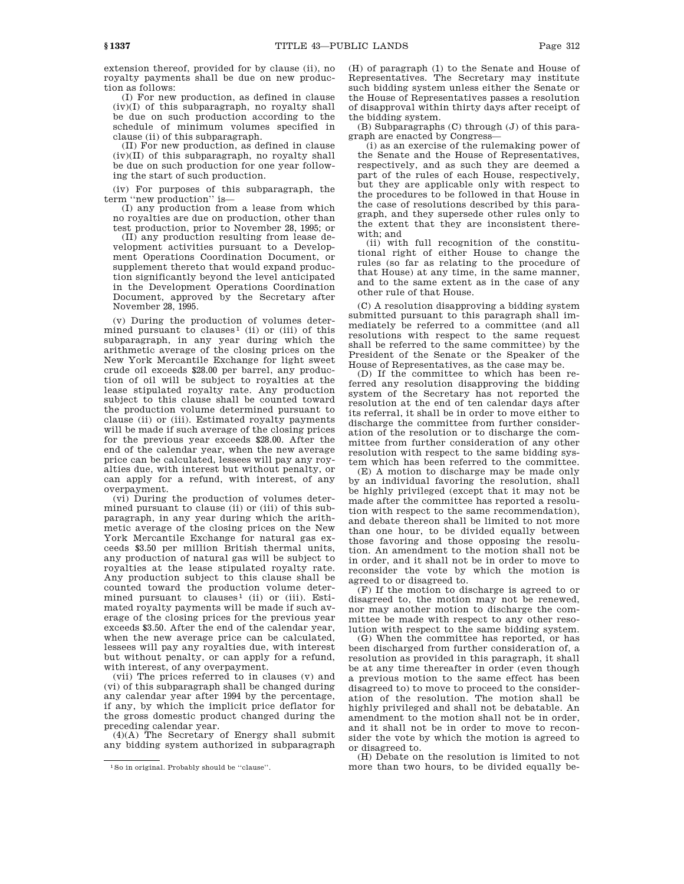extension thereof, provided for by clause (ii), no royalty payments shall be due on new production as follows:

(I) For new production, as defined in clause (iv)(I) of this subparagraph, no royalty shall be due on such production according to the schedule of minimum volumes specified in clause (ii) of this subparagraph.

(II) For new production, as defined in clause (iv)(II) of this subparagraph, no royalty shall be due on such production for one year following the start of such production.

(iv) For purposes of this subparagraph, the term ''new production'' is—

(I) any production from a lease from which no royalties are due on production, other than test production, prior to November 28, 1995; or

(II) any production resulting from lease development activities pursuant to a Development Operations Coordination Document, or supplement thereto that would expand production significantly beyond the level anticipated in the Development Operations Coordination Document, approved by the Secretary after November 28, 1995.

(v) During the production of volumes determined pursuant to clauses<sup>1</sup> (ii) or (iii) of this subparagraph, in any year during which the arithmetic average of the closing prices on the New York Mercantile Exchange for light sweet crude oil exceeds \$28.00 per barrel, any production of oil will be subject to royalties at the lease stipulated royalty rate. Any production subject to this clause shall be counted toward the production volume determined pursuant to clause (ii) or (iii). Estimated royalty payments will be made if such average of the closing prices for the previous year exceeds \$28.00. After the end of the calendar year, when the new average price can be calculated, lessees will pay any royalties due, with interest but without penalty, or can apply for a refund, with interest, of any overpayment.

(vi) During the production of volumes determined pursuant to clause (ii) or (iii) of this subparagraph, in any year during which the arithmetic average of the closing prices on the New York Mercantile Exchange for natural gas exceeds \$3.50 per million British thermal units, any production of natural gas will be subject to royalties at the lease stipulated royalty rate. Any production subject to this clause shall be counted toward the production volume determined pursuant to clauses<sup>1</sup> (ii) or (iii). Estimated royalty payments will be made if such average of the closing prices for the previous year exceeds \$3.50. After the end of the calendar year, when the new average price can be calculated, lessees will pay any royalties due, with interest but without penalty, or can apply for a refund, with interest, of any overpayment.

(vii) The prices referred to in clauses (v) and (vi) of this subparagraph shall be changed during any calendar year after 1994 by the percentage, if any, by which the implicit price deflator for the gross domestic product changed during the preceding calendar year.

(4)(A) The Secretary of Energy shall submit any bidding system authorized in subparagraph (H) of paragraph (1) to the Senate and House of Representatives. The Secretary may institute such bidding system unless either the Senate or the House of Representatives passes a resolution of disapproval within thirty days after receipt of the bidding system.

(B) Subparagraphs (C) through (J) of this paragraph are enacted by Congress—

(i) as an exercise of the rulemaking power of the Senate and the House of Representatives, respectively, and as such they are deemed a part of the rules of each House, respectively, but they are applicable only with respect to the procedures to be followed in that House in the case of resolutions described by this paragraph, and they supersede other rules only to the extent that they are inconsistent therewith; and

(ii) with full recognition of the constitutional right of either House to change the rules (so far as relating to the procedure of that House) at any time, in the same manner, and to the same extent as in the case of any other rule of that House.

(C) A resolution disapproving a bidding system submitted pursuant to this paragraph shall immediately be referred to a committee (and all resolutions with respect to the same request shall be referred to the same committee) by the President of the Senate or the Speaker of the House of Representatives, as the case may be.

(D) If the committee to which has been referred any resolution disapproving the bidding system of the Secretary has not reported the resolution at the end of ten calendar days after its referral, it shall be in order to move either to discharge the committee from further consideration of the resolution or to discharge the committee from further consideration of any other resolution with respect to the same bidding system which has been referred to the committee.

(E) A motion to discharge may be made only by an individual favoring the resolution, shall be highly privileged (except that it may not be made after the committee has reported a resolution with respect to the same recommendation), and debate thereon shall be limited to not more than one hour, to be divided equally between those favoring and those opposing the resolution. An amendment to the motion shall not be in order, and it shall not be in order to move to reconsider the vote by which the motion is agreed to or disagreed to.

(F) If the motion to discharge is agreed to or disagreed to, the motion may not be renewed, nor may another motion to discharge the committee be made with respect to any other resolution with respect to the same bidding system.

(G) When the committee has reported, or has been discharged from further consideration of, a resolution as provided in this paragraph, it shall be at any time thereafter in order (even though a previous motion to the same effect has been disagreed to) to move to proceed to the consideration of the resolution. The motion shall be highly privileged and shall not be debatable. An amendment to the motion shall not be in order, and it shall not be in order to move to reconsider the vote by which the motion is agreed to or disagreed to.

(H) Debate on the resolution is limited to not more than two hours, to be divided equally be-

<sup>1</sup>So in original. Probably should be ''clause''.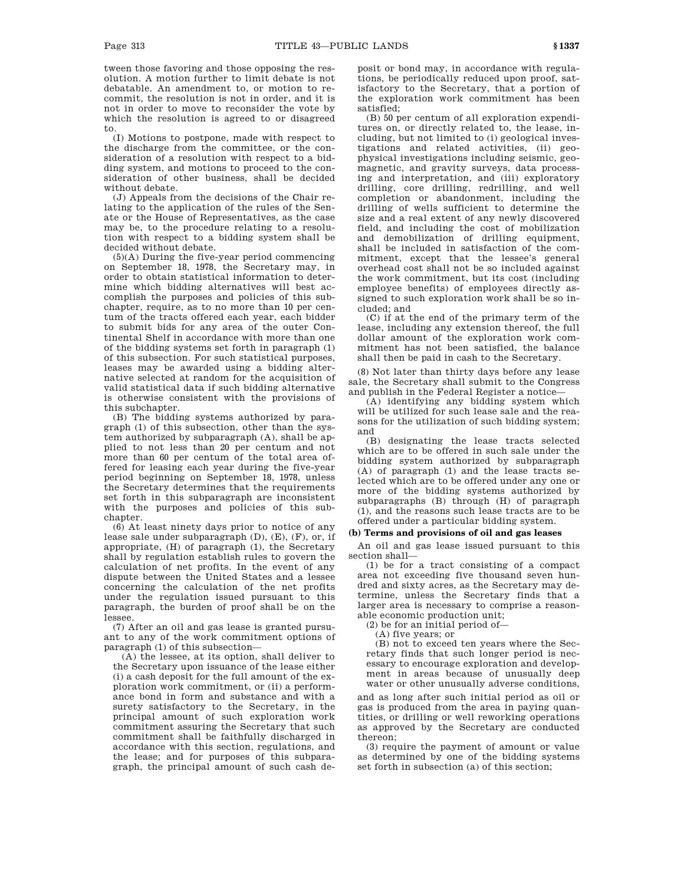tween those favoring and those opposing the resolution. A motion further to limit debate is not debatable. An amendment to, or motion to recommit, the resolution is not in order, and it is not in order to move to reconsider the vote by which the resolution is agreed to or disagreed to.

(I) Motions to postpone, made with respect to the discharge from the committee, or the consideration of a resolution with respect to a bidding system, and motions to proceed to the consideration of other business, shall be decided without debate.

(J) Appeals from the decisions of the Chair relating to the application of the rules of the Senate or the House of Representatives, as the case may be, to the procedure relating to a resolution with respect to a bidding system shall be decided without debate.

(5)(A) During the five-year period commencing on September 18, 1978, the Secretary may, in order to obtain statistical information to determine which bidding alternatives will best accomplish the purposes and policies of this subchapter, require, as to no more than 10 per centum of the tracts offered each year, each bidder to submit bids for any area of the outer Continental Shelf in accordance with more than one of the bidding systems set forth in paragraph (1) of this subsection. For such statistical purposes, leases may be awarded using a bidding alternative selected at random for the acquisition of valid statistical data if such bidding alternative is otherwise consistent with the provisions of this subchapter.

(B) The bidding systems authorized by paragraph (1) of this subsection, other than the system authorized by subparagraph (A), shall be applied to not less than 20 per centum and not more than 60 per centum of the total area offered for leasing each year during the five-year period beginning on September 18, 1978, unless the Secretary determines that the requirements set forth in this subparagraph are inconsistent with the purposes and policies of this subchapter.

(6) At least ninety days prior to notice of any lease sale under subparagraph  $(D)$ ,  $(E)$ ,  $(F)$ , or, if appropriate, (H) of paragraph (1), the Secretary shall by regulation establish rules to govern the calculation of net profits. In the event of any dispute between the United States and a lessee concerning the calculation of the net profits under the regulation issued pursuant to this paragraph, the burden of proof shall be on the lessee.

(7) After an oil and gas lease is granted pursuant to any of the work commitment options of paragraph (1) of this subsection—

(A) the lessee, at its option, shall deliver to the Secretary upon issuance of the lease either (i) a cash deposit for the full amount of the exploration work commitment, or (ii) a performance bond in form and substance and with a surety satisfactory to the Secretary, in the principal amount of such exploration work commitment assuring the Secretary that such commitment shall be faithfully discharged in accordance with this section, regulations, and the lease; and for purposes of this subparagraph, the principal amount of such cash deposit or bond may, in accordance with regulations, be periodically reduced upon proof, satisfactory to the Secretary, that a portion of the exploration work commitment has been satisfied;

(B) 50 per centum of all exploration expenditures on, or directly related to, the lease, including, but not limited to (i) geological investigations and related activities, (ii) geophysical investigations including seismic, geomagnetic, and gravity surveys, data processing and interpretation, and (iii) exploratory drilling, core drilling, redrilling, and well completion or abandonment, including the drilling of wells sufficient to determine the size and a real extent of any newly discovered field, and including the cost of mobilization and demobilization of drilling equipment, shall be included in satisfaction of the commitment, except that the lessee's general overhead cost shall not be so included against the work commitment, but its cost (including employee benefits) of employees directly assigned to such exploration work shall be so included; and

(C) if at the end of the primary term of the lease, including any extension thereof, the full dollar amount of the exploration work commitment has not been satisfied, the balance shall then be paid in cash to the Secretary.

(8) Not later than thirty days before any lease sale, the Secretary shall submit to the Congress and publish in the Federal Register a notice—

(A) identifying any bidding system which will be utilized for such lease sale and the reasons for the utilization of such bidding system; and

(B) designating the lease tracts selected which are to be offered in such sale under the bidding system authorized by subparagraph (A) of paragraph (1) and the lease tracts selected which are to be offered under any one or more of the bidding systems authorized by subparagraphs (B) through (H) of paragraph (1), and the reasons such lease tracts are to be offered under a particular bidding system.

## **(b) Terms and provisions of oil and gas leases**

An oil and gas lease issued pursuant to this section shall—

(1) be for a tract consisting of a compact area not exceeding five thousand seven hundred and sixty acres, as the Secretary may determine, unless the Secretary finds that a larger area is necessary to comprise a reasonable economic production unit;

(2) be for an initial period of—

(A) five years; or

(B) not to exceed ten years where the Secretary finds that such longer period is necessary to encourage exploration and development in areas because of unusually deep water or other unusually adverse conditions,

and as long after such initial period as oil or gas is produced from the area in paying quantities, or drilling or well reworking operations as approved by the Secretary are conducted thereon;

(3) require the payment of amount or value as determined by one of the bidding systems set forth in subsection (a) of this section;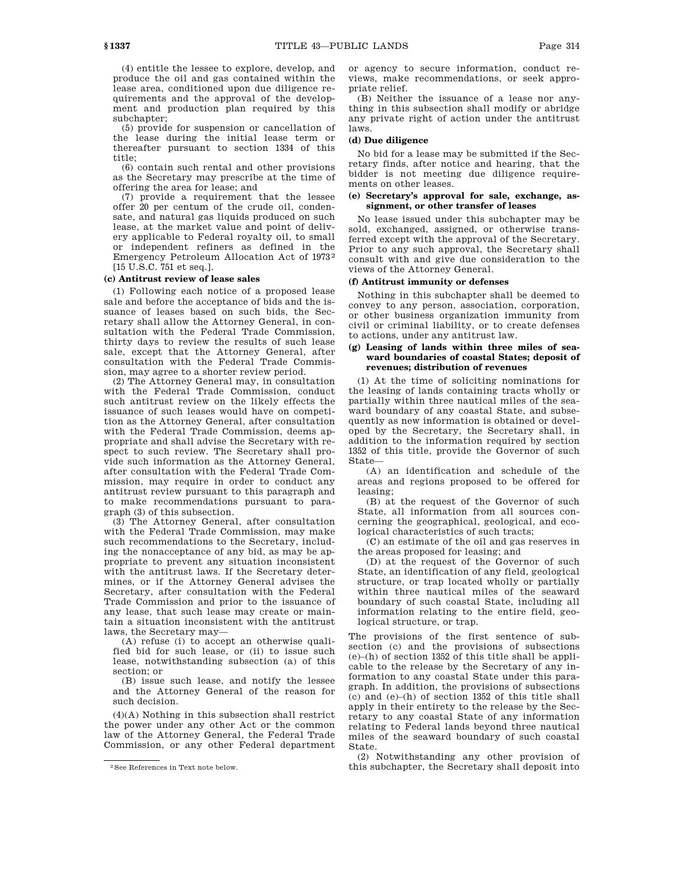(4) entitle the lessee to explore, develop, and produce the oil and gas contained within the lease area, conditioned upon due diligence requirements and the approval of the development and production plan required by this subchapter:

(5) provide for suspension or cancellation of the lease during the initial lease term or thereafter pursuant to section 1334 of this title;

(6) contain such rental and other provisions as the Secretary may prescribe at the time of offering the area for lease; and

(7) provide a requirement that the lessee offer 20 per centum of the crude oil, condensate, and natural gas liquids produced on such lease, at the market value and point of delivery applicable to Federal royalty oil, to small or independent refiners as defined in the Emergency Petroleum Allocation Act of 1973 2 [15 U.S.C. 751 et seq.].

#### **(c) Antitrust review of lease sales**

(1) Following each notice of a proposed lease sale and before the acceptance of bids and the issuance of leases based on such bids, the Secretary shall allow the Attorney General, in consultation with the Federal Trade Commission, thirty days to review the results of such lease sale, except that the Attorney General, after consultation with the Federal Trade Commission, may agree to a shorter review period.

(2) The Attorney General may, in consultation with the Federal Trade Commission, conduct such antitrust review on the likely effects the issuance of such leases would have on competition as the Attorney General, after consultation with the Federal Trade Commission, deems appropriate and shall advise the Secretary with respect to such review. The Secretary shall provide such information as the Attorney General, after consultation with the Federal Trade Commission, may require in order to conduct any antitrust review pursuant to this paragraph and to make recommendations pursuant to paragraph (3) of this subsection.

(3) The Attorney General, after consultation with the Federal Trade Commission, may make such recommendations to the Secretary, including the nonacceptance of any bid, as may be appropriate to prevent any situation inconsistent with the antitrust laws. If the Secretary determines, or if the Attorney General advises the Secretary, after consultation with the Federal Trade Commission and prior to the issuance of any lease, that such lease may create or maintain a situation inconsistent with the antitrust laws, the Secretary may—

(A) refuse (i) to accept an otherwise qualified bid for such lease, or (ii) to issue such lease, notwithstanding subsection (a) of this section; or

(B) issue such lease, and notify the lessee and the Attorney General of the reason for such decision.

(4)(A) Nothing in this subsection shall restrict the power under any other Act or the common law of the Attorney General, the Federal Trade Commission, or any other Federal department or agency to secure information, conduct reviews, make recommendations, or seek appropriate relief.

(B) Neither the issuance of a lease nor anything in this subsection shall modify or abridge any private right of action under the antitrust laws.

#### **(d) Due diligence**

No bid for a lease may be submitted if the Secretary finds, after notice and hearing, that the bidder is not meeting due diligence requirements on other leases.

#### **(e) Secretary's approval for sale, exchange, assignment, or other transfer of leases**

No lease issued under this subchapter may be sold, exchanged, assigned, or otherwise transferred except with the approval of the Secretary. Prior to any such approval, the Secretary shall consult with and give due consideration to the views of the Attorney General.

#### **(f) Antitrust immunity or defenses**

Nothing in this subchapter shall be deemed to convey to any person, association, corporation, or other business organization immunity from civil or criminal liability, or to create defenses to actions, under any antitrust law.

# **(g) Leasing of lands within three miles of seaward boundaries of coastal States; deposit of revenues; distribution of revenues**

(1) At the time of soliciting nominations for the leasing of lands containing tracts wholly or partially within three nautical miles of the seaward boundary of any coastal State, and subsequently as new information is obtained or developed by the Secretary, the Secretary shall, in addition to the information required by section 1352 of this title, provide the Governor of such State—

(A) an identification and schedule of the areas and regions proposed to be offered for leasing;

(B) at the request of the Governor of such State, all information from all sources concerning the geographical, geological, and ecological characteristics of such tracts;

(C) an estimate of the oil and gas reserves in the areas proposed for leasing; and

(D) at the request of the Governor of such State, an identification of any field, geological structure, or trap located wholly or partially within three nautical miles of the seaward boundary of such coastal State, including all information relating to the entire field, geological structure, or trap.

The provisions of the first sentence of subsection (c) and the provisions of subsections (e)–(h) of section 1352 of this title shall be applicable to the release by the Secretary of any information to any coastal State under this paragraph. In addition, the provisions of subsections (c) and (e)–(h) of section 1352 of this title shall apply in their entirety to the release by the Secretary to any coastal State of any information relating to Federal lands beyond three nautical miles of the seaward boundary of such coastal State.

(2) Notwithstanding any other provision of this subchapter, the Secretary shall deposit into

<sup>2</sup>See References in Text note below.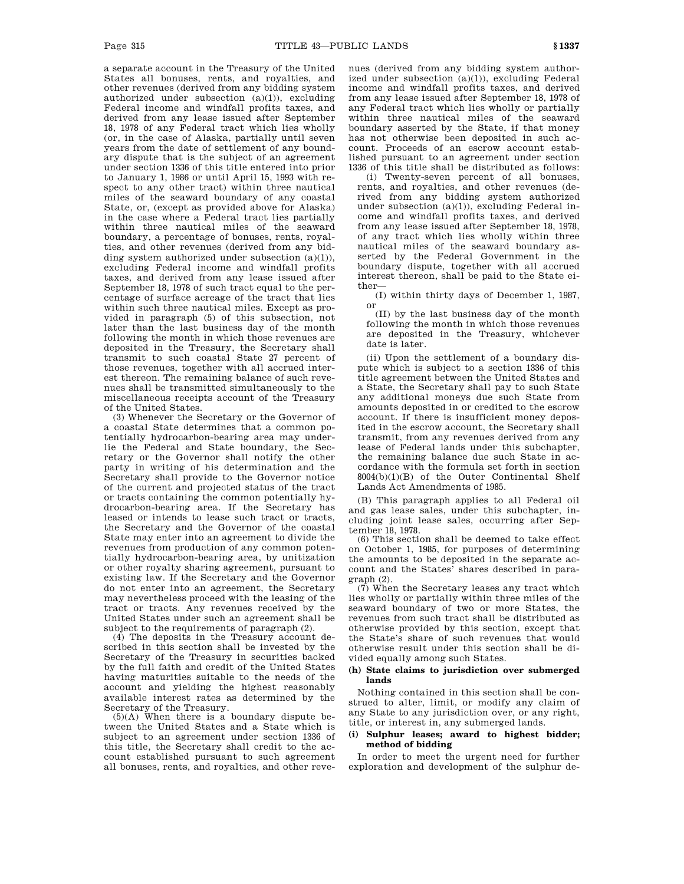a separate account in the Treasury of the United States all bonuses, rents, and royalties, and other revenues (derived from any bidding system authorized under subsection  $(a)(1)$ , excluding Federal income and windfall profits taxes, and derived from any lease issued after September 18, 1978 of any Federal tract which lies wholly (or, in the case of Alaska, partially until seven years from the date of settlement of any boundary dispute that is the subject of an agreement under section 1336 of this title entered into prior to January 1, 1986 or until April 15, 1993 with respect to any other tract) within three nautical miles of the seaward boundary of any coastal State, or, (except as provided above for Alaska) in the case where a Federal tract lies partially within three nautical miles of the seaward boundary, a percentage of bonuses, rents, royalties, and other revenues (derived from any bidding system authorized under subsection  $(a)(1)$ ), excluding Federal income and windfall profits taxes, and derived from any lease issued after September 18, 1978 of such tract equal to the percentage of surface acreage of the tract that lies within such three nautical miles. Except as provided in paragraph (5) of this subsection, not later than the last business day of the month following the month in which those revenues are deposited in the Treasury, the Secretary shall transmit to such coastal State 27 percent of those revenues, together with all accrued interest thereon. The remaining balance of such revenues shall be transmitted simultaneously to the miscellaneous receipts account of the Treasury of the United States.

(3) Whenever the Secretary or the Governor of a coastal State determines that a common potentially hydrocarbon-bearing area may underlie the Federal and State boundary, the Secretary or the Governor shall notify the other party in writing of his determination and the Secretary shall provide to the Governor notice of the current and projected status of the tract or tracts containing the common potentially hydrocarbon-bearing area. If the Secretary has leased or intends to lease such tract or tracts, the Secretary and the Governor of the coastal State may enter into an agreement to divide the revenues from production of any common potentially hydrocarbon-bearing area, by unitization or other royalty sharing agreement, pursuant to existing law. If the Secretary and the Governor do not enter into an agreement, the Secretary may nevertheless proceed with the leasing of the tract or tracts. Any revenues received by the United States under such an agreement shall be subject to the requirements of paragraph (2).

(4) The deposits in the Treasury account described in this section shall be invested by the Secretary of the Treasury in securities backed by the full faith and credit of the United States having maturities suitable to the needs of the account and yielding the highest reasonably available interest rates as determined by the Secretary of the Treasury.

 $(5)(A)$  When there is a boundary dispute between the United States and a State which is subject to an agreement under section 1336 of this title, the Secretary shall credit to the account established pursuant to such agreement all bonuses, rents, and royalties, and other revenues (derived from any bidding system authorized under subsection (a)(1)), excluding Federal income and windfall profits taxes, and derived from any lease issued after September 18, 1978 of any Federal tract which lies wholly or partially within three nautical miles of the seaward boundary asserted by the State, if that money has not otherwise been deposited in such account. Proceeds of an escrow account established pursuant to an agreement under section 1336 of this title shall be distributed as follows:

(i) Twenty-seven percent of all bonuses, rents, and royalties, and other revenues (derived from any bidding system authorized under subsection  $(a)(1)$ , excluding Federal income and windfall profits taxes, and derived from any lease issued after September 18, 1978, of any tract which lies wholly within three nautical miles of the seaward boundary asserted by the Federal Government in the boundary dispute, together with all accrued interest thereon, shall be paid to the State either—

(I) within thirty days of December 1, 1987, or

(II) by the last business day of the month following the month in which those revenues are deposited in the Treasury, whichever date is later.

(ii) Upon the settlement of a boundary dispute which is subject to a section 1336 of this title agreement between the United States and a State, the Secretary shall pay to such State any additional moneys due such State from amounts deposited in or credited to the escrow account. If there is insufficient money deposited in the escrow account, the Secretary shall transmit, from any revenues derived from any lease of Federal lands under this subchapter, the remaining balance due such State in accordance with the formula set forth in section 8004(b)(1)(B) of the Outer Continental Shelf Lands Act Amendments of 1985.

(B) This paragraph applies to all Federal oil and gas lease sales, under this subchapter, including joint lease sales, occurring after September 18, 1978.

(6) This section shall be deemed to take effect on October 1, 1985, for purposes of determining the amounts to be deposited in the separate account and the States' shares described in paragraph (2).

(7) When the Secretary leases any tract which lies wholly or partially within three miles of the seaward boundary of two or more States, the revenues from such tract shall be distributed as otherwise provided by this section, except that the State's share of such revenues that would otherwise result under this section shall be divided equally among such States.

# **(h) State claims to jurisdiction over submerged lands**

Nothing contained in this section shall be construed to alter, limit, or modify any claim of any State to any jurisdiction over, or any right, title, or interest in, any submerged lands.

# **(i) Sulphur leases; award to highest bidder; method of bidding**

In order to meet the urgent need for further exploration and development of the sulphur de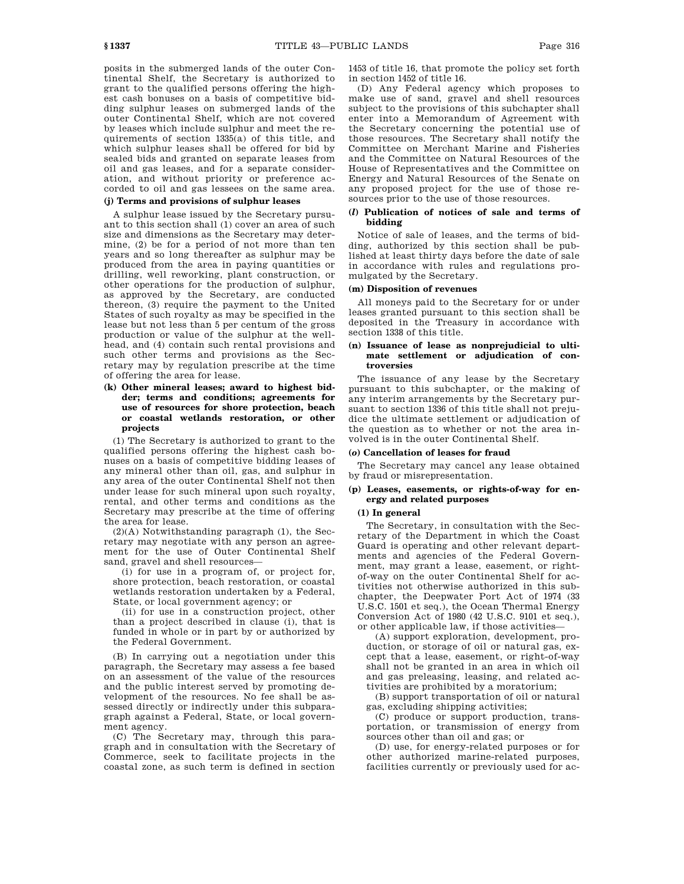posits in the submerged lands of the outer Continental Shelf, the Secretary is authorized to grant to the qualified persons offering the highest cash bonuses on a basis of competitive bidding sulphur leases on submerged lands of the

outer Continental Shelf, which are not covered by leases which include sulphur and meet the requirements of section 1335(a) of this title, and which sulphur leases shall be offered for bid by sealed bids and granted on separate leases from oil and gas leases, and for a separate consideration, and without priority or preference accorded to oil and gas lessees on the same area.

# **(j) Terms and provisions of sulphur leases**

A sulphur lease issued by the Secretary pursuant to this section shall (1) cover an area of such size and dimensions as the Secretary may determine, (2) be for a period of not more than ten years and so long thereafter as sulphur may be produced from the area in paying quantities or drilling, well reworking, plant construction, or other operations for the production of sulphur, as approved by the Secretary, are conducted thereon, (3) require the payment to the United States of such royalty as may be specified in the lease but not less than 5 per centum of the gross production or value of the sulphur at the wellhead, and (4) contain such rental provisions and such other terms and provisions as the Secretary may by regulation prescribe at the time of offering the area for lease.

## **(k) Other mineral leases; award to highest bidder; terms and conditions; agreements for use of resources for shore protection, beach or coastal wetlands restoration, or other projects**

(1) The Secretary is authorized to grant to the qualified persons offering the highest cash bonuses on a basis of competitive bidding leases of any mineral other than oil, gas, and sulphur in any area of the outer Continental Shelf not then under lease for such mineral upon such royalty, rental, and other terms and conditions as the Secretary may prescribe at the time of offering the area for lease.

(2)(A) Notwithstanding paragraph (1), the Secretary may negotiate with any person an agreement for the use of Outer Continental Shelf sand, gravel and shell resources—

(i) for use in a program of, or project for, shore protection, beach restoration, or coastal wetlands restoration undertaken by a Federal, State, or local government agency; or

(ii) for use in a construction project, other than a project described in clause (i), that is funded in whole or in part by or authorized by the Federal Government.

(B) In carrying out a negotiation under this paragraph, the Secretary may assess a fee based on an assessment of the value of the resources and the public interest served by promoting development of the resources. No fee shall be assessed directly or indirectly under this subparagraph against a Federal, State, or local government agency.

(C) The Secretary may, through this paragraph and in consultation with the Secretary of Commerce, seek to facilitate projects in the coastal zone, as such term is defined in section

1453 of title 16, that promote the policy set forth in section 1452 of title 16.

(D) Any Federal agency which proposes to make use of sand, gravel and shell resources subject to the provisions of this subchapter shall enter into a Memorandum of Agreement with the Secretary concerning the potential use of those resources. The Secretary shall notify the Committee on Merchant Marine and Fisheries and the Committee on Natural Resources of the House of Representatives and the Committee on Energy and Natural Resources of the Senate on any proposed project for the use of those resources prior to the use of those resources.

#### **(***l***) Publication of notices of sale and terms of bidding**

Notice of sale of leases, and the terms of bidding, authorized by this section shall be published at least thirty days before the date of sale in accordance with rules and regulations promulgated by the Secretary.

# **(m) Disposition of revenues**

All moneys paid to the Secretary for or under leases granted pursuant to this section shall be deposited in the Treasury in accordance with section 1338 of this title.

## **(n) Issuance of lease as nonprejudicial to ultimate settlement or adjudication of controversies**

The issuance of any lease by the Secretary pursuant to this subchapter, or the making of any interim arrangements by the Secretary pursuant to section 1336 of this title shall not prejudice the ultimate settlement or adjudication of the question as to whether or not the area involved is in the outer Continental Shelf.

#### **(***o***) Cancellation of leases for fraud**

The Secretary may cancel any lease obtained by fraud or misrepresentation.

# **(p) Leases, easements, or rights-of-way for energy and related purposes**

#### **(1) In general**

The Secretary, in consultation with the Secretary of the Department in which the Coast Guard is operating and other relevant departments and agencies of the Federal Government, may grant a lease, easement, or rightof-way on the outer Continental Shelf for activities not otherwise authorized in this subchapter, the Deepwater Port Act of 1974 (33 U.S.C. 1501 et seq.), the Ocean Thermal Energy Conversion Act of 1980 (42 U.S.C. 9101 et seq.), or other applicable law, if those activities—

(A) support exploration, development, production, or storage of oil or natural gas, except that a lease, easement, or right-of-way shall not be granted in an area in which oil and gas preleasing, leasing, and related activities are prohibited by a moratorium;

(B) support transportation of oil or natural gas, excluding shipping activities;

(C) produce or support production, transportation, or transmission of energy from sources other than oil and gas; or

(D) use, for energy-related purposes or for other authorized marine-related purposes, facilities currently or previously used for ac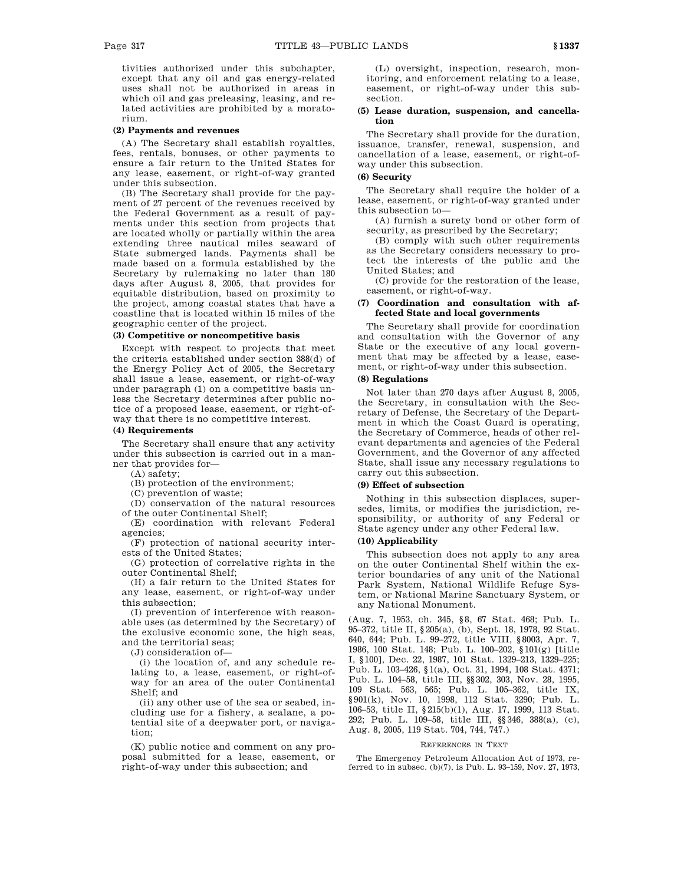tivities authorized under this subchapter, except that any oil and gas energy-related uses shall not be authorized in areas in which oil and gas preleasing, leasing, and related activities are prohibited by a moratorium.

# **(2) Payments and revenues**

(A) The Secretary shall establish royalties, fees, rentals, bonuses, or other payments to ensure a fair return to the United States for any lease, easement, or right-of-way granted under this subsection.

(B) The Secretary shall provide for the payment of 27 percent of the revenues received by the Federal Government as a result of payments under this section from projects that are located wholly or partially within the area extending three nautical miles seaward of State submerged lands. Payments shall be made based on a formula established by the Secretary by rulemaking no later than 180 days after August 8, 2005, that provides for equitable distribution, based on proximity to the project, among coastal states that have a coastline that is located within 15 miles of the geographic center of the project.

# **(3) Competitive or noncompetitive basis**

Except with respect to projects that meet the criteria established under section 388(d) of the Energy Policy Act of 2005, the Secretary shall issue a lease, easement, or right-of-way under paragraph (1) on a competitive basis unless the Secretary determines after public notice of a proposed lease, easement, or right-ofway that there is no competitive interest.

# **(4) Requirements**

The Secretary shall ensure that any activity under this subsection is carried out in a manner that provides for—

(A) safety;

(B) protection of the environment;

(C) prevention of waste;

(D) conservation of the natural resources of the outer Continental Shelf;

(E) coordination with relevant Federal agencies;

(F) protection of national security interests of the United States;

(G) protection of correlative rights in the outer Continental Shelf;

(H) a fair return to the United States for any lease, easement, or right-of-way under this subsection;

(I) prevention of interference with reasonable uses (as determined by the Secretary) of the exclusive economic zone, the high seas, and the territorial seas;

(J) consideration of—

(i) the location of, and any schedule relating to, a lease, easement, or right-ofway for an area of the outer Continental Shelf; and

(ii) any other use of the sea or seabed, including use for a fishery, a sealane, a potential site of a deepwater port, or navigation;

(K) public notice and comment on any proposal submitted for a lease, easement, or right-of-way under this subsection; and

(L) oversight, inspection, research, monitoring, and enforcement relating to a lease, easement, or right-of-way under this subsection.

#### **(5) Lease duration, suspension, and cancellation**

The Secretary shall provide for the duration, issuance, transfer, renewal, suspension, and cancellation of a lease, easement, or right-ofway under this subsection.

# **(6) Security**

The Secretary shall require the holder of a lease, easement, or right-of-way granted under this subsection to—

(A) furnish a surety bond or other form of security, as prescribed by the Secretary;

(B) comply with such other requirements as the Secretary considers necessary to protect the interests of the public and the United States; and

(C) provide for the restoration of the lease, easement, or right-of-way.

## **(7) Coordination and consultation with affected State and local governments**

The Secretary shall provide for coordination and consultation with the Governor of any State or the executive of any local government that may be affected by a lease, easement, or right-of-way under this subsection.

# **(8) Regulations**

Not later than 270 days after August 8, 2005, the Secretary, in consultation with the Secretary of Defense, the Secretary of the Department in which the Coast Guard is operating, the Secretary of Commerce, heads of other relevant departments and agencies of the Federal Government, and the Governor of any affected State, shall issue any necessary regulations to carry out this subsection.

#### **(9) Effect of subsection**

Nothing in this subsection displaces, supersedes, limits, or modifies the jurisdiction, responsibility, or authority of any Federal or State agency under any other Federal law.

## **(10) Applicability**

This subsection does not apply to any area on the outer Continental Shelf within the exterior boundaries of any unit of the National Park System, National Wildlife Refuge System, or National Marine Sanctuary System, or any National Monument.

(Aug. 7, 1953, ch. 345, §8, 67 Stat. 468; Pub. L. 95–372, title II, §205(a), (b), Sept. 18, 1978, 92 Stat. 640, 644; Pub. L. 99–272, title VIII, §8003, Apr. 7, 1986, 100 Stat. 148; Pub. L. 100–202, §101(g) [title I, §100], Dec. 22, 1987, 101 Stat. 1329–213, 1329–225; Pub. L. 103–426, §1(a), Oct. 31, 1994, 108 Stat. 4371; Pub. L. 104–58, title III, §§302, 303, Nov. 28, 1995, 109 Stat. 563, 565; Pub. L. 105–362, title IX, §901(k), Nov. 10, 1998, 112 Stat. 3290; Pub. L. 106–53, title II, §215(b)(1), Aug. 17, 1999, 113 Stat. 292; Pub. L. 109–58, title III, §§346, 388(a), (c), Aug. 8, 2005, 119 Stat. 704, 744, 747.)

#### REFERENCES IN TEXT

The Emergency Petroleum Allocation Act of 1973, referred to in subsec. (b)(7), is Pub. L. 93–159, Nov. 27, 1973,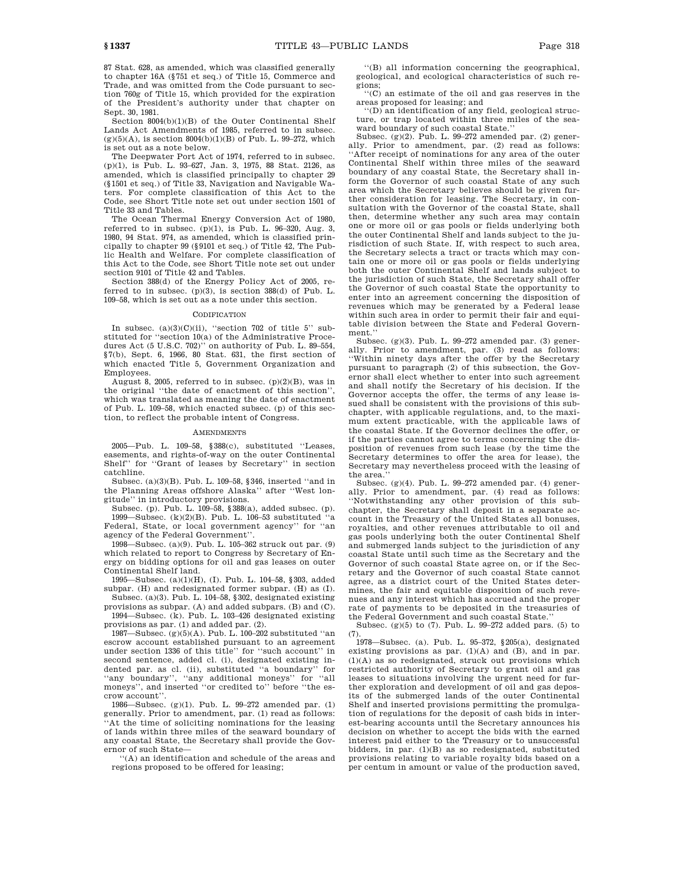87 Stat. 628, as amended, which was classified generally to chapter 16A (§751 et seq.) of Title 15, Commerce and Trade, and was omitted from the Code pursuant to section 760g of Title 15, which provided for the expiration of the President's authority under that chapter on Sept. 30, 1981.

Section 8004(b)(1)(B) of the Outer Continental Shelf Lands Act Amendments of 1985, referred to in subsec.  $(g)(5)(A)$ , is section 8004(b)(1)(B) of Pub. L. 99–272, which is set out as a note below.

The Deepwater Port Act of 1974, referred to in subsec. (p)(1), is Pub. L. 93–627, Jan. 3, 1975, 88 Stat. 2126, as amended, which is classified principally to chapter 29 (§1501 et seq.) of Title 33, Navigation and Navigable Waters. For complete classification of this Act to the Code, see Short Title note set out under section 1501 of Title 33 and Tables.

The Ocean Thermal Energy Conversion Act of 1980, referred to in subsec.  $(p)(1)$ , is Pub. L. 96-320, Aug. 3, 1980, 94 Stat. 974, as amended, which is classified principally to chapter 99 (§9101 et seq.) of Title 42, The Public Health and Welfare. For complete classification of this Act to the Code, see Short Title note set out under section 9101 of Title 42 and Tables.

Section 388(d) of the Energy Policy Act of 2005, referred to in subsec. (p)(3), is section 388(d) of Pub. L. 109–58, which is set out as a note under this section.

#### CODIFICATION

In subsec.  $(a)(3)(C)(ii)$ , "section 702 of title 5" substituted for ''section 10(a) of the Administrative Procedures Act (5 U.S.C. 702)" on authority of Pub. L. 89-554, §7(b), Sept. 6, 1966, 80 Stat. 631, the first section of which enacted Title 5, Government Organization and Employees.

August 8, 2005, referred to in subsec. (p)(2)(B), was in the original ''the date of enactment of this section'', which was translated as meaning the date of enactment of Pub. L. 109–58, which enacted subsec. (p) of this section, to reflect the probable intent of Congress.

#### AMENDMENTS

2005—Pub. L. 109–58, §388(c), substituted ''Leases, easements, and rights-of-way on the outer Continental Shelf'' for ''Grant of leases by Secretary'' in section catchline.

Subsec. (a)(3)(B). Pub. L. 109–58, §346, inserted ''and in the Planning Areas offshore Alaska'' after ''West longitude'' in introductory provisions.

Subsec. (p). Pub. L. 109–58, §388(a), added subsec. (p). 1999—Subsec. (k)(2)(B). Pub. L. 106–53 substituted ''a Federal, State, or local government agency'' for ''an agency of the Federal Government''.

1998—Subsec. (a)(9). Pub. L. 105–362 struck out par. (9) which related to report to Congress by Secretary of Energy on bidding options for oil and gas leases on outer Continental Shelf land.

1995—Subsec. (a)(1)(H), (I). Pub. L. 104–58, §303, added subpar. (H) and redesignated former subpar. (H) as (I). Subsec. (a)(3). Pub. L. 104–58, §302, designated existing

provisions as subpar. (A) and added subpars. (B) and (C). 1994—Subsec. (k). Pub. L. 103–426 designated existing provisions as par. (1) and added par. (2).

1987—Subsec. (g)(5)(A). Pub. L. 100–202 substituted ''an escrow account established pursuant to an agreement under section 1336 of this title'' for ''such account'' in second sentence, added cl. (i), designated existing indented par. as cl. (ii), substituted ''a boundary'' for "any boundary", "any additional moneys" for "all moneys'', and inserted ''or credited to'' before ''the escrow account''.

1986—Subsec. (g)(1). Pub. L. 99–272 amended par. (1) generally. Prior to amendment, par. (1) read as follows: ''At the time of soliciting nominations for the leasing of lands within three miles of the seaward boundary of any coastal State, the Secretary shall provide the Governor of such State—

''(A) an identification and schedule of the areas and regions proposed to be offered for leasing;

''(B) all information concerning the geographical, geological, and ecological characteristics of such regions;

''(C) an estimate of the oil and gas reserves in the areas proposed for leasing; and

''(D) an identification of any field, geological structure, or trap located within three miles of the seaward boundary of such coastal State.'' Subsec. (g)(2). Pub. L. 99–272 amended par. (2) gener-

ally. Prior to amendment, par. (2) read as follows: ''After receipt of nominations for any area of the outer Continental Shelf within three miles of the seaward boundary of any coastal State, the Secretary shall inform the Governor of such coastal State of any such area which the Secretary believes should be given further consideration for leasing. The Secretary, in consultation with the Governor of the coastal State, shall then, determine whether any such area may contain one or more oil or gas pools or fields underlying both the outer Continental Shelf and lands subject to the jurisdiction of such State. If, with respect to such area, the Secretary selects a tract or tracts which may contain one or more oil or gas pools or fields underlying both the outer Continental Shelf and lands subject to the jurisdiction of such State, the Secretary shall offer the Governor of such coastal State the opportunity to enter into an agreement concerning the disposition of revenues which may be generated by a Federal lease within such area in order to permit their fair and equitable division between the State and Federal Government.''

Subsec.  $(g)(3)$ . Pub. L. 99–272 amended par.  $(3)$  generally. Prior to amendment, par. (3) read as follows: ''Within ninety days after the offer by the Secretary pursuant to paragraph (2) of this subsection, the Governor shall elect whether to enter into such agreement and shall notify the Secretary of his decision. If the Governor accepts the offer, the terms of any lease issued shall be consistent with the provisions of this subchapter, with applicable regulations, and, to the maximum extent practicable, with the applicable laws of the coastal State. If the Governor declines the offer, or if the parties cannot agree to terms concerning the disposition of revenues from such lease (by the time the Secretary determines to offer the area for lease), the Secretary may nevertheless proceed with the leasing of the area.

Subsec. (g)(4). Pub. L. 99–272 amended par. (4) generally. Prior to amendment, par. (4) read as follows: ''Notwithstanding any other provision of this subchapter, the Secretary shall deposit in a separate account in the Treasury of the United States all bonuses, royalties, and other revenues attributable to oil and gas pools underlying both the outer Continental Shelf and submerged lands subject to the jurisdiction of any coastal State until such time as the Secretary and the Governor of such coastal State agree on, or if the Secretary and the Governor of such coastal State cannot agree, as a district court of the United States determines, the fair and equitable disposition of such revenues and any interest which has accrued and the proper rate of payments to be deposited in the treasuries of

the Federal Government and such coastal State.'' Subsec. (g)(5) to (7). Pub. L. 99–272 added pars. (5) to (7).

1978—Subsec. (a). Pub. L. 95–372, §205(a), designated existing provisions as par.  $(1)(A)$  and  $(B)$ , and in par. (1)(A) as so redesignated, struck out provisions which restricted authority of Secretary to grant oil and gas leases to situations involving the urgent need for further exploration and development of oil and gas deposits of the submerged lands of the outer Continental Shelf and inserted provisions permitting the promulgation of regulations for the deposit of cash bids in interest-bearing accounts until the Secretary announces his decision on whether to accept the bids with the earned interest paid either to the Treasury or to unsuccessful bidders, in par. (1)(B) as so redesignated, substituted provisions relating to variable royalty bids based on a per centum in amount or value of the production saved,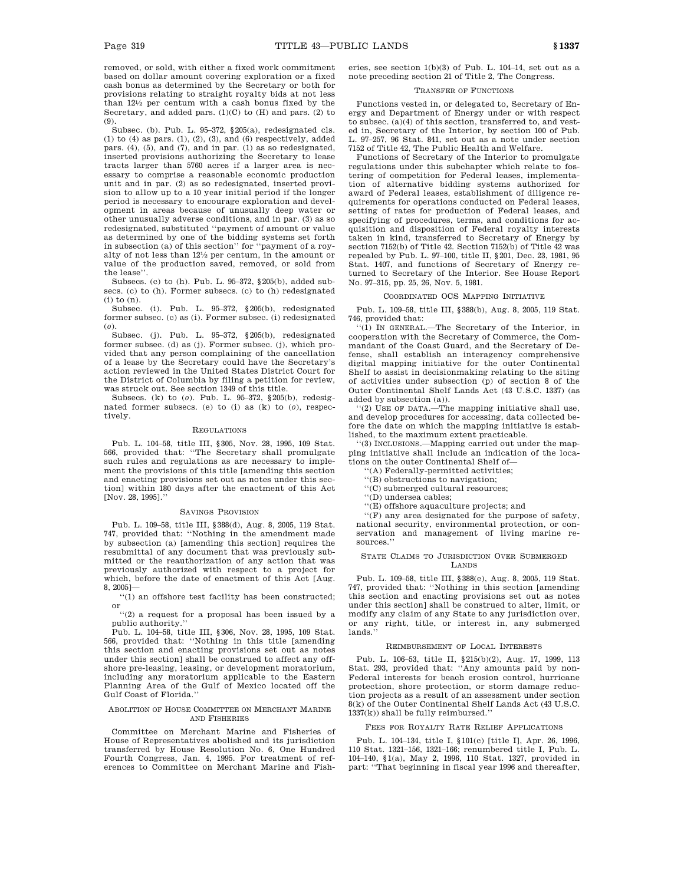eries, see section 1(b)(3) of Pub. L. 104–14, set out as a note preceding section 21 of Title 2, The Congress.

#### TRANSFER OF FUNCTIONS

Functions vested in, or delegated to, Secretary of Energy and Department of Energy under or with respect to subsec. (a)(4) of this section, transferred to, and vested in, Secretary of the Interior, by section 100 of Pub. L. 97–257, 96 Stat. 841, set out as a note under section 7152 of Title 42, The Public Health and Welfare.

Functions of Secretary of the Interior to promulgate regulations under this subchapter which relate to fostering of competition for Federal leases, implementation of alternative bidding systems authorized for award of Federal leases, establishment of diligence requirements for operations conducted on Federal leases, setting of rates for production of Federal leases, and specifying of procedures, terms, and conditions for acquisition and disposition of Federal royalty interests taken in kind, transferred to Secretary of Energy by section 7152(b) of Title 42. Section 7152(b) of Title 42 was repealed by Pub. L. 97–100, title II, §201, Dec. 23, 1981, 95 Stat. 1407, and functions of Secretary of Energy returned to Secretary of the Interior. See House Report No. 97–315, pp. 25, 26, Nov. 5, 1981.

#### COORDINATED OCS MAPPING INITIATIVE

Pub. L. 109–58, title III, §388(b), Aug. 8, 2005, 119 Stat. 746, provided that:

 $\cdot$ (1) IN GENERAL.—The Secretary of the Interior, in cooperation with the Secretary of Commerce, the Commandant of the Coast Guard, and the Secretary of Defense, shall establish an interagency comprehensive digital mapping initiative for the outer Continental Shelf to assist in decisionmaking relating to the siting of activities under subsection (p) of section 8 of the Outer Continental Shelf Lands Act (43 U.S.C. 1337) (as added by subsection (a)).

''(2) USE OF DATA.—The mapping initiative shall use, and develop procedures for accessing, data collected before the date on which the mapping initiative is established, to the maximum extent practicable.

''(3) INCLUSIONS.—Mapping carried out under the mapping initiative shall include an indication of the locations on the outer Continental Shelf of—

''(A) Federally-permitted activities;

''(B) obstructions to navigation;

''(C) submerged cultural resources;

''(D) undersea cables;

''(E) offshore aquaculture projects; and

''(F) any area designated for the purpose of safety, national security, environmental protection, or conservation and management of living marine resources.''

#### STATE CLAIMS TO JURISDICTION OVER SUBMERGED LANDS

Pub. L. 109–58, title III, §388(e), Aug. 8, 2005, 119 Stat. 747, provided that: ''Nothing in this section [amending this section and enacting provisions set out as notes under this section] shall be construed to alter, limit, or modify any claim of any State to any jurisdiction over, or any right, title, or interest in, any submerged lands.''

#### REIMBURSEMENT OF LOCAL INTERESTS

Pub. L. 106–53, title II, §215(b)(2), Aug. 17, 1999, 113 Stat. 293, provided that: ''Any amounts paid by non-Federal interests for beach erosion control, hurricane protection, shore protection, or storm damage reduction projects as a result of an assessment under section 8(k) of the Outer Continental Shelf Lands Act (43 U.S.C. 1337(k)) shall be fully reimbursed.''

#### FEES FOR ROYALTY RATE RELIEF APPLICATIONS

Pub. L. 104–134, title I, §101(c) [title I], Apr. 26, 1996, 110 Stat. 1321–156, 1321–166; renumbered title I, Pub. L. 104–140, §1(a), May 2, 1996, 110 Stat. 1327, provided in part: ''That beginning in fiscal year 1996 and thereafter,

removed, or sold, with either a fixed work commitment based on dollar amount covering exploration or a fixed cash bonus as determined by the Secretary or both for provisions relating to straight royalty bids at not less than 121 ⁄2 per centum with a cash bonus fixed by the Secretary, and added pars.  $(1)(C)$  to  $(H)$  and pars.  $(2)$  to (9).

Subsec. (b). Pub. L. 95–372, §205(a), redesignated cls. (1) to (4) as pars. (1), (2), (3), and (6) respectively, added pars. (4), (5), and (7), and in par. (1) as so redesignated, inserted provisions authorizing the Secretary to lease tracts larger than 5760 acres if a larger area is necessary to comprise a reasonable economic production unit and in par. (2) as so redesignated, inserted provision to allow up to a 10 year initial period if the longer period is necessary to encourage exploration and development in areas because of unusually deep water or other unusually adverse conditions, and in par. (3) as so redesignated, substituted ''payment of amount or value as determined by one of the bidding systems set forth in subsection (a) of this section'' for ''payment of a royalty of not less than 121 ⁄2 per centum, in the amount or value of the production saved, removed, or sold from the lease''.

Subsecs. (c) to (h). Pub. L. 95–372, §205(b), added subsecs. (c) to (h). Former subsecs. (c) to (h) redesignated  $(i)$  to  $(n)$ .

Subsec. (i). Pub. L. 95–372, §205(b), redesignated former subsec. (c) as (i). Former subsec. (i) redesignated (*o*).

Subsec. (j). Pub. L. 95–372, §205(b), redesignated former subsec. (d) as (j). Former subsec. (j), which provided that any person complaining of the cancellation of a lease by the Secretary could have the Secretary's action reviewed in the United States District Court for the District of Columbia by filing a petition for review, was struck out. See section 1349 of this title.

Subsecs. (k) to (*o*). Pub. L. 95–372, §205(b), redesignated former subsecs. (e) to (i) as (k) to (*o*), respectively.

#### REGULATIONS

Pub. L. 104–58, title III, §305, Nov. 28, 1995, 109 Stat. 566, provided that: ''The Secretary shall promulgate such rules and regulations as are necessary to implement the provisions of this title [amending this section and enacting provisions set out as notes under this section] within 180 days after the enactment of this Act [Nov. 28, 1995].''

#### SAVINGS PROVISION

Pub. L. 109–58, title III, §388(d), Aug. 8, 2005, 119 Stat. 747, provided that: ''Nothing in the amendment made by subsection (a) [amending this section] requires the resubmittal of any document that was previously submitted or the reauthorization of any action that was previously authorized with respect to a project for which, before the date of enactment of this Act [Aug. 8, 2005]—

''(1) an offshore test facility has been constructed; or

''(2) a request for a proposal has been issued by a public authority.''

Pub. L. 104–58, title III, §306, Nov. 28, 1995, 109 Stat. 566, provided that: ''Nothing in this title [amending this section and enacting provisions set out as notes under this section] shall be construed to affect any offshore pre-leasing, leasing, or development moratorium, including any moratorium applicable to the Eastern Planning Area of the Gulf of Mexico located off the Gulf Coast of Florida.''

#### ABOLITION OF HOUSE COMMITTEE ON MERCHANT MARINE AND FISHERIES

Committee on Merchant Marine and Fisheries of House of Representatives abolished and its jurisdiction transferred by House Resolution No. 6, One Hundred Fourth Congress, Jan. 4, 1995. For treatment of references to Committee on Merchant Marine and Fish-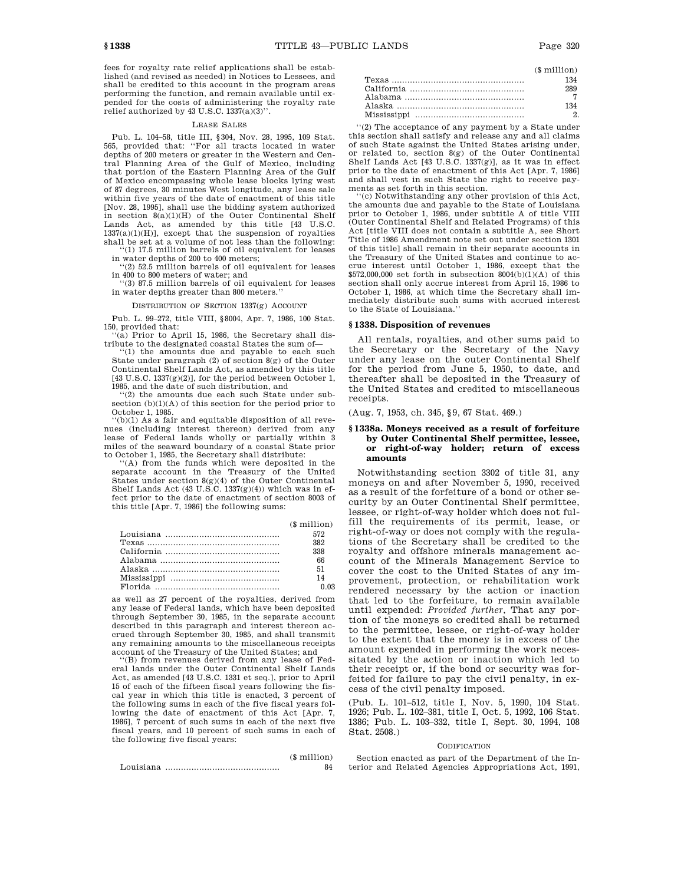fees for royalty rate relief applications shall be established (and revised as needed) in Notices to Lessees, and shall be credited to this account in the program areas performing the function, and remain available until expended for the costs of administering the royalty rate relief authorized by 43 U.S.C. 1337(a)(3)''.

#### LEASE SALES

Pub. L. 104–58, title III, §304, Nov. 28, 1995, 109 Stat. 565, provided that: ''For all tracts located in water depths of 200 meters or greater in the Western and Central Planning Area of the Gulf of Mexico, including that portion of the Eastern Planning Area of the Gulf of Mexico encompassing whole lease blocks lying west of 87 degrees, 30 minutes West longitude, any lease sale within five years of the date of enactment of this title [Nov. 28, 1995], shall use the bidding system authorized in section  $8(a)(1)(H)$  of the Outer Continental Shelf Lands Act, as amended by this title [43 U.S.C.  $1337(a)(1)(H)$ , except that the suspension of royalties shall be set at a volume of not less than the following:

''(1) 17.5 million barrels of oil equivalent for leases in water depths of 200 to 400 meters;

''(2) 52.5 million barrels of oil equivalent for leases in 400 to 800 meters of water; and

'(3) 87.5 million barrels of oil equivalent for leases in water depths greater than 800 meters.

DISTRIBUTION OF SECTION 1337(g) ACCOUNT

Pub. L. 99–272, title VIII, §8004, Apr. 7, 1986, 100 Stat. 150, provided that:

 $($ a) Prior to April 15, 1986, the Secretary shall distribute to the designated coastal States the sum of—

''(1) the amounts due and payable to each such State under paragraph (2) of section 8(g) of the Outer Continental Shelf Lands Act, as amended by this title  $[43 \text{ U.S.C. } 1337(g)(2)]$ , for the period between October 1, 1985, and the date of such distribution, and

''(2) the amounts due each such State under subsection  $(b)(1)(A)$  of this section for the period prior to October 1, 1985.

''(b)(1) As a fair and equitable disposition of all revenues (including interest thereon) derived from any lease of Federal lands wholly or partially within 3 miles of the seaward boundary of a coastal State prior

to October 1, 1985, the Secretary shall distribute: ''(A) from the funds which were deposited in the separate account in the Treasury of the United States under section  $8(g)(4)$  of the Outer Continental Shelf Lands Act  $(43 \text{ U.S.C. } 1337(g)(4))$  which was in effect prior to the date of enactment of section 8003 of this title [Apr. 7, 1986] the following sums:

| (\$ million) |
|--------------|
| 572          |
| 382          |
| 338          |
| 66           |
| .51          |
| 14           |
|              |

as well as 27 percent of the royalties, derived from any lease of Federal lands, which have been deposited through September 30, 1985, in the separate account described in this paragraph and interest thereon accrued through September 30, 1985, and shall transmit any remaining amounts to the miscellaneous receipts account of the Treasury of the United States; and

''(B) from revenues derived from any lease of Federal lands under the Outer Continental Shelf Lands Act, as amended [43 U.S.C. 1331 et seq.], prior to April 15 of each of the fifteen fiscal years following the fiscal year in which this title is enacted, 3 percent of the following sums in each of the five fiscal years following the date of enactment of this Act [Apr. 7, 1986], 7 percent of such sums in each of the next five fiscal years, and 10 percent of such sums in each of the following five fiscal years:

(\$ million) Louisiana ............................................ 84

(\$ million) Texas ................................................... 134 California ............................................ 289 Alabama .............................................. 7 Alaska ................................................. 134 Mississippi .......................................... 2.

''(2) The acceptance of any payment by a State under this section shall satisfy and release any and all claims of such State against the United States arising under, or related to, section 8(g) of the Outer Continental Shelf Lands Act [43 U.S.C. 1337(g)], as it was in effect prior to the date of enactment of this Act [Apr. 7, 1986] and shall vest in such State the right to receive payments as set forth in this section.

''(c) Notwithstanding any other provision of this Act, the amounts due and payable to the State of Louisiana prior to October 1, 1986, under subtitle A of title VIII (Outer Continental Shelf and Related Programs) of this Act [title VIII does not contain a subtitle A, see Short Title of 1986 Amendment note set out under section 1301 of this title] shall remain in their separate accounts in the Treasury of the United States and continue to accrue interest until October 1, 1986, except that the  $$572,000,000$  set forth in subsection  $8004(b)(1)(A)$  of this section shall only accrue interest from April 15, 1986 to October 1, 1986, at which time the Secretary shall immediately distribute such sums with accrued interest to the State of Louisiana.''

#### **§ 1338. Disposition of revenues**

All rentals, royalties, and other sums paid to the Secretary or the Secretary of the Navy under any lease on the outer Continental Shelf for the period from June 5, 1950, to date, and thereafter shall be deposited in the Treasury of the United States and credited to miscellaneous receipts.

(Aug. 7, 1953, ch. 345, §9, 67 Stat. 469.)

## **§ 1338a. Moneys received as a result of forfeiture by Outer Continental Shelf permittee, lessee, or right-of-way holder; return of excess amounts**

Notwithstanding section 3302 of title 31, any moneys on and after November 5, 1990, received as a result of the forfeiture of a bond or other security by an Outer Continental Shelf permittee, lessee, or right-of-way holder which does not fulfill the requirements of its permit, lease, or right-of-way or does not comply with the regulations of the Secretary shall be credited to the royalty and offshore minerals management account of the Minerals Management Service to cover the cost to the United States of any improvement, protection, or rehabilitation work rendered necessary by the action or inaction that led to the forfeiture, to remain available until expended: *Provided further*, That any portion of the moneys so credited shall be returned to the permittee, lessee, or right-of-way holder to the extent that the money is in excess of the amount expended in performing the work necessitated by the action or inaction which led to their receipt or, if the bond or security was forfeited for failure to pay the civil penalty, in excess of the civil penalty imposed.

(Pub. L. 101–512, title I, Nov. 5, 1990, 104 Stat. 1926; Pub. L. 102–381, title I, Oct. 5, 1992, 106 Stat. 1386; Pub. L. 103–332, title I, Sept. 30, 1994, 108 Stat. 2508.)

#### **CODIFICATION**

Section enacted as part of the Department of the Interior and Related Agencies Appropriations Act, 1991,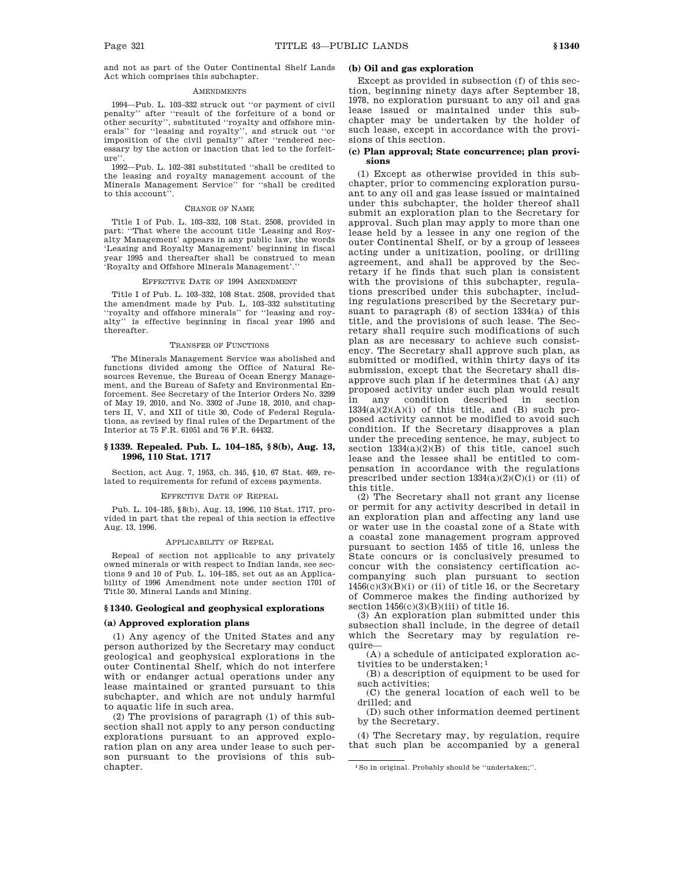and not as part of the Outer Continental Shelf Lands Act which comprises this subchapter.

#### **AMENDMENTS**

1994—Pub. L. 103–332 struck out ''or payment of civil penalty'' after ''result of the forfeiture of a bond or other security'', substituted ''royalty and offshore minerals'' for ''leasing and royalty'', and struck out ''or imposition of the civil penalty'' after ''rendered necessary by the action or inaction that led to the forfeiture''.

1992—Pub. L. 102–381 substituted ''shall be credited to the leasing and royalty management account of the Minerals Management Service'' for ''shall be credited to this account''.

#### CHANGE OF NAME

Title I of Pub. L. 103–332, 108 Stat. 2508, provided in part: ''That where the account title 'Leasing and Royalty Management' appears in any public law, the words 'Leasing and Royalty Management' beginning in fiscal year 1995 and thereafter shall be construed to mean 'Royalty and Offshore Minerals Management'.''

#### EFFECTIVE DATE OF 1994 AMENDMENT

Title I of Pub. L. 103–332, 108 Stat. 2508, provided that the amendment made by Pub. L. 103–332 substituting ''royalty and offshore minerals'' for ''leasing and royalty'' is effective beginning in fiscal year 1995 and thereafter.

#### TRANSFER OF FUNCTIONS

The Minerals Management Service was abolished and functions divided among the Office of Natural Resources Revenue, the Bureau of Ocean Energy Management, and the Bureau of Safety and Environmental Enforcement. See Secretary of the Interior Orders No. 3299 of May 19, 2010, and No. 3302 of June 18, 2010, and chapters II, V, and XII of title 30, Code of Federal Regulations, as revised by final rules of the Department of the Interior at 75 F.R. 61051 and 76 F.R. 64432.

#### **§ 1339. Repealed. Pub. L. 104–185, § 8(b), Aug. 13, 1996, 110 Stat. 1717**

Section, act Aug. 7, 1953, ch. 345, §10, 67 Stat. 469, related to requirements for refund of excess payments.

#### EFFECTIVE DATE OF REPEAL

Pub. L. 104–185, §8(b), Aug. 13, 1996, 110 Stat. 1717, provided in part that the repeal of this section is effective Aug. 13, 1996.

#### APPLICABILITY OF REPEAL

Repeal of section not applicable to any privately owned minerals or with respect to Indian lands, see sections 9 and 10 of Pub. L. 104–185, set out as an Applicability of 1996 Amendment note under section 1701 of Title 30, Mineral Lands and Mining.

## **§ 1340. Geological and geophysical explorations**

#### **(a) Approved exploration plans**

(1) Any agency of the United States and any person authorized by the Secretary may conduct geological and geophysical explorations in the outer Continental Shelf, which do not interfere with or endanger actual operations under any lease maintained or granted pursuant to this subchapter, and which are not unduly harmful to aquatic life in such area.

(2) The provisions of paragraph (1) of this subsection shall not apply to any person conducting explorations pursuant to an approved exploration plan on any area under lease to such person pursuant to the provisions of this subchapter.

#### **(b) Oil and gas exploration**

Except as provided in subsection (f) of this section, beginning ninety days after September 18, 1978, no exploration pursuant to any oil and gas lease issued or maintained under this subchapter may be undertaken by the holder of such lease, except in accordance with the provisions of this section.

## **(c) Plan approval; State concurrence; plan provisions**

(1) Except as otherwise provided in this subchapter, prior to commencing exploration pursuant to any oil and gas lease issued or maintained under this subchapter, the holder thereof shall submit an exploration plan to the Secretary for approval. Such plan may apply to more than one lease held by a lessee in any one region of the outer Continental Shelf, or by a group of lessees acting under a unitization, pooling, or drilling agreement, and shall be approved by the Secretary if he finds that such plan is consistent with the provisions of this subchapter, regulations prescribed under this subchapter, including regulations prescribed by the Secretary pursuant to paragraph (8) of section 1334(a) of this title, and the provisions of such lease. The Secretary shall require such modifications of such plan as are necessary to achieve such consistency. The Secretary shall approve such plan, as submitted or modified, within thirty days of its submission, except that the Secretary shall disapprove such plan if he determines that (A) any proposed activity under such plan would result<br>in any condition described in section in any condition described in  $1334(a)(2)(A)(i)$  of this title, and (B) such proposed activity cannot be modified to avoid such condition. If the Secretary disapproves a plan under the preceding sentence, he may, subject to section 1334(a)(2)(B) of this title, cancel such lease and the lessee shall be entitled to compensation in accordance with the regulations prescribed under section  $1334(a)(2)(C)(i)$  or (ii) of this title.

(2) The Secretary shall not grant any license or permit for any activity described in detail in an exploration plan and affecting any land use or water use in the coastal zone of a State with a coastal zone management program approved pursuant to section 1455 of title 16, unless the State concurs or is conclusively presumed to concur with the consistency certification accompanying such plan pursuant to section  $1456(c)(3)(B)(i)$  or (ii) of title 16, or the Secretary of Commerce makes the finding authorized by section  $1456(c)(3)(B)(iii)$  of title 16.

(3) An exploration plan submitted under this subsection shall include, in the degree of detail which the Secretary may by regulation require—

(A) a schedule of anticipated exploration activities to be understaken; 1

(B) a description of equipment to be used for such activities;

(C) the general location of each well to be drilled; and

(D) such other information deemed pertinent by the Secretary.

(4) The Secretary may, by regulation, require that such plan be accompanied by a general

<sup>1</sup>So in original. Probably should be ''undertaken;''.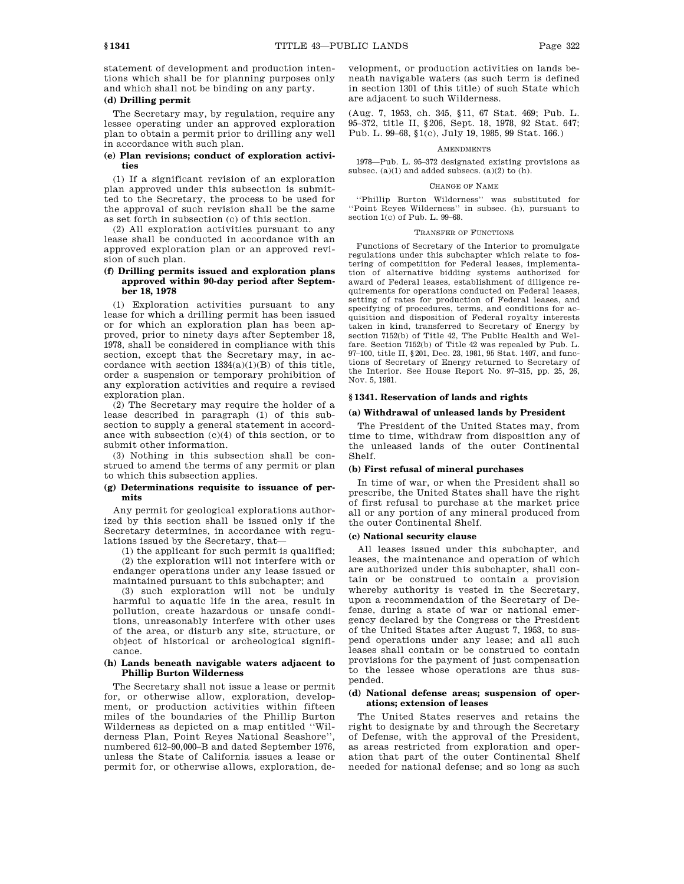statement of development and production intentions which shall be for planning purposes only and which shall not be binding on any party.

# **(d) Drilling permit**

The Secretary may, by regulation, require any lessee operating under an approved exploration plan to obtain a permit prior to drilling any well in accordance with such plan.

#### **(e) Plan revisions; conduct of exploration activities**

(1) If a significant revision of an exploration plan approved under this subsection is submitted to the Secretary, the process to be used for the approval of such revision shall be the same as set forth in subsection (c) of this section.

(2) All exploration activities pursuant to any lease shall be conducted in accordance with an approved exploration plan or an approved revision of such plan.

## **(f) Drilling permits issued and exploration plans approved within 90-day period after September 18, 1978**

(1) Exploration activities pursuant to any lease for which a drilling permit has been issued or for which an exploration plan has been approved, prior to ninety days after September 18, 1978, shall be considered in compliance with this section, except that the Secretary may, in accordance with section  $1334(a)(1)(B)$  of this title, order a suspension or temporary prohibition of any exploration activities and require a revised exploration plan.

(2) The Secretary may require the holder of a lease described in paragraph (1) of this subsection to supply a general statement in accordance with subsection (c)(4) of this section, or to submit other information.

(3) Nothing in this subsection shall be construed to amend the terms of any permit or plan to which this subsection applies.

## **(g) Determinations requisite to issuance of permits**

Any permit for geological explorations authorized by this section shall be issued only if the Secretary determines, in accordance with regulations issued by the Secretary, that—

(1) the applicant for such permit is qualified;

(2) the exploration will not interfere with or endanger operations under any lease issued or maintained pursuant to this subchapter; and

(3) such exploration will not be unduly harmful to aquatic life in the area, result in pollution, create hazardous or unsafe conditions, unreasonably interfere with other uses of the area, or disturb any site, structure, or object of historical or archeological significance.

# **(h) Lands beneath navigable waters adjacent to Phillip Burton Wilderness**

The Secretary shall not issue a lease or permit for, or otherwise allow, exploration, development, or production activities within fifteen miles of the boundaries of the Phillip Burton Wilderness as depicted on a map entitled ''Wilderness Plan, Point Reyes National Seashore'', numbered 612–90,000–B and dated September 1976, unless the State of California issues a lease or permit for, or otherwise allows, exploration, development, or production activities on lands beneath navigable waters (as such term is defined in section 1301 of this title) of such State which are adjacent to such Wilderness.

(Aug. 7, 1953, ch. 345, §11, 67 Stat. 469; Pub. L. 95–372, title II, §206, Sept. 18, 1978, 92 Stat. 647; Pub. L. 99–68, §1(c), July 19, 1985, 99 Stat. 166.)

#### **AMENDMENTS**

1978—Pub. L. 95–372 designated existing provisions as subsec.  $(a)(1)$  and added subsecs.  $(a)(2)$  to  $(h)$ .

#### CHANGE OF NAME

''Phillip Burton Wilderness'' was substituted for ''Point Reyes Wilderness'' in subsec. (h), pursuant to section 1(c) of Pub. L. 99-68.

## TRANSFER OF FUNCTIONS

Functions of Secretary of the Interior to promulgate regulations under this subchapter which relate to fostering of competition for Federal leases, implementation of alternative bidding systems authorized for award of Federal leases, establishment of diligence requirements for operations conducted on Federal leases, setting of rates for production of Federal leases, and specifying of procedures, terms, and conditions for acquisition and disposition of Federal royalty interests taken in kind, transferred to Secretary of Energy by section 7152(b) of Title 42, The Public Health and Welfare. Section 7152(b) of Title 42 was repealed by Pub. L. 97–100, title II, §201, Dec. 23, 1981, 95 Stat. 1407, and functions of Secretary of Energy returned to Secretary of the Interior. See House Report No. 97–315, pp. 25, 26, Nov. 5, 1981.

# **§ 1341. Reservation of lands and rights**

#### **(a) Withdrawal of unleased lands by President**

The President of the United States may, from time to time, withdraw from disposition any of the unleased lands of the outer Continental Shelf.

## **(b) First refusal of mineral purchases**

In time of war, or when the President shall so prescribe, the United States shall have the right of first refusal to purchase at the market price all or any portion of any mineral produced from the outer Continental Shelf.

## **(c) National security clause**

All leases issued under this subchapter, and leases, the maintenance and operation of which are authorized under this subchapter, shall contain or be construed to contain a provision whereby authority is vested in the Secretary, upon a recommendation of the Secretary of Defense, during a state of war or national emergency declared by the Congress or the President of the United States after August 7, 1953, to suspend operations under any lease; and all such leases shall contain or be construed to contain provisions for the payment of just compensation to the lessee whose operations are thus suspended.

#### **(d) National defense areas; suspension of operations; extension of leases**

The United States reserves and retains the right to designate by and through the Secretary of Defense, with the approval of the President, as areas restricted from exploration and operation that part of the outer Continental Shelf needed for national defense; and so long as such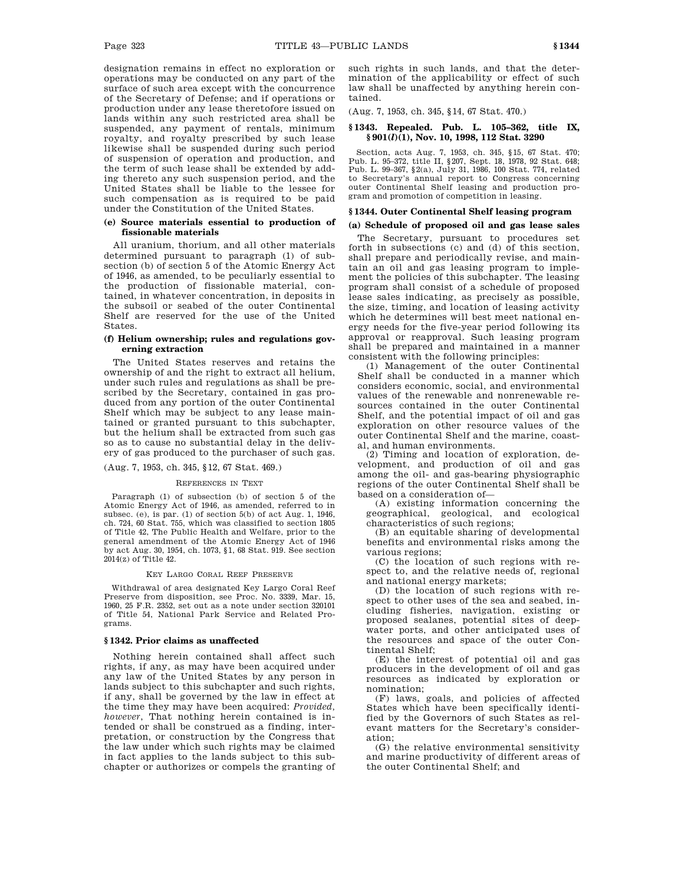designation remains in effect no exploration or operations may be conducted on any part of the surface of such area except with the concurrence of the Secretary of Defense; and if operations or production under any lease theretofore issued on lands within any such restricted area shall be suspended, any payment of rentals, minimum royalty, and royalty prescribed by such lease likewise shall be suspended during such period of suspension of operation and production, and the term of such lease shall be extended by adding thereto any such suspension period, and the United States shall be liable to the lessee for such compensation as is required to be paid under the Constitution of the United States.

#### **(e) Source materials essential to production of fissionable materials**

All uranium, thorium, and all other materials determined pursuant to paragraph (1) of subsection (b) of section 5 of the Atomic Energy Act of 1946, as amended, to be peculiarly essential to the production of fissionable material, contained, in whatever concentration, in deposits in the subsoil or seabed of the outer Continental Shelf are reserved for the use of the United States.

# **(f) Helium ownership; rules and regulations governing extraction**

The United States reserves and retains the ownership of and the right to extract all helium, under such rules and regulations as shall be prescribed by the Secretary, contained in gas produced from any portion of the outer Continental Shelf which may be subject to any lease maintained or granted pursuant to this subchapter, but the helium shall be extracted from such gas so as to cause no substantial delay in the delivery of gas produced to the purchaser of such gas.

#### (Aug. 7, 1953, ch. 345, §12, 67 Stat. 469.)

## REFERENCES IN TEXT

Paragraph (1) of subsection (b) of section 5 of the Atomic Energy Act of 1946, as amended, referred to in subsec. (e), is par. (1) of section 5(b) of act Aug. 1, 1946, ch. 724, 60 Stat. 755, which was classified to section 1805 of Title 42, The Public Health and Welfare, prior to the general amendment of the Atomic Energy Act of 1946 by act Aug. 30, 1954, ch. 1073, §1, 68 Stat. 919. See section 2014(z) of Title 42.

#### KEY LARGO CORAL REEF PRESERVE

Withdrawal of area designated Key Largo Coral Reef Preserve from disposition, see Proc. No. 3339, Mar. 15, 1960, 25 F.R. 2352, set out as a note under section 320101 of Title 54, National Park Service and Related Programs.

#### **§ 1342. Prior claims as unaffected**

Nothing herein contained shall affect such rights, if any, as may have been acquired under any law of the United States by any person in lands subject to this subchapter and such rights, if any, shall be governed by the law in effect at the time they may have been acquired: *Provided, however*, That nothing herein contained is intended or shall be construed as a finding, interpretation, or construction by the Congress that the law under which such rights may be claimed in fact applies to the lands subject to this subchapter or authorizes or compels the granting of such rights in such lands, and that the determination of the applicability or effect of such law shall be unaffected by anything herein contained.

(Aug. 7, 1953, ch. 345, §14, 67 Stat. 470.)

# **§ 1343. Repealed. Pub. L. 105–362, title IX, § 901(***l***)(1), Nov. 10, 1998, 112 Stat. 3290**

Section, acts Aug. 7, 1953, ch. 345, §15, 67 Stat. 470; Pub. L. 95–372, title II, §207, Sept. 18, 1978, 92 Stat. 648; Pub. L. 99–367, §2(a), July 31, 1986, 100 Stat. 774, related to Secretary's annual report to Congress concerning outer Continental Shelf leasing and production program and promotion of competition in leasing.

#### **§ 1344. Outer Continental Shelf leasing program**

#### **(a) Schedule of proposed oil and gas lease sales**

The Secretary, pursuant to procedures set forth in subsections (c) and (d) of this section, shall prepare and periodically revise, and maintain an oil and gas leasing program to implement the policies of this subchapter. The leasing program shall consist of a schedule of proposed lease sales indicating, as precisely as possible, the size, timing, and location of leasing activity which he determines will best meet national energy needs for the five-year period following its approval or reapproval. Such leasing program shall be prepared and maintained in a manner consistent with the following principles:

(1) Management of the outer Continental Shelf shall be conducted in a manner which considers economic, social, and environmental values of the renewable and nonrenewable resources contained in the outer Continental Shelf, and the potential impact of oil and gas exploration on other resource values of the outer Continental Shelf and the marine, coastal, and human environments.

(2) Timing and location of exploration, development, and production of oil and gas among the oil- and gas-bearing physiographic regions of the outer Continental Shelf shall be based on a consideration of—

(A) existing information concerning the geographical, geological, and ecological characteristics of such regions;

(B) an equitable sharing of developmental benefits and environmental risks among the various regions;

(C) the location of such regions with respect to, and the relative needs of, regional and national energy markets;

(D) the location of such regions with respect to other uses of the sea and seabed, including fisheries, navigation, existing or proposed sealanes, potential sites of deepwater ports, and other anticipated uses of the resources and space of the outer Continental Shelf;

(E) the interest of potential oil and gas producers in the development of oil and gas resources as indicated by exploration or nomination;

(F) laws, goals, and policies of affected States which have been specifically identified by the Governors of such States as relevant matters for the Secretary's consideration;

(G) the relative environmental sensitivity and marine productivity of different areas of the outer Continental Shelf; and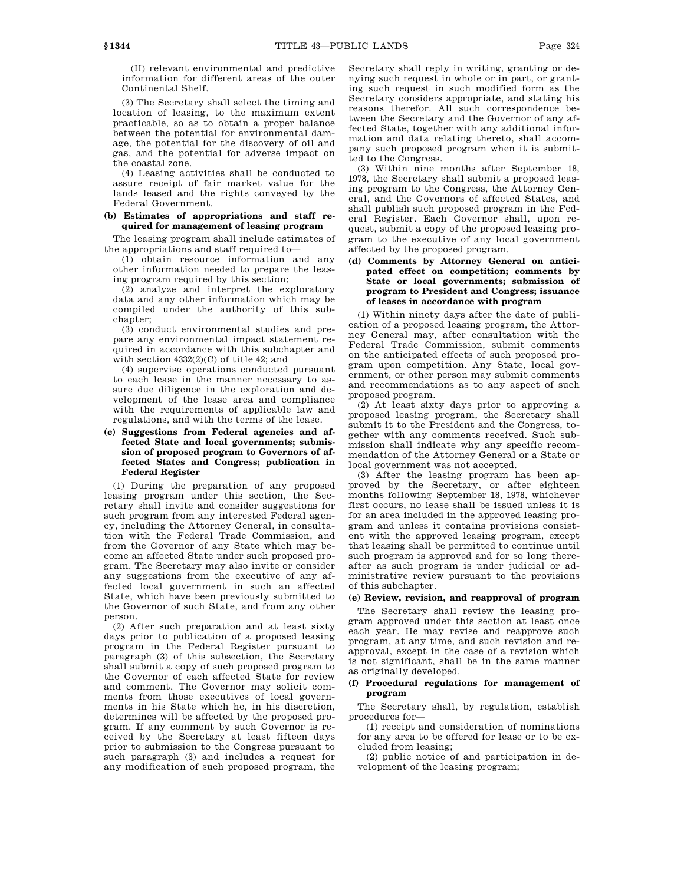(H) relevant environmental and predictive information for different areas of the outer Continental Shelf.

(3) The Secretary shall select the timing and location of leasing, to the maximum extent practicable, so as to obtain a proper balance between the potential for environmental damage, the potential for the discovery of oil and gas, and the potential for adverse impact on the coastal zone.

(4) Leasing activities shall be conducted to assure receipt of fair market value for the lands leased and the rights conveyed by the Federal Government.

# **(b) Estimates of appropriations and staff required for management of leasing program**

The leasing program shall include estimates of the appropriations and staff required to—

(1) obtain resource information and any other information needed to prepare the leasing program required by this section;

(2) analyze and interpret the exploratory data and any other information which may be compiled under the authority of this subchapter;

(3) conduct environmental studies and prepare any environmental impact statement required in accordance with this subchapter and with section 4332(2)(C) of title 42; and

(4) supervise operations conducted pursuant to each lease in the manner necessary to assure due diligence in the exploration and development of the lease area and compliance with the requirements of applicable law and regulations, and with the terms of the lease.

## **(c) Suggestions from Federal agencies and affected State and local governments; submission of proposed program to Governors of affected States and Congress; publication in Federal Register**

(1) During the preparation of any proposed leasing program under this section, the Secretary shall invite and consider suggestions for such program from any interested Federal agency, including the Attorney General, in consultation with the Federal Trade Commission, and from the Governor of any State which may become an affected State under such proposed program. The Secretary may also invite or consider any suggestions from the executive of any affected local government in such an affected State, which have been previously submitted to the Governor of such State, and from any other person.

(2) After such preparation and at least sixty days prior to publication of a proposed leasing program in the Federal Register pursuant to paragraph (3) of this subsection, the Secretary shall submit a copy of such proposed program to the Governor of each affected State for review and comment. The Governor may solicit comments from those executives of local governments in his State which he, in his discretion, determines will be affected by the proposed program. If any comment by such Governor is received by the Secretary at least fifteen days prior to submission to the Congress pursuant to such paragraph (3) and includes a request for any modification of such proposed program, the

Secretary shall reply in writing, granting or denying such request in whole or in part, or granting such request in such modified form as the Secretary considers appropriate, and stating his reasons therefor. All such correspondence between the Secretary and the Governor of any affected State, together with any additional information and data relating thereto, shall accompany such proposed program when it is submitted to the Congress.

(3) Within nine months after September 18, 1978, the Secretary shall submit a proposed leasing program to the Congress, the Attorney General, and the Governors of affected States, and shall publish such proposed program in the Federal Register. Each Governor shall, upon request, submit a copy of the proposed leasing program to the executive of any local government affected by the proposed program.

## **(d) Comments by Attorney General on anticipated effect on competition; comments by State or local governments; submission of program to President and Congress; issuance of leases in accordance with program**

(1) Within ninety days after the date of publication of a proposed leasing program, the Attorney General may, after consultation with the Federal Trade Commission, submit comments on the anticipated effects of such proposed program upon competition. Any State, local government, or other person may submit comments and recommendations as to any aspect of such proposed program.

(2) At least sixty days prior to approving a proposed leasing program, the Secretary shall submit it to the President and the Congress, together with any comments received. Such submission shall indicate why any specific recommendation of the Attorney General or a State or local government was not accepted.

(3) After the leasing program has been approved by the Secretary, or after eighteen months following September 18, 1978, whichever first occurs, no lease shall be issued unless it is for an area included in the approved leasing program and unless it contains provisions consistent with the approved leasing program, except that leasing shall be permitted to continue until such program is approved and for so long thereafter as such program is under judicial or administrative review pursuant to the provisions of this subchapter.

#### **(e) Review, revision, and reapproval of program**

The Secretary shall review the leasing program approved under this section at least once each year. He may revise and reapprove such program, at any time, and such revision and reapproval, except in the case of a revision which is not significant, shall be in the same manner as originally developed.

## **(f) Procedural regulations for management of program**

The Secretary shall, by regulation, establish procedures for—

(1) receipt and consideration of nominations for any area to be offered for lease or to be excluded from leasing;

(2) public notice of and participation in development of the leasing program;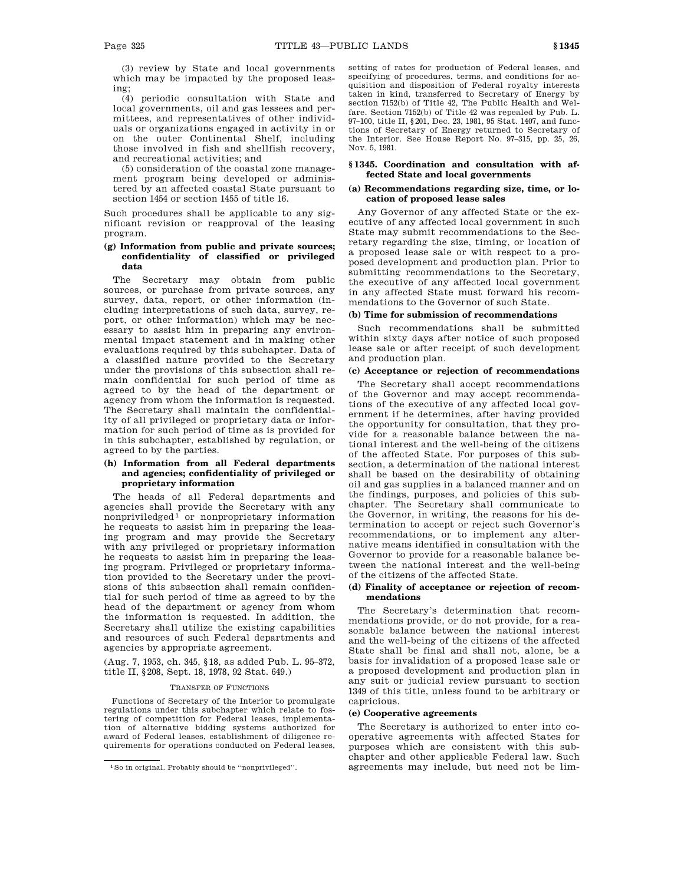(3) review by State and local governments which may be impacted by the proposed leasing;

(4) periodic consultation with State and local governments, oil and gas lessees and permittees, and representatives of other individuals or organizations engaged in activity in or on the outer Continental Shelf, including those involved in fish and shellfish recovery, and recreational activities; and

(5) consideration of the coastal zone management program being developed or administered by an affected coastal State pursuant to section 1454 or section 1455 of title 16.

Such procedures shall be applicable to any significant revision or reapproval of the leasing program.

# **(g) Information from public and private sources; confidentiality of classified or privileged data**

The Secretary may obtain from public sources, or purchase from private sources, any survey, data, report, or other information (including interpretations of such data, survey, report, or other information) which may be necessary to assist him in preparing any environmental impact statement and in making other evaluations required by this subchapter. Data of a classified nature provided to the Secretary under the provisions of this subsection shall remain confidential for such period of time as agreed to by the head of the department or agency from whom the information is requested. The Secretary shall maintain the confidentiality of all privileged or proprietary data or information for such period of time as is provided for in this subchapter, established by regulation, or agreed to by the parties.

## **(h) Information from all Federal departments and agencies; confidentiality of privileged or proprietary information**

The heads of all Federal departments and agencies shall provide the Secretary with any nonpriviledged 1 or nonproprietary information he requests to assist him in preparing the leasing program and may provide the Secretary with any privileged or proprietary information he requests to assist him in preparing the leasing program. Privileged or proprietary information provided to the Secretary under the provisions of this subsection shall remain confidential for such period of time as agreed to by the head of the department or agency from whom the information is requested. In addition, the Secretary shall utilize the existing capabilities and resources of such Federal departments and agencies by appropriate agreement.

(Aug. 7, 1953, ch. 345, §18, as added Pub. L. 95–372, title II, §208, Sept. 18, 1978, 92 Stat. 649.)

#### TRANSFER OF FUNCTIONS

Functions of Secretary of the Interior to promulgate regulations under this subchapter which relate to fostering of competition for Federal leases, implementation of alternative bidding systems authorized for award of Federal leases, establishment of diligence requirements for operations conducted on Federal leases, setting of rates for production of Federal leases, and specifying of procedures, terms, and conditions for acquisition and disposition of Federal royalty interests taken in kind, transferred to Secretary of Energy by section 7152(b) of Title 42, The Public Health and Welfare. Section 7152(b) of Title 42 was repealed by Pub. L. 97–100, title II, §201, Dec. 23, 1981, 95 Stat. 1407, and functions of Secretary of Energy returned to Secretary of the Interior. See House Report No. 97–315, pp. 25, 26, Nov. 5, 1981.

#### **§ 1345. Coordination and consultation with affected State and local governments**

## **(a) Recommendations regarding size, time, or location of proposed lease sales**

Any Governor of any affected State or the executive of any affected local government in such State may submit recommendations to the Secretary regarding the size, timing, or location of a proposed lease sale or with respect to a proposed development and production plan. Prior to submitting recommendations to the Secretary, the executive of any affected local government in any affected State must forward his recommendations to the Governor of such State.

## **(b) Time for submission of recommendations**

Such recommendations shall be submitted within sixty days after notice of such proposed lease sale or after receipt of such development and production plan.

#### **(c) Acceptance or rejection of recommendations**

The Secretary shall accept recommendations of the Governor and may accept recommendations of the executive of any affected local government if he determines, after having provided the opportunity for consultation, that they provide for a reasonable balance between the national interest and the well-being of the citizens of the affected State. For purposes of this subsection, a determination of the national interest shall be based on the desirability of obtaining oil and gas supplies in a balanced manner and on the findings, purposes, and policies of this subchapter. The Secretary shall communicate to the Governor, in writing, the reasons for his determination to accept or reject such Governor's recommendations, or to implement any alternative means identified in consultation with the Governor to provide for a reasonable balance between the national interest and the well-being of the citizens of the affected State.

# **(d) Finality of acceptance or rejection of recommendations**

The Secretary's determination that recommendations provide, or do not provide, for a reasonable balance between the national interest and the well-being of the citizens of the affected State shall be final and shall not, alone, be a basis for invalidation of a proposed lease sale or a proposed development and production plan in any suit or judicial review pursuant to section 1349 of this title, unless found to be arbitrary or capricious.

## **(e) Cooperative agreements**

The Secretary is authorized to enter into cooperative agreements with affected States for purposes which are consistent with this subchapter and other applicable Federal law. Such agreements may include, but need not be lim-

<sup>1</sup>So in original. Probably should be ''nonprivileged''.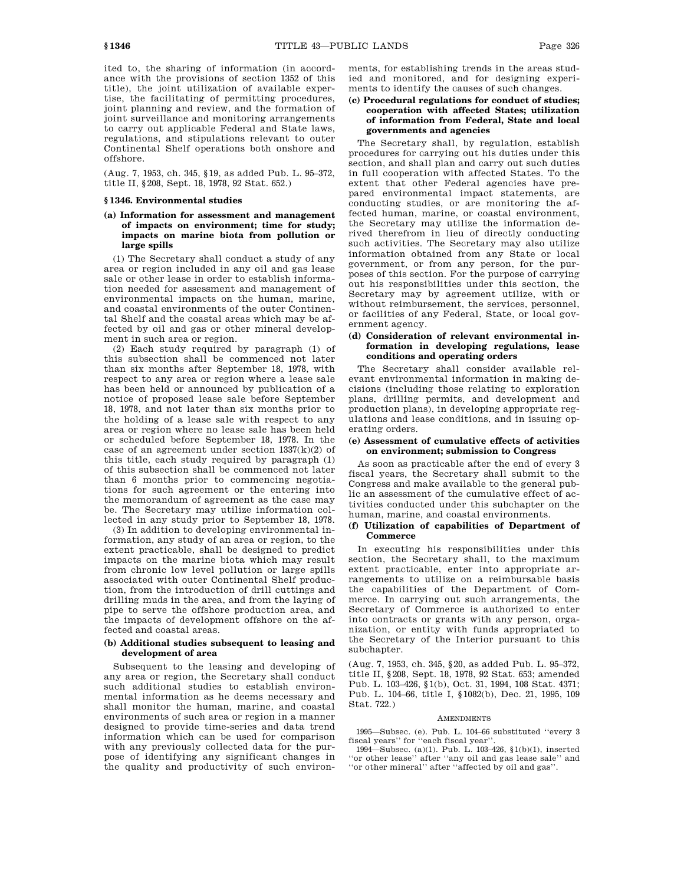ited to, the sharing of information (in accordance with the provisions of section 1352 of this title), the joint utilization of available expertise, the facilitating of permitting procedures, joint planning and review, and the formation of joint surveillance and monitoring arrangements to carry out applicable Federal and State laws, regulations, and stipulations relevant to outer Continental Shelf operations both onshore and offshore.

(Aug. 7, 1953, ch. 345, §19, as added Pub. L. 95–372, title II, §208, Sept. 18, 1978, 92 Stat. 652.)

# **§ 1346. Environmental studies**

# **(a) Information for assessment and management of impacts on environment; time for study; impacts on marine biota from pollution or large spills**

(1) The Secretary shall conduct a study of any area or region included in any oil and gas lease sale or other lease in order to establish information needed for assessment and management of environmental impacts on the human, marine, and coastal environments of the outer Continental Shelf and the coastal areas which may be affected by oil and gas or other mineral development in such area or region.

(2) Each study required by paragraph (1) of this subsection shall be commenced not later than six months after September 18, 1978, with respect to any area or region where a lease sale has been held or announced by publication of a notice of proposed lease sale before September 18, 1978, and not later than six months prior to the holding of a lease sale with respect to any area or region where no lease sale has been held or scheduled before September 18, 1978. In the case of an agreement under section  $1337(k)(2)$  of this title, each study required by paragraph (1) of this subsection shall be commenced not later than 6 months prior to commencing negotiations for such agreement or the entering into the memorandum of agreement as the case may be. The Secretary may utilize information collected in any study prior to September 18, 1978.

(3) In addition to developing environmental information, any study of an area or region, to the extent practicable, shall be designed to predict impacts on the marine biota which may result from chronic low level pollution or large spills associated with outer Continental Shelf production, from the introduction of drill cuttings and drilling muds in the area, and from the laying of pipe to serve the offshore production area, and the impacts of development offshore on the affected and coastal areas.

# **(b) Additional studies subsequent to leasing and development of area**

Subsequent to the leasing and developing of any area or region, the Secretary shall conduct such additional studies to establish environmental information as he deems necessary and shall monitor the human, marine, and coastal environments of such area or region in a manner designed to provide time-series and data trend information which can be used for comparison with any previously collected data for the purpose of identifying any significant changes in the quality and productivity of such environments, for establishing trends in the areas studied and monitored, and for designing experiments to identify the causes of such changes.

## **(c) Procedural regulations for conduct of studies; cooperation with affected States; utilization of information from Federal, State and local governments and agencies**

The Secretary shall, by regulation, establish procedures for carrying out his duties under this section, and shall plan and carry out such duties in full cooperation with affected States. To the extent that other Federal agencies have prepared environmental impact statements, are conducting studies, or are monitoring the affected human, marine, or coastal environment, the Secretary may utilize the information derived therefrom in lieu of directly conducting such activities. The Secretary may also utilize information obtained from any State or local government, or from any person, for the purposes of this section. For the purpose of carrying out his responsibilities under this section, the Secretary may by agreement utilize, with or without reimbursement, the services, personnel, or facilities of any Federal, State, or local government agency.

## **(d) Consideration of relevant environmental information in developing regulations, lease conditions and operating orders**

The Secretary shall consider available relevant environmental information in making decisions (including those relating to exploration plans, drilling permits, and development and production plans), in developing appropriate regulations and lease conditions, and in issuing operating orders.

#### **(e) Assessment of cumulative effects of activities on environment; submission to Congress**

As soon as practicable after the end of every 3 fiscal years, the Secretary shall submit to the Congress and make available to the general public an assessment of the cumulative effect of activities conducted under this subchapter on the human, marine, and coastal environments.

# **(f) Utilization of capabilities of Department of Commerce**

In executing his responsibilities under this section, the Secretary shall, to the maximum extent practicable, enter into appropriate arrangements to utilize on a reimbursable basis the capabilities of the Department of Commerce. In carrying out such arrangements, the Secretary of Commerce is authorized to enter into contracts or grants with any person, organization, or entity with funds appropriated to the Secretary of the Interior pursuant to this subchapter.

(Aug. 7, 1953, ch. 345, §20, as added Pub. L. 95–372, title II, §208, Sept. 18, 1978, 92 Stat. 653; amended Pub. L. 103–426, §1(b), Oct. 31, 1994, 108 Stat. 4371; Pub. L. 104–66, title I, §1082(b), Dec. 21, 1995, 109 Stat. 722.)

#### **AMENDMENTS**

1995—Subsec. (e). Pub. L. 104–66 substituted ''every 3 fiscal years'' for ''each fiscal year''.

1994—Subsec. (a)(1). Pub. L. 103–426,  $\S1(b)(1)$ , inserted "or other lease" after "any oil and gas lease sale" and ''or other mineral'' after ''affected by oil and gas''.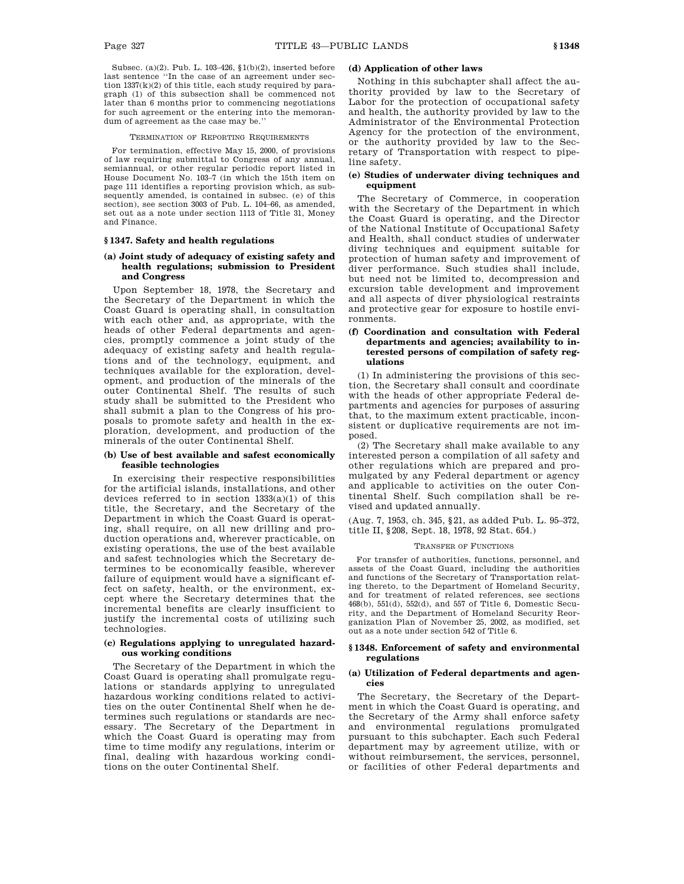Subsec. (a)(2). Pub. L. 103–426, §1(b)(2), inserted before last sentence ''In the case of an agreement under section 1337(k)(2) of this title, each study required by paragraph (1) of this subsection shall be commenced not later than 6 months prior to commencing negotiations for such agreement or the entering into the memorandum of agreement as the case may be.''

#### TERMINATION OF REPORTING REQUIREMENTS

For termination, effective May 15, 2000, of provisions of law requiring submittal to Congress of any annual, semiannual, or other regular periodic report listed in House Document No. 103–7 (in which the 15th item on page 111 identifies a reporting provision which, as subsequently amended, is contained in subsec. (e) of this section), see section 3003 of Pub. L. 104–66, as amended, set out as a note under section 1113 of Title 31, Money and Finance.

#### **§ 1347. Safety and health regulations**

## **(a) Joint study of adequacy of existing safety and health regulations; submission to President and Congress**

Upon September 18, 1978, the Secretary and the Secretary of the Department in which the Coast Guard is operating shall, in consultation with each other and, as appropriate, with the heads of other Federal departments and agencies, promptly commence a joint study of the adequacy of existing safety and health regulations and of the technology, equipment, and techniques available for the exploration, development, and production of the minerals of the outer Continental Shelf. The results of such study shall be submitted to the President who shall submit a plan to the Congress of his proposals to promote safety and health in the exploration, development, and production of the minerals of the outer Continental Shelf.

## **(b) Use of best available and safest economically feasible technologies**

In exercising their respective responsibilities for the artificial islands, installations, and other devices referred to in section  $1333(a)(1)$  of this title, the Secretary, and the Secretary of the Department in which the Coast Guard is operating, shall require, on all new drilling and production operations and, wherever practicable, on existing operations, the use of the best available and safest technologies which the Secretary determines to be economically feasible, wherever failure of equipment would have a significant effect on safety, health, or the environment, except where the Secretary determines that the incremental benefits are clearly insufficient to justify the incremental costs of utilizing such technologies.

# **(c) Regulations applying to unregulated hazardous working conditions**

The Secretary of the Department in which the Coast Guard is operating shall promulgate regulations or standards applying to unregulated hazardous working conditions related to activities on the outer Continental Shelf when he determines such regulations or standards are necessary. The Secretary of the Department in which the Coast Guard is operating may from time to time modify any regulations, interim or final, dealing with hazardous working conditions on the outer Continental Shelf.

## **(d) Application of other laws**

Nothing in this subchapter shall affect the authority provided by law to the Secretary of Labor for the protection of occupational safety and health, the authority provided by law to the Administrator of the Environmental Protection Agency for the protection of the environment, or the authority provided by law to the Secretary of Transportation with respect to pipeline safety.

#### **(e) Studies of underwater diving techniques and equipment**

The Secretary of Commerce, in cooperation with the Secretary of the Department in which the Coast Guard is operating, and the Director of the National Institute of Occupational Safety and Health, shall conduct studies of underwater diving techniques and equipment suitable for protection of human safety and improvement of diver performance. Such studies shall include, but need not be limited to, decompression and excursion table development and improvement and all aspects of diver physiological restraints and protective gear for exposure to hostile environments.

# **(f) Coordination and consultation with Federal departments and agencies; availability to interested persons of compilation of safety regulations**

(1) In administering the provisions of this section, the Secretary shall consult and coordinate with the heads of other appropriate Federal departments and agencies for purposes of assuring that, to the maximum extent practicable, inconsistent or duplicative requirements are not imposed.

(2) The Secretary shall make available to any interested person a compilation of all safety and other regulations which are prepared and promulgated by any Federal department or agency and applicable to activities on the outer Continental Shelf. Such compilation shall be revised and updated annually.

(Aug. 7, 1953, ch. 345, §21, as added Pub. L. 95–372, title II, §208, Sept. 18, 1978, 92 Stat. 654.)

#### TRANSFER OF FUNCTIONS

For transfer of authorities, functions, personnel, and assets of the Coast Guard, including the authorities and functions of the Secretary of Transportation relating thereto, to the Department of Homeland Security, and for treatment of related references, see sections 468(b), 551(d), 552(d), and 557 of Title 6, Domestic Security, and the Department of Homeland Security Reorganization Plan of November 25, 2002, as modified, set out as a note under section 542 of Title 6.

#### **§ 1348. Enforcement of safety and environmental regulations**

## **(a) Utilization of Federal departments and agencies**

The Secretary, the Secretary of the Department in which the Coast Guard is operating, and the Secretary of the Army shall enforce safety and environmental regulations promulgated pursuant to this subchapter. Each such Federal department may by agreement utilize, with or without reimbursement, the services, personnel, or facilities of other Federal departments and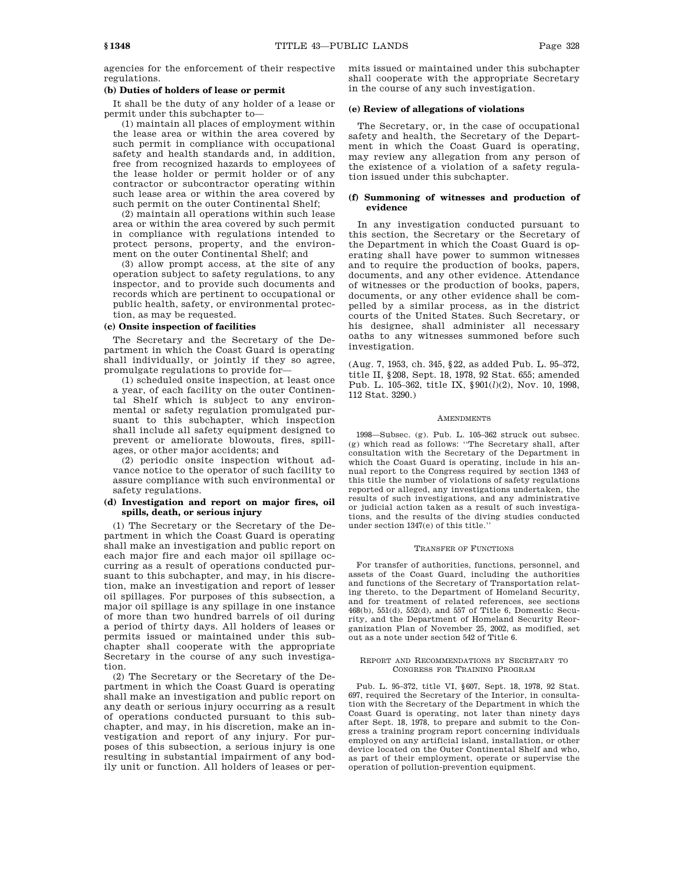agencies for the enforcement of their respective regulations.

#### **(b) Duties of holders of lease or permit**

It shall be the duty of any holder of a lease or permit under this subchapter to—

(1) maintain all places of employment within the lease area or within the area covered by such permit in compliance with occupational safety and health standards and, in addition, free from recognized hazards to employees of the lease holder or permit holder or of any contractor or subcontractor operating within such lease area or within the area covered by such permit on the outer Continental Shelf;

(2) maintain all operations within such lease area or within the area covered by such permit in compliance with regulations intended to protect persons, property, and the environment on the outer Continental Shelf; and

(3) allow prompt access, at the site of any operation subject to safety regulations, to any inspector, and to provide such documents and records which are pertinent to occupational or public health, safety, or environmental protection, as may be requested.

#### **(c) Onsite inspection of facilities**

The Secretary and the Secretary of the Department in which the Coast Guard is operating shall individually, or jointly if they so agree, promulgate regulations to provide for—

(1) scheduled onsite inspection, at least once a year, of each facility on the outer Continental Shelf which is subject to any environmental or safety regulation promulgated pursuant to this subchapter, which inspection shall include all safety equipment designed to prevent or ameliorate blowouts, fires, spillages, or other major accidents; and

(2) periodic onsite inspection without advance notice to the operator of such facility to assure compliance with such environmental or safety regulations.

## **(d) Investigation and report on major fires, oil spills, death, or serious injury**

(1) The Secretary or the Secretary of the Department in which the Coast Guard is operating shall make an investigation and public report on each major fire and each major oil spillage occurring as a result of operations conducted pursuant to this subchapter, and may, in his discretion, make an investigation and report of lesser oil spillages. For purposes of this subsection, a major oil spillage is any spillage in one instance of more than two hundred barrels of oil during a period of thirty days. All holders of leases or permits issued or maintained under this subchapter shall cooperate with the appropriate Secretary in the course of any such investigation.

(2) The Secretary or the Secretary of the Department in which the Coast Guard is operating shall make an investigation and public report on any death or serious injury occurring as a result of operations conducted pursuant to this subchapter, and may, in his discretion, make an investigation and report of any injury. For purposes of this subsection, a serious injury is one resulting in substantial impairment of any bodily unit or function. All holders of leases or permits issued or maintained under this subchapter shall cooperate with the appropriate Secretary in the course of any such investigation.

## **(e) Review of allegations of violations**

The Secretary, or, in the case of occupational safety and health, the Secretary of the Department in which the Coast Guard is operating, may review any allegation from any person of the existence of a violation of a safety regulation issued under this subchapter.

#### **(f) Summoning of witnesses and production of evidence**

In any investigation conducted pursuant to this section, the Secretary or the Secretary of the Department in which the Coast Guard is operating shall have power to summon witnesses and to require the production of books, papers, documents, and any other evidence. Attendance of witnesses or the production of books, papers, documents, or any other evidence shall be compelled by a similar process, as in the district courts of the United States. Such Secretary, or his designee, shall administer all necessary oaths to any witnesses summoned before such investigation.

(Aug. 7, 1953, ch. 345, §22, as added Pub. L. 95–372, title II, §208, Sept. 18, 1978, 92 Stat. 655; amended Pub. L. 105–362, title IX, §901(*l*)(2), Nov. 10, 1998, 112 Stat. 3290.)

#### **AMENDMENTS**

1998—Subsec. (g). Pub. L. 105–362 struck out subsec. (g) which read as follows: ''The Secretary shall, after consultation with the Secretary of the Department in which the Coast Guard is operating, include in his annual report to the Congress required by section 1343 of this title the number of violations of safety regulations reported or alleged, any investigations undertaken, the results of such investigations, and any administrative or judicial action taken as a result of such investigations, and the results of the diving studies conducted under section 1347(e) of this title.''

#### TRANSFER OF FUNCTIONS

For transfer of authorities, functions, personnel, and assets of the Coast Guard, including the authorities and functions of the Secretary of Transportation relating thereto, to the Department of Homeland Security, and for treatment of related references, see sections 468(b), 551(d), 552(d), and 557 of Title 6, Domestic Security, and the Department of Homeland Security Reorganization Plan of November 25, 2002, as modified, set out as a note under section 542 of Title 6.

#### REPORT AND RECOMMENDATIONS BY SECRETARY TO CONGRESS FOR TRAINING PROGRAM

Pub. L. 95–372, title VI, §607, Sept. 18, 1978, 92 Stat. 697, required the Secretary of the Interior, in consultation with the Secretary of the Department in which the Coast Guard is operating, not later than ninety days after Sept. 18, 1978, to prepare and submit to the Congress a training program report concerning individuals employed on any artificial island, installation, or other device located on the Outer Continental Shelf and who, as part of their employment, operate or supervise the operation of pollution-prevention equipment.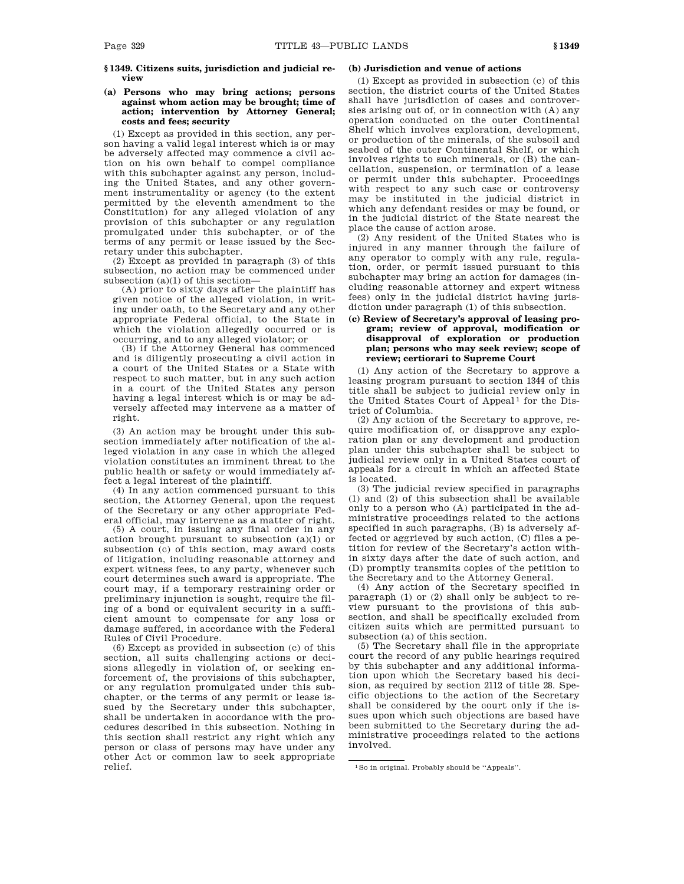# **§ 1349. Citizens suits, jurisdiction and judicial review**

## **(a) Persons who may bring actions; persons against whom action may be brought; time of action; intervention by Attorney General; costs and fees; security**

(1) Except as provided in this section, any person having a valid legal interest which is or may be adversely affected may commence a civil action on his own behalf to compel compliance with this subchapter against any person, including the United States, and any other government instrumentality or agency (to the extent permitted by the eleventh amendment to the Constitution) for any alleged violation of any provision of this subchapter or any regulation promulgated under this subchapter, or of the terms of any permit or lease issued by the Secretary under this subchapter.

(2) Except as provided in paragraph (3) of this subsection, no action may be commenced under subsection (a)(1) of this section—

(A) prior to sixty days after the plaintiff has given notice of the alleged violation, in writing under oath, to the Secretary and any other appropriate Federal official, to the State in which the violation allegedly occurred or is occurring, and to any alleged violator; or

(B) if the Attorney General has commenced and is diligently prosecuting a civil action in a court of the United States or a State with respect to such matter, but in any such action in a court of the United States any person having a legal interest which is or may be adversely affected may intervene as a matter of right.

(3) An action may be brought under this subsection immediately after notification of the alleged violation in any case in which the alleged violation constitutes an imminent threat to the public health or safety or would immediately affect a legal interest of the plaintiff.

(4) In any action commenced pursuant to this section, the Attorney General, upon the request of the Secretary or any other appropriate Federal official, may intervene as a matter of right.

(5) A court, in issuing any final order in any action brought pursuant to subsection (a)(1) or subsection (c) of this section, may award costs of litigation, including reasonable attorney and expert witness fees, to any party, whenever such court determines such award is appropriate. The court may, if a temporary restraining order or preliminary injunction is sought, require the filing of a bond or equivalent security in a sufficient amount to compensate for any loss or damage suffered, in accordance with the Federal Rules of Civil Procedure.

(6) Except as provided in subsection (c) of this section, all suits challenging actions or decisions allegedly in violation of, or seeking enforcement of, the provisions of this subchapter, or any regulation promulgated under this subchapter, or the terms of any permit or lease issued by the Secretary under this subchapter, shall be undertaken in accordance with the procedures described in this subsection. Nothing in this section shall restrict any right which any person or class of persons may have under any other Act or common law to seek appropriate relief.

## **(b) Jurisdiction and venue of actions**

(1) Except as provided in subsection (c) of this section, the district courts of the United States shall have jurisdiction of cases and controversies arising out of, or in connection with (A) any operation conducted on the outer Continental Shelf which involves exploration, development, or production of the minerals, of the subsoil and seabed of the outer Continental Shelf, or which involves rights to such minerals, or (B) the cancellation, suspension, or termination of a lease or permit under this subchapter. Proceedings with respect to any such case or controversy may be instituted in the judicial district in which any defendant resides or may be found, or in the judicial district of the State nearest the place the cause of action arose.

(2) Any resident of the United States who is injured in any manner through the failure of any operator to comply with any rule, regulation, order, or permit issued pursuant to this subchapter may bring an action for damages (including reasonable attorney and expert witness fees) only in the judicial district having jurisdiction under paragraph (1) of this subsection.

# **(c) Review of Secretary's approval of leasing program; review of approval, modification or disapproval of exploration or production plan; persons who may seek review; scope of review; certiorari to Supreme Court**

(1) Any action of the Secretary to approve a leasing program pursuant to section 1344 of this title shall be subject to judicial review only in the United States Court of Appeal<sup>1</sup> for the District of Columbia.

(2) Any action of the Secretary to approve, require modification of, or disapprove any exploration plan or any development and production plan under this subchapter shall be subject to judicial review only in a United States court of appeals for a circuit in which an affected State is located.

(3) The judicial review specified in paragraphs (1) and (2) of this subsection shall be available only to a person who (A) participated in the administrative proceedings related to the actions specified in such paragraphs, (B) is adversely affected or aggrieved by such action, (C) files a petition for review of the Secretary's action within sixty days after the date of such action, and (D) promptly transmits copies of the petition to the Secretary and to the Attorney General.

(4) Any action of the Secretary specified in paragraph (1) or (2) shall only be subject to review pursuant to the provisions of this subsection, and shall be specifically excluded from citizen suits which are permitted pursuant to subsection (a) of this section.

(5) The Secretary shall file in the appropriate court the record of any public hearings required by this subchapter and any additional information upon which the Secretary based his decision, as required by section 2112 of title 28. Specific objections to the action of the Secretary shall be considered by the court only if the issues upon which such objections are based have been submitted to the Secretary during the administrative proceedings related to the actions involved.

<sup>1</sup>So in original. Probably should be ''Appeals''.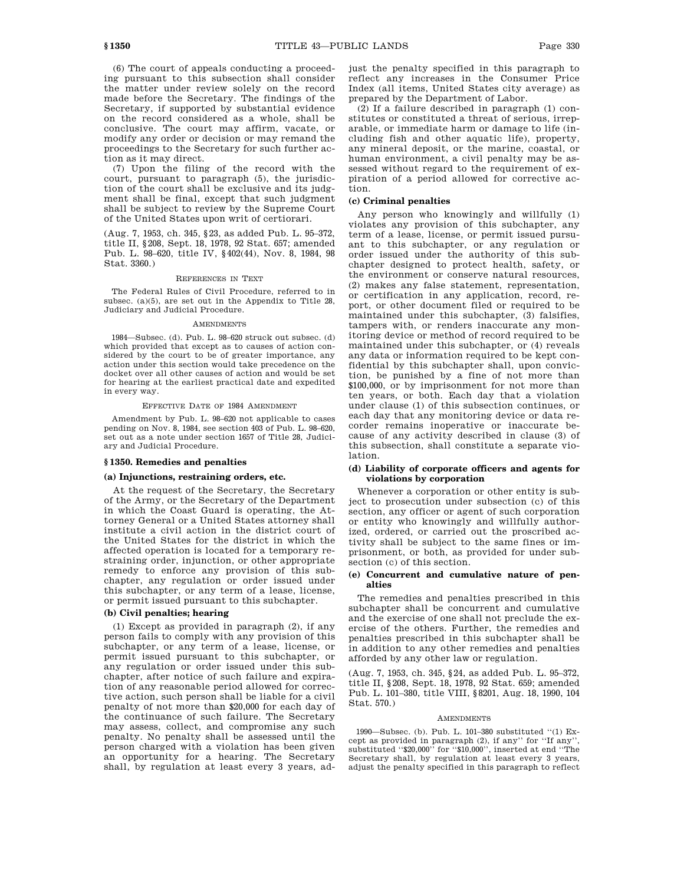(6) The court of appeals conducting a proceeding pursuant to this subsection shall consider the matter under review solely on the record made before the Secretary. The findings of the Secretary, if supported by substantial evidence on the record considered as a whole, shall be conclusive. The court may affirm, vacate, or modify any order or decision or may remand the proceedings to the Secretary for such further action as it may direct.

(7) Upon the filing of the record with the court, pursuant to paragraph (5), the jurisdiction of the court shall be exclusive and its judgment shall be final, except that such judgment shall be subject to review by the Supreme Court of the United States upon writ of certiorari.

(Aug. 7, 1953, ch. 345, §23, as added Pub. L. 95–372, title II, §208, Sept. 18, 1978, 92 Stat. 657; amended Pub. L. 98–620, title IV, §402(44), Nov. 8, 1984, 98 Stat. 3360.)

#### REFERENCES IN TEXT

The Federal Rules of Civil Procedure, referred to in subsec. (a)(5), are set out in the Appendix to Title 28, Judiciary and Judicial Procedure.

#### **AMENDMENTS**

1984—Subsec. (d). Pub. L. 98–620 struck out subsec. (d) which provided that except as to causes of action considered by the court to be of greater importance, any action under this section would take precedence on the docket over all other causes of action and would be set for hearing at the earliest practical date and expedited in every way.

#### EFFECTIVE DATE OF 1984 AMENDMENT

Amendment by Pub. L. 98–620 not applicable to cases pending on Nov. 8, 1984, see section 403 of Pub. L. 98–620, set out as a note under section 1657 of Title 28, Judiciary and Judicial Procedure.

## **§ 1350. Remedies and penalties**

# **(a) Injunctions, restraining orders, etc.**

At the request of the Secretary, the Secretary of the Army, or the Secretary of the Department in which the Coast Guard is operating, the Attorney General or a United States attorney shall institute a civil action in the district court of the United States for the district in which the affected operation is located for a temporary restraining order, injunction, or other appropriate remedy to enforce any provision of this subchapter, any regulation or order issued under this subchapter, or any term of a lease, license, or permit issued pursuant to this subchapter.

## **(b) Civil penalties; hearing**

(1) Except as provided in paragraph (2), if any person fails to comply with any provision of this subchapter, or any term of a lease, license, or permit issued pursuant to this subchapter, or any regulation or order issued under this subchapter, after notice of such failure and expiration of any reasonable period allowed for corrective action, such person shall be liable for a civil penalty of not more than \$20,000 for each day of the continuance of such failure. The Secretary may assess, collect, and compromise any such penalty. No penalty shall be assessed until the person charged with a violation has been given an opportunity for a hearing. The Secretary shall, by regulation at least every 3 years, adjust the penalty specified in this paragraph to reflect any increases in the Consumer Price Index (all items, United States city average) as prepared by the Department of Labor.

(2) If a failure described in paragraph (1) constitutes or constituted a threat of serious, irreparable, or immediate harm or damage to life (including fish and other aquatic life), property, any mineral deposit, or the marine, coastal, or human environment, a civil penalty may be assessed without regard to the requirement of expiration of a period allowed for corrective action.

## **(c) Criminal penalties**

Any person who knowingly and willfully (1) violates any provision of this subchapter, any term of a lease, license, or permit issued pursuant to this subchapter, or any regulation or order issued under the authority of this subchapter designed to protect health, safety, or the environment or conserve natural resources, (2) makes any false statement, representation, or certification in any application, record, report, or other document filed or required to be maintained under this subchapter, (3) falsifies, tampers with, or renders inaccurate any monitoring device or method of record required to be maintained under this subchapter, or (4) reveals any data or information required to be kept confidential by this subchapter shall, upon conviction, be punished by a fine of not more than \$100,000, or by imprisonment for not more than ten years, or both. Each day that a violation under clause (1) of this subsection continues, or each day that any monitoring device or data recorder remains inoperative or inaccurate because of any activity described in clause (3) of this subsection, shall constitute a separate violation.

## **(d) Liability of corporate officers and agents for violations by corporation**

Whenever a corporation or other entity is subject to prosecution under subsection (c) of this section, any officer or agent of such corporation or entity who knowingly and willfully authorized, ordered, or carried out the proscribed activity shall be subject to the same fines or imprisonment, or both, as provided for under subsection (c) of this section.

#### **(e) Concurrent and cumulative nature of penalties**

The remedies and penalties prescribed in this subchapter shall be concurrent and cumulative and the exercise of one shall not preclude the exercise of the others. Further, the remedies and penalties prescribed in this subchapter shall be in addition to any other remedies and penalties afforded by any other law or regulation.

(Aug. 7, 1953, ch. 345, §24, as added Pub. L. 95–372, title II, §208, Sept. 18, 1978, 92 Stat. 659; amended Pub. L. 101–380, title VIII, §8201, Aug. 18, 1990, 104 Stat. 570.)

#### **AMENDMENTS**

1990—Subsec. (b). Pub. L. 101–380 substituted ''(1) Except as provided in paragraph (2), if any'' for "If any" substituted ''\$20,000'' for ''\$10,000'', inserted at end ''The Secretary shall, by regulation at least every 3 years, adjust the penalty specified in this paragraph to reflect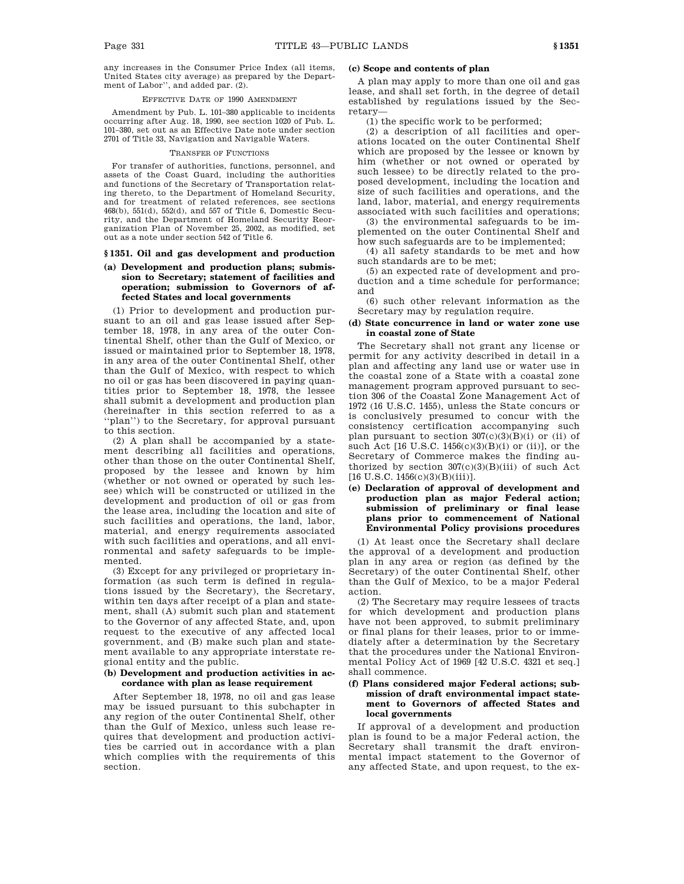any increases in the Consumer Price Index (all items, United States city average) as prepared by the Department of Labor'', and added par. (2).

#### EFFECTIVE DATE OF 1990 AMENDMENT

Amendment by Pub. L. 101–380 applicable to incidents occurring after Aug. 18, 1990, see section 1020 of Pub. L. 101–380, set out as an Effective Date note under section 2701 of Title 33, Navigation and Navigable Waters.

#### TRANSFER OF FUNCTIONS

For transfer of authorities, functions, personnel, and assets of the Coast Guard, including the authorities and functions of the Secretary of Transportation relating thereto, to the Department of Homeland Security, and for treatment of related references, see sections 468(b), 551(d), 552(d), and 557 of Title 6, Domestic Security, and the Department of Homeland Security Reorganization Plan of November 25, 2002, as modified, set out as a note under section 542 of Title 6.

#### **§ 1351. Oil and gas development and production**

## **(a) Development and production plans; submission to Secretary; statement of facilities and operation; submission to Governors of affected States and local governments**

(1) Prior to development and production pursuant to an oil and gas lease issued after September 18, 1978, in any area of the outer Continental Shelf, other than the Gulf of Mexico, or issued or maintained prior to September 18, 1978, in any area of the outer Continental Shelf, other than the Gulf of Mexico, with respect to which no oil or gas has been discovered in paying quantities prior to September 18, 1978, the lessee shall submit a development and production plan (hereinafter in this section referred to as a ''plan'') to the Secretary, for approval pursuant to this section.

(2) A plan shall be accompanied by a statement describing all facilities and operations, other than those on the outer Continental Shelf, proposed by the lessee and known by him (whether or not owned or operated by such lessee) which will be constructed or utilized in the development and production of oil or gas from the lease area, including the location and site of such facilities and operations, the land, labor, material, and energy requirements associated with such facilities and operations, and all environmental and safety safeguards to be implemented.

(3) Except for any privileged or proprietary information (as such term is defined in regulations issued by the Secretary), the Secretary, within ten days after receipt of a plan and statement, shall (A) submit such plan and statement to the Governor of any affected State, and, upon request to the executive of any affected local government, and (B) make such plan and statement available to any appropriate interstate regional entity and the public.

## **(b) Development and production activities in accordance with plan as lease requirement**

After September 18, 1978, no oil and gas lease may be issued pursuant to this subchapter in any region of the outer Continental Shelf, other than the Gulf of Mexico, unless such lease requires that development and production activities be carried out in accordance with a plan which complies with the requirements of this section.

# **(c) Scope and contents of plan**

A plan may apply to more than one oil and gas lease, and shall set forth, in the degree of detail established by regulations issued by the Secretary—

(1) the specific work to be performed;

(2) a description of all facilities and operations located on the outer Continental Shelf which are proposed by the lessee or known by him (whether or not owned or operated by such lessee) to be directly related to the proposed development, including the location and size of such facilities and operations, and the land, labor, material, and energy requirements associated with such facilities and operations;

(3) the environmental safeguards to be implemented on the outer Continental Shelf and how such safeguards are to be implemented;

(4) all safety standards to be met and how such standards are to be met;

(5) an expected rate of development and production and a time schedule for performance; and

(6) such other relevant information as the Secretary may by regulation require.

#### **(d) State concurrence in land or water zone use in coastal zone of State**

The Secretary shall not grant any license or permit for any activity described in detail in a plan and affecting any land use or water use in the coastal zone of a State with a coastal zone management program approved pursuant to section 306 of the Coastal Zone Management Act of 1972 (16 U.S.C. 1455), unless the State concurs or is conclusively presumed to concur with the consistency certification accompanying such plan pursuant to section  $307(c)(3)(B)(i)$  or (ii) of such Act [16 U.S.C. 1456(c)(3)(B)(i) or (ii)], or the Secretary of Commerce makes the finding authorized by section  $307(c)(3)(B)(iii)$  of such Act [16 U.S.C. 1456(c)(3)(B)(iii)].

**(e) Declaration of approval of development and production plan as major Federal action; submission of preliminary or final lease plans prior to commencement of National Environmental Policy provisions procedures**

(1) At least once the Secretary shall declare the approval of a development and production plan in any area or region (as defined by the Secretary) of the outer Continental Shelf, other than the Gulf of Mexico, to be a major Federal action.

(2) The Secretary may require lessees of tracts for which development and production plans have not been approved, to submit preliminary or final plans for their leases, prior to or immediately after a determination by the Secretary that the procedures under the National Environmental Policy Act of 1969 [42 U.S.C. 4321 et seq.] shall commence.

# **(f) Plans considered major Federal actions; submission of draft environmental impact statement to Governors of affected States and local governments**

If approval of a development and production plan is found to be a major Federal action, the Secretary shall transmit the draft environmental impact statement to the Governor of any affected State, and upon request, to the ex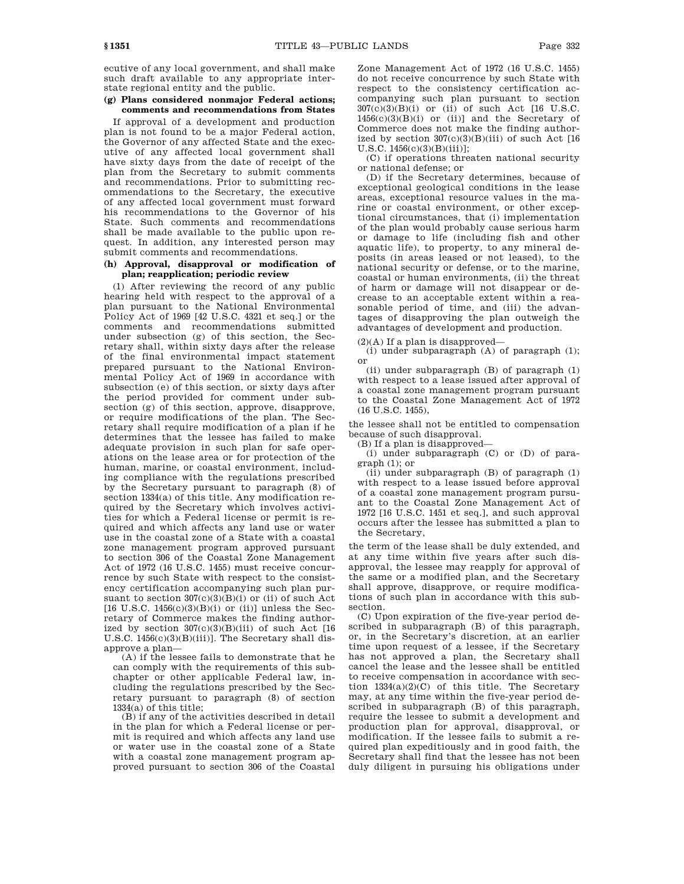ecutive of any local government, and shall make such draft available to any appropriate interstate regional entity and the public.

# **(g) Plans considered nonmajor Federal actions; comments and recommendations from States**

If approval of a development and production plan is not found to be a major Federal action, the Governor of any affected State and the executive of any affected local government shall have sixty days from the date of receipt of the plan from the Secretary to submit comments and recommendations. Prior to submitting recommendations to the Secretary, the executive of any affected local government must forward his recommendations to the Governor of his State. Such comments and recommendations shall be made available to the public upon request. In addition, any interested person may submit comments and recommendations.

# **(h) Approval, disapproval or modification of plan; reapplication; periodic review**

(1) After reviewing the record of any public hearing held with respect to the approval of a plan pursuant to the National Environmental Policy Act of 1969 [42 U.S.C. 4321 et seq.] or the comments and recommendations submitted under subsection (g) of this section, the Secretary shall, within sixty days after the release of the final environmental impact statement prepared pursuant to the National Environmental Policy Act of 1969 in accordance with subsection (e) of this section, or sixty days after the period provided for comment under subsection (g) of this section, approve, disapprove, or require modifications of the plan. The Secretary shall require modification of a plan if he determines that the lessee has failed to make adequate provision in such plan for safe operations on the lease area or for protection of the human, marine, or coastal environment, including compliance with the regulations prescribed by the Secretary pursuant to paragraph (8) of section 1334(a) of this title. Any modification required by the Secretary which involves activities for which a Federal license or permit is required and which affects any land use or water use in the coastal zone of a State with a coastal zone management program approved pursuant to section 306 of the Coastal Zone Management Act of 1972 (16 U.S.C. 1455) must receive concurrence by such State with respect to the consistency certification accompanying such plan pursuant to section  $307(c)(3)(B)(i)$  or (ii) of such Act [16 U.S.C. 1456 $(c)(3)(B)(i)$  or (ii)] unless the Secretary of Commerce makes the finding authorized by section  $307(c)(3)(B)(iii)$  of such Act [16] U.S.C. 1456(c)(3)(B)(iii)]. The Secretary shall disapprove a plan—

(A) if the lessee fails to demonstrate that he can comply with the requirements of this subchapter or other applicable Federal law, including the regulations prescribed by the Secretary pursuant to paragraph (8) of section 1334(a) of this title;

(B) if any of the activities described in detail in the plan for which a Federal license or permit is required and which affects any land use or water use in the coastal zone of a State with a coastal zone management program approved pursuant to section 306 of the Coastal

Zone Management Act of 1972 (16 U.S.C. 1455) do not receive concurrence by such State with respect to the consistency certification accompanying such plan pursuant to section 307(c)(3)(B)(i) or (ii) of such Act [16 U.S.C.  $1456(c)(3)(B)(i)$  or (ii)] and the Secretary of Commerce does not make the finding authorized by section  $307(c)(3)(B)(iii)$  of such Act [16] U.S.C. 1456(c)(3)(B)(iii)];

(C) if operations threaten national security or national defense; or

(D) if the Secretary determines, because of exceptional geological conditions in the lease areas, exceptional resource values in the marine or coastal environment, or other exceptional circumstances, that (i) implementation of the plan would probably cause serious harm or damage to life (including fish and other aquatic life), to property, to any mineral deposits (in areas leased or not leased), to the national security or defense, or to the marine, coastal or human environments, (ii) the threat of harm or damage will not disappear or decrease to an acceptable extent within a reasonable period of time, and (iii) the advantages of disapproving the plan outweigh the advantages of development and production.

 $(2)(A)$  If a plan is disapproved—

(i) under subparagraph (A) of paragraph (1); or

(ii) under subparagraph (B) of paragraph (1) with respect to a lease issued after approval of a coastal zone management program pursuant to the Coastal Zone Management Act of 1972 (16 U.S.C. 1455),

the lessee shall not be entitled to compensation because of such disapproval.

(B) If a plan is disapproved—

(i) under subparagraph (C) or (D) of paragraph (1); or

(ii) under subparagraph (B) of paragraph (1) with respect to a lease issued before approval of a coastal zone management program pursuant to the Coastal Zone Management Act of 1972 [16 U.S.C. 1451 et seq.], and such approval occurs after the lessee has submitted a plan to the Secretary,

the term of the lease shall be duly extended, and at any time within five years after such disapproval, the lessee may reapply for approval of the same or a modified plan, and the Secretary shall approve, disapprove, or require modifications of such plan in accordance with this subsection.

(C) Upon expiration of the five-year period described in subparagraph (B) of this paragraph, or, in the Secretary's discretion, at an earlier time upon request of a lessee, if the Secretary has not approved a plan, the Secretary shall cancel the lease and the lessee shall be entitled to receive compensation in accordance with section  $1334(a)(2)(C)$  of this title. The Secretary may, at any time within the five-year period described in subparagraph (B) of this paragraph, require the lessee to submit a development and production plan for approval, disapproval, or modification. If the lessee fails to submit a required plan expeditiously and in good faith, the Secretary shall find that the lessee has not been duly diligent in pursuing his obligations under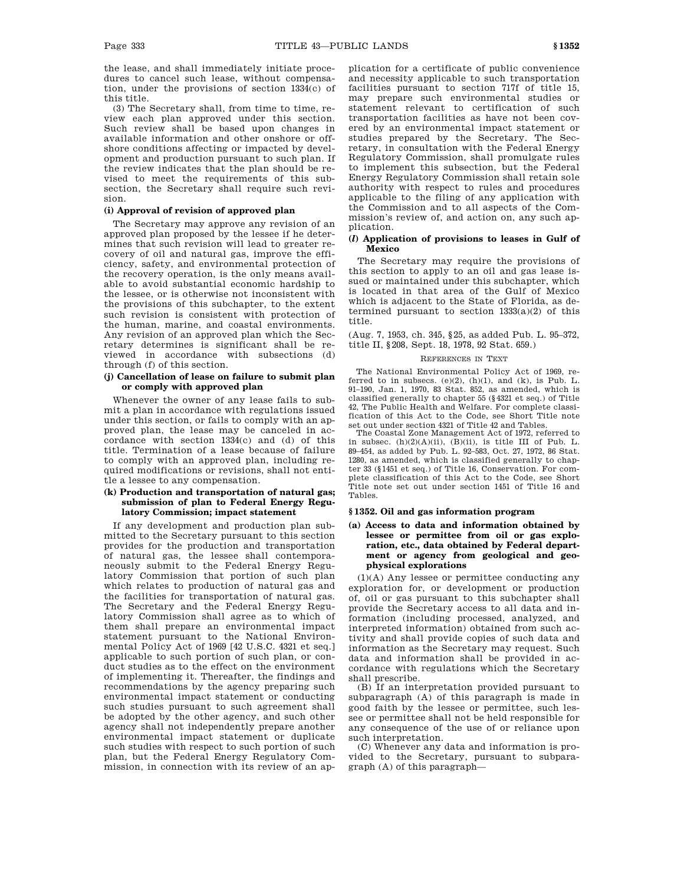the lease, and shall immediately initiate procedures to cancel such lease, without compensation, under the provisions of section 1334(c) of this title.

(3) The Secretary shall, from time to time, review each plan approved under this section. Such review shall be based upon changes in available information and other onshore or offshore conditions affecting or impacted by development and production pursuant to such plan. If the review indicates that the plan should be revised to meet the requirements of this subsection, the Secretary shall require such revision.

#### **(i) Approval of revision of approved plan**

The Secretary may approve any revision of an approved plan proposed by the lessee if he determines that such revision will lead to greater recovery of oil and natural gas, improve the efficiency, safety, and environmental protection of the recovery operation, is the only means available to avoid substantial economic hardship to the lessee, or is otherwise not inconsistent with the provisions of this subchapter, to the extent such revision is consistent with protection of the human, marine, and coastal environments. Any revision of an approved plan which the Secretary determines is significant shall be reviewed in accordance with subsections (d) through (f) of this section.

# **(j) Cancellation of lease on failure to submit plan or comply with approved plan**

Whenever the owner of any lease fails to submit a plan in accordance with regulations issued under this section, or fails to comply with an approved plan, the lease may be canceled in accordance with section 1334(c) and (d) of this title. Termination of a lease because of failure to comply with an approved plan, including required modifications or revisions, shall not entitle a lessee to any compensation.

## **(k) Production and transportation of natural gas; submission of plan to Federal Energy Regulatory Commission; impact statement**

If any development and production plan submitted to the Secretary pursuant to this section provides for the production and transportation of natural gas, the lessee shall contemporaneously submit to the Federal Energy Regulatory Commission that portion of such plan which relates to production of natural gas and the facilities for transportation of natural gas. The Secretary and the Federal Energy Regulatory Commission shall agree as to which of them shall prepare an environmental impact statement pursuant to the National Environmental Policy Act of 1969 [42 U.S.C. 4321 et seq.] applicable to such portion of such plan, or conduct studies as to the effect on the environment of implementing it. Thereafter, the findings and recommendations by the agency preparing such environmental impact statement or conducting such studies pursuant to such agreement shall be adopted by the other agency, and such other agency shall not independently prepare another environmental impact statement or duplicate such studies with respect to such portion of such plan, but the Federal Energy Regulatory Commission, in connection with its review of an application for a certificate of public convenience and necessity applicable to such transportation facilities pursuant to section 717f of title 15, may prepare such environmental studies or statement relevant to certification of such transportation facilities as have not been covered by an environmental impact statement or studies prepared by the Secretary. The Secretary, in consultation with the Federal Energy Regulatory Commission, shall promulgate rules to implement this subsection, but the Federal Energy Regulatory Commission shall retain sole authority with respect to rules and procedures applicable to the filing of any application with the Commission and to all aspects of the Commission's review of, and action on, any such application.

## **(***l***) Application of provisions to leases in Gulf of Mexico**

The Secretary may require the provisions of this section to apply to an oil and gas lease issued or maintained under this subchapter, which is located in that area of the Gulf of Mexico which is adjacent to the State of Florida, as determined pursuant to section  $1333(a)(2)$  of this title.

(Aug. 7, 1953, ch. 345, §25, as added Pub. L. 95–372, title II, §208, Sept. 18, 1978, 92 Stat. 659.)

#### REFERENCES IN TEXT

The National Environmental Policy Act of 1969, referred to in subsecs.  $(e)(2)$ ,  $(h)(1)$ , and  $(k)$ , is Pub. L. 91–190, Jan. 1, 1970, 83 Stat. 852, as amended, which is classified generally to chapter 55 (§4321 et seq.) of Title 42, The Public Health and Welfare. For complete classification of this Act to the Code, see Short Title note set out under section 4321 of Title 42 and Tables.

The Coastal Zone Management Act of 1972, referred to in subsec.  $(h)(2)(A)(ii)$ ,  $(B)(ii)$ , is title III of Pub. L. 89–454, as added by Pub. L. 92–583, Oct. 27, 1972, 86 Stat. 1280, as amended, which is classified generally to chapter 33 (§1451 et seq.) of Title 16, Conservation. For complete classification of this Act to the Code, see Short Title note set out under section 1451 of Title 16 and Tables.

## **§ 1352. Oil and gas information program**

**(a) Access to data and information obtained by lessee or permittee from oil or gas exploration, etc., data obtained by Federal department or agency from geological and geophysical explorations**

(1)(A) Any lessee or permittee conducting any exploration for, or development or production of, oil or gas pursuant to this subchapter shall provide the Secretary access to all data and information (including processed, analyzed, and interpreted information) obtained from such activity and shall provide copies of such data and information as the Secretary may request. Such data and information shall be provided in accordance with regulations which the Secretary shall prescribe.

(B) If an interpretation provided pursuant to subparagraph (A) of this paragraph is made in good faith by the lessee or permittee, such lessee or permittee shall not be held responsible for any consequence of the use of or reliance upon such interpretation.

(C) Whenever any data and information is provided to the Secretary, pursuant to subparagraph (A) of this paragraph—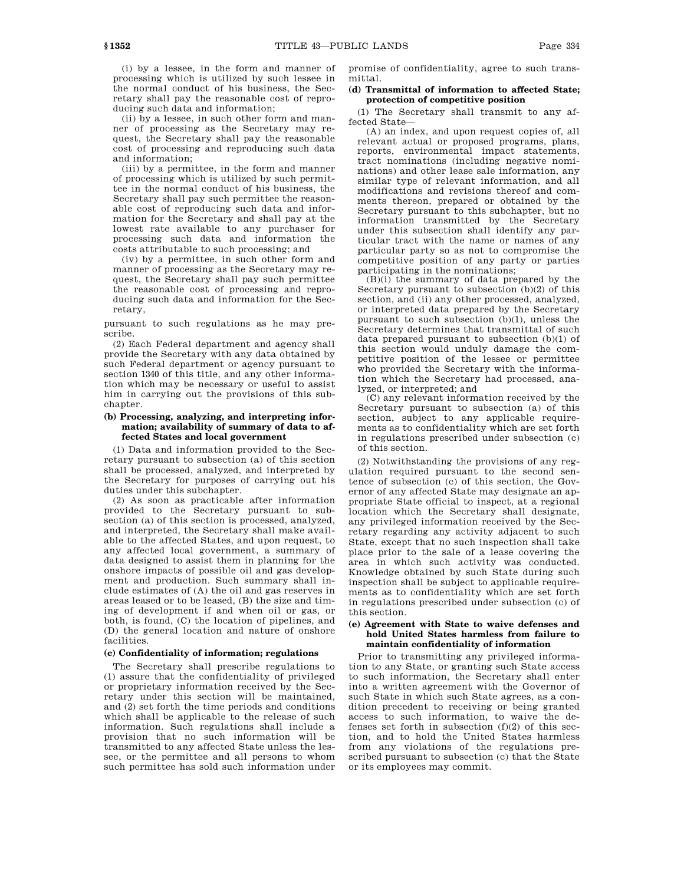(i) by a lessee, in the form and manner of processing which is utilized by such lessee in the normal conduct of his business, the Secretary shall pay the reasonable cost of reproducing such data and information;

(ii) by a lessee, in such other form and manner of processing as the Secretary may request, the Secretary shall pay the reasonable cost of processing and reproducing such data and information;

(iii) by a permittee, in the form and manner of processing which is utilized by such permittee in the normal conduct of his business, the Secretary shall pay such permittee the reasonable cost of reproducing such data and information for the Secretary and shall pay at the lowest rate available to any purchaser for processing such data and information the costs attributable to such processing; and

(iv) by a permittee, in such other form and manner of processing as the Secretary may request, the Secretary shall pay such permittee the reasonable cost of processing and reproducing such data and information for the Secretary,

pursuant to such regulations as he may prescribe.

(2) Each Federal department and agency shall provide the Secretary with any data obtained by such Federal department or agency pursuant to section 1340 of this title, and any other information which may be necessary or useful to assist him in carrying out the provisions of this subchapter.

## **(b) Processing, analyzing, and interpreting information; availability of summary of data to affected States and local government**

(1) Data and information provided to the Secretary pursuant to subsection (a) of this section shall be processed, analyzed, and interpreted by the Secretary for purposes of carrying out his duties under this subchapter.

(2) As soon as practicable after information provided to the Secretary pursuant to subsection (a) of this section is processed, analyzed, and interpreted, the Secretary shall make available to the affected States, and upon request, to any affected local government, a summary of data designed to assist them in planning for the onshore impacts of possible oil and gas development and production. Such summary shall include estimates of (A) the oil and gas reserves in areas leased or to be leased, (B) the size and timing of development if and when oil or gas, or both, is found, (C) the location of pipelines, and (D) the general location and nature of onshore facilities.

#### **(c) Confidentiality of information; regulations**

The Secretary shall prescribe regulations to (1) assure that the confidentiality of privileged or proprietary information received by the Secretary under this section will be maintained, and (2) set forth the time periods and conditions which shall be applicable to the release of such information. Such regulations shall include a provision that no such information will be transmitted to any affected State unless the lessee, or the permittee and all persons to whom such permittee has sold such information under promise of confidentiality, agree to such transmittal.

## **(d) Transmittal of information to affected State; protection of competitive position**

(1) The Secretary shall transmit to any affected State—

(A) an index, and upon request copies of, all relevant actual or proposed programs, plans, reports, environmental impact statements, tract nominations (including negative nominations) and other lease sale information, any similar type of relevant information, and all modifications and revisions thereof and comments thereon, prepared or obtained by the Secretary pursuant to this subchapter, but no information transmitted by the Secretary under this subsection shall identify any particular tract with the name or names of any particular party so as not to compromise the competitive position of any party or parties participating in the nominations;

(B)(i) the summary of data prepared by the Secretary pursuant to subsection (b)(2) of this section, and (ii) any other processed, analyzed, or interpreted data prepared by the Secretary pursuant to such subsection (b)(1), unless the Secretary determines that transmittal of such data prepared pursuant to subsection (b)(1) of this section would unduly damage the competitive position of the lessee or permittee who provided the Secretary with the information which the Secretary had processed, analyzed, or interpreted; and

(C) any relevant information received by the Secretary pursuant to subsection (a) of this section, subject to any applicable requirements as to confidentiality which are set forth in regulations prescribed under subsection (c) of this section.

(2) Notwithstanding the provisions of any regulation required pursuant to the second sentence of subsection (c) of this section, the Governor of any affected State may designate an appropriate State official to inspect, at a regional location which the Secretary shall designate, any privileged information received by the Secretary regarding any activity adjacent to such State, except that no such inspection shall take place prior to the sale of a lease covering the area in which such activity was conducted. Knowledge obtained by such State during such inspection shall be subject to applicable requirements as to confidentiality which are set forth in regulations prescribed under subsection (c) of this section.

## **(e) Agreement with State to waive defenses and hold United States harmless from failure to maintain confidentiality of information**

Prior to transmitting any privileged information to any State, or granting such State access to such information, the Secretary shall enter into a written agreement with the Governor of such State in which such State agrees, as a condition precedent to receiving or being granted access to such information, to waive the defenses set forth in subsection  $(f)(2)$  of this section, and to hold the United States harmless from any violations of the regulations prescribed pursuant to subsection (c) that the State or its employees may commit.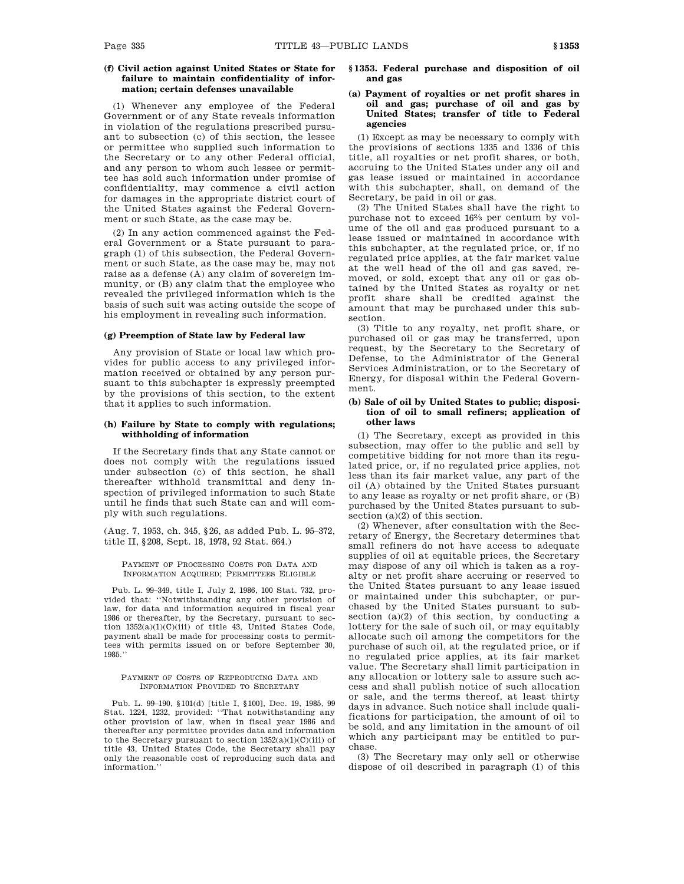# **(f) Civil action against United States or State for failure to maintain confidentiality of information; certain defenses unavailable**

(1) Whenever any employee of the Federal Government or of any State reveals information in violation of the regulations prescribed pursuant to subsection (c) of this section, the lessee or permittee who supplied such information to the Secretary or to any other Federal official, and any person to whom such lessee or permittee has sold such information under promise of confidentiality, may commence a civil action for damages in the appropriate district court of the United States against the Federal Government or such State, as the case may be.

(2) In any action commenced against the Federal Government or a State pursuant to paragraph (1) of this subsection, the Federal Government or such State, as the case may be, may not raise as a defense (A) any claim of sovereign immunity, or (B) any claim that the employee who revealed the privileged information which is the basis of such suit was acting outside the scope of his employment in revealing such information.

## **(g) Preemption of State law by Federal law**

Any provision of State or local law which provides for public access to any privileged information received or obtained by any person pursuant to this subchapter is expressly preempted by the provisions of this section, to the extent that it applies to such information.

# **(h) Failure by State to comply with regulations; withholding of information**

If the Secretary finds that any State cannot or does not comply with the regulations issued under subsection (c) of this section, he shall thereafter withhold transmittal and deny inspection of privileged information to such State until he finds that such State can and will comply with such regulations.

(Aug. 7, 1953, ch. 345, §26, as added Pub. L. 95–372, title II, §208, Sept. 18, 1978, 92 Stat. 664.)

PAYMENT OF PROCESSING COSTS FOR DATA AND INFORMATION ACQUIRED; PERMITTEES ELIGIBLE

Pub. L. 99–349, title I, July 2, 1986, 100 Stat. 732, provided that: ''Notwithstanding any other provision of law, for data and information acquired in fiscal year 1986 or thereafter, by the Secretary, pursuant to section 1352(a)(1)(C)(iii) of title 43, United States Code, payment shall be made for processing costs to permittees with permits issued on or before September 30, 1985.''

#### PAYMENT OF COSTS OF REPRODUCING DATA AND INFORMATION PROVIDED TO SECRETARY

Pub. L. 99–190, §101(d) [title I, §100], Dec. 19, 1985, 99 Stat. 1224, 1232, provided: ''That notwithstanding any other provision of law, when in fiscal year 1986 and thereafter any permittee provides data and information to the Secretary pursuant to section  $1352(a)(1)(C)(iii)$  of title 43, United States Code, the Secretary shall pay only the reasonable cost of reproducing such data and information.''

**§ 1353. Federal purchase and disposition of oil and gas**

# **(a) Payment of royalties or net profit shares in oil and gas; purchase of oil and gas by United States; transfer of title to Federal agencies**

(1) Except as may be necessary to comply with the provisions of sections 1335 and 1336 of this title, all royalties or net profit shares, or both, accruing to the United States under any oil and gas lease issued or maintained in accordance with this subchapter, shall, on demand of the Secretary, be paid in oil or gas.

(2) The United States shall have the right to purchase not to exceed 162 ⁄3 per centum by volume of the oil and gas produced pursuant to a lease issued or maintained in accordance with this subchapter, at the regulated price, or, if no regulated price applies, at the fair market value at the well head of the oil and gas saved, removed, or sold, except that any oil or gas obtained by the United States as royalty or net profit share shall be credited against the amount that may be purchased under this subsection.

(3) Title to any royalty, net profit share, or purchased oil or gas may be transferred, upon request, by the Secretary to the Secretary of Defense, to the Administrator of the General Services Administration, or to the Secretary of Energy, for disposal within the Federal Government.

## **(b) Sale of oil by United States to public; disposition of oil to small refiners; application of other laws**

(1) The Secretary, except as provided in this subsection, may offer to the public and sell by competitive bidding for not more than its regulated price, or, if no regulated price applies, not less than its fair market value, any part of the oil (A) obtained by the United States pursuant to any lease as royalty or net profit share, or (B) purchased by the United States pursuant to subsection (a)(2) of this section.

(2) Whenever, after consultation with the Secretary of Energy, the Secretary determines that small refiners do not have access to adequate supplies of oil at equitable prices, the Secretary may dispose of any oil which is taken as a royalty or net profit share accruing or reserved to the United States pursuant to any lease issued or maintained under this subchapter, or purchased by the United States pursuant to subsection  $(a)(2)$  of this section, by conducting a lottery for the sale of such oil, or may equitably allocate such oil among the competitors for the purchase of such oil, at the regulated price, or if no regulated price applies, at its fair market value. The Secretary shall limit participation in any allocation or lottery sale to assure such access and shall publish notice of such allocation or sale, and the terms thereof, at least thirty days in advance. Such notice shall include qualifications for participation, the amount of oil to be sold, and any limitation in the amount of oil which any participant may be entitled to purchase.

(3) The Secretary may only sell or otherwise dispose of oil described in paragraph (1) of this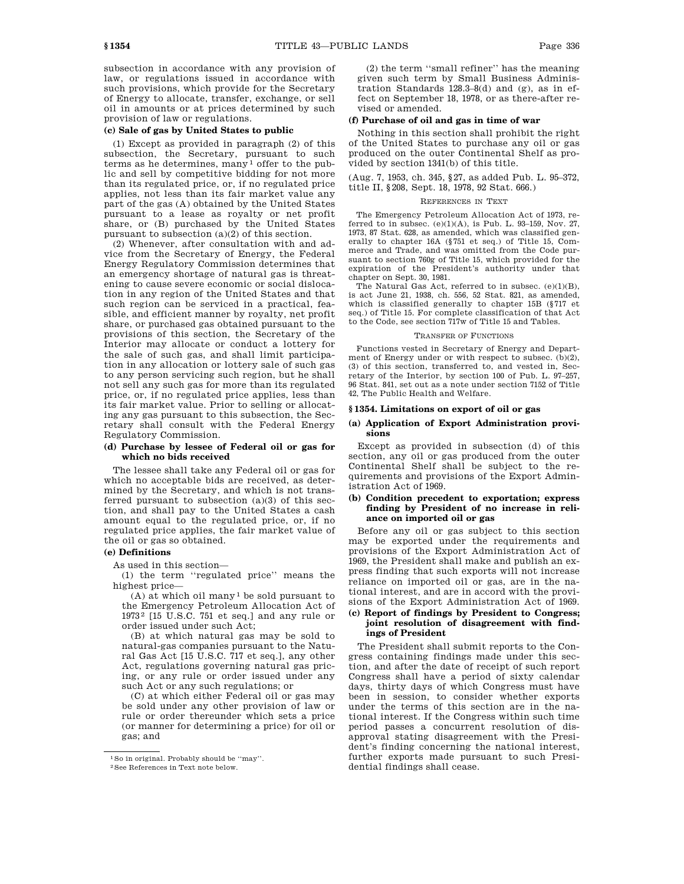subsection in accordance with any provision of law, or regulations issued in accordance with such provisions, which provide for the Secretary of Energy to allocate, transfer, exchange, or sell oil in amounts or at prices determined by such provision of law or regulations.

# **(c) Sale of gas by United States to public**

(1) Except as provided in paragraph (2) of this subsection, the Secretary, pursuant to such terms as he determines, many<sup>1</sup> offer to the public and sell by competitive bidding for not more than its regulated price, or, if no regulated price applies, not less than its fair market value any part of the gas (A) obtained by the United States pursuant to a lease as royalty or net profit share, or (B) purchased by the United States pursuant to subsection  $(a)(2)$  of this section.

(2) Whenever, after consultation with and advice from the Secretary of Energy, the Federal Energy Regulatory Commission determines that an emergency shortage of natural gas is threatening to cause severe economic or social dislocation in any region of the United States and that such region can be serviced in a practical, feasible, and efficient manner by royalty, net profit share, or purchased gas obtained pursuant to the provisions of this section, the Secretary of the Interior may allocate or conduct a lottery for the sale of such gas, and shall limit participation in any allocation or lottery sale of such gas to any person servicing such region, but he shall not sell any such gas for more than its regulated price, or, if no regulated price applies, less than its fair market value. Prior to selling or allocating any gas pursuant to this subsection, the Secretary shall consult with the Federal Energy Regulatory Commission.

## **(d) Purchase by lessee of Federal oil or gas for which no bids received**

The lessee shall take any Federal oil or gas for which no acceptable bids are received, as determined by the Secretary, and which is not transferred pursuant to subsection  $(a)(3)$  of this section, and shall pay to the United States a cash amount equal to the regulated price, or, if no regulated price applies, the fair market value of the oil or gas so obtained.

# **(e) Definitions**

As used in this section—

(1) the term ''regulated price'' means the highest price—

 $(A)$  at which oil many<sup>1</sup> be sold pursuant to the Emergency Petroleum Allocation Act of 1973 2 [15 U.S.C. 751 et seq.] and any rule or order issued under such Act;

(B) at which natural gas may be sold to natural-gas companies pursuant to the Natural Gas Act [15 U.S.C. 717 et seq.], any other Act, regulations governing natural gas pricing, or any rule or order issued under any such Act or any such regulations; or

(C) at which either Federal oil or gas may be sold under any other provision of law or rule or order thereunder which sets a price (or manner for determining a price) for oil or gas; and

(2) the term ''small refiner'' has the meaning given such term by Small Business Administration Standards  $128.3-8(d)$  and  $(g)$ , as in effect on September 18, 1978, or as there-after revised or amended.

#### **(f) Purchase of oil and gas in time of war**

Nothing in this section shall prohibit the right of the United States to purchase any oil or gas produced on the outer Continental Shelf as provided by section 1341(b) of this title.

(Aug. 7, 1953, ch. 345, §27, as added Pub. L. 95–372, title II, §208, Sept. 18, 1978, 92 Stat. 666.)

#### REFERENCES IN TEXT

The Emergency Petroleum Allocation Act of 1973, referred to in subsec.  $(e)(1)(A)$ , is Pub. L. 93-159, Nov. 27, 1973, 87 Stat. 628, as amended, which was classified generally to chapter 16A (§751 et seq.) of Title 15, Commerce and Trade, and was omitted from the Code pursuant to section 760g of Title 15, which provided for the expiration of the President's authority under that chapter on Sept. 30, 1981.

The Natural Gas Act, referred to in subsec.  $(e)(1)(B)$ , is act June 21, 1938, ch. 556, 52 Stat. 821, as amended, which is classified generally to chapter 15B (§717 et seq.) of Title 15. For complete classification of that Act to the Code, see section 717w of Title 15 and Tables.

#### TRANSFER OF FUNCTIONS

Functions vested in Secretary of Energy and Department of Energy under or with respect to subsec. (b)(2), (3) of this section, transferred to, and vested in, Secretary of the Interior, by section 100 of Pub. L. 97–257, 96 Stat. 841, set out as a note under section 7152 of Title 42, The Public Health and Welfare.

# **§ 1354. Limitations on export of oil or gas**

#### **(a) Application of Export Administration provisions**

Except as provided in subsection (d) of this section, any oil or gas produced from the outer Continental Shelf shall be subject to the requirements and provisions of the Export Administration Act of 1969.

## **(b) Condition precedent to exportation; express finding by President of no increase in reliance on imported oil or gas**

Before any oil or gas subject to this section may be exported under the requirements and provisions of the Export Administration Act of 1969, the President shall make and publish an express finding that such exports will not increase reliance on imported oil or gas, are in the national interest, and are in accord with the provisions of the Export Administration Act of 1969.

# **(c) Report of findings by President to Congress; joint resolution of disagreement with findings of President**

The President shall submit reports to the Congress containing findings made under this section, and after the date of receipt of such report Congress shall have a period of sixty calendar days, thirty days of which Congress must have been in session, to consider whether exports under the terms of this section are in the national interest. If the Congress within such time period passes a concurrent resolution of disapproval stating disagreement with the President's finding concerning the national interest, further exports made pursuant to such Presidential findings shall cease.

<sup>1</sup>So in original. Probably should be ''may''.

<sup>2</sup>See References in Text note below.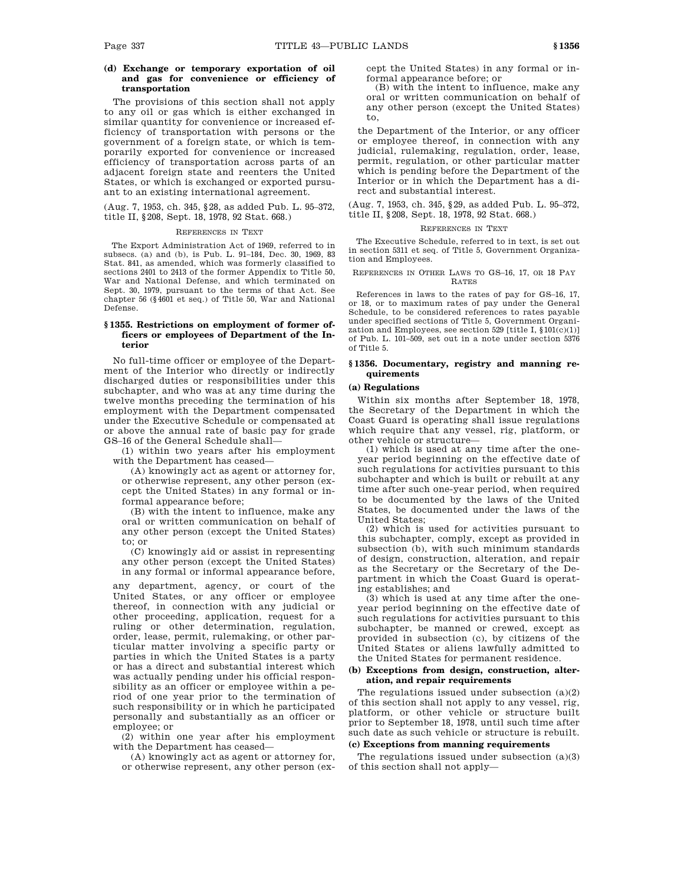# **(d) Exchange or temporary exportation of oil and gas for convenience or efficiency of transportation**

The provisions of this section shall not apply to any oil or gas which is either exchanged in similar quantity for convenience or increased efficiency of transportation with persons or the government of a foreign state, or which is temporarily exported for convenience or increased efficiency of transportation across parts of an adjacent foreign state and reenters the United States, or which is exchanged or exported pursuant to an existing international agreement.

(Aug. 7, 1953, ch. 345, §28, as added Pub. L. 95–372, title II, §208, Sept. 18, 1978, 92 Stat. 668.)

## REFERENCES IN TEXT

The Export Administration Act of 1969, referred to in subsecs. (a) and (b), is Pub. L. 91–184, Dec. 30, 1969, 83 Stat. 841, as amended, which was formerly classified to sections 2401 to 2413 of the former Appendix to Title 50, War and National Defense, and which terminated on Sept. 30, 1979, pursuant to the terms of that Act. See chapter 56 (§4601 et seq.) of Title 50, War and National Defense.

# **§ 1355. Restrictions on employment of former officers or employees of Department of the Interior**

No full-time officer or employee of the Department of the Interior who directly or indirectly discharged duties or responsibilities under this subchapter, and who was at any time during the twelve months preceding the termination of his employment with the Department compensated under the Executive Schedule or compensated at or above the annual rate of basic pay for grade GS–16 of the General Schedule shall—

(1) within two years after his employment with the Department has ceased—

(A) knowingly act as agent or attorney for, or otherwise represent, any other person (except the United States) in any formal or informal appearance before;

(B) with the intent to influence, make any oral or written communication on behalf of any other person (except the United States) to; or

(C) knowingly aid or assist in representing any other person (except the United States) in any formal or informal appearance before,

any department, agency, or court of the United States, or any officer or employee thereof, in connection with any judicial or other proceeding, application, request for a ruling or other determination, regulation, order, lease, permit, rulemaking, or other particular matter involving a specific party or parties in which the United States is a party or has a direct and substantial interest which was actually pending under his official responsibility as an officer or employee within a period of one year prior to the termination of such responsibility or in which he participated personally and substantially as an officer or employee; or

(2) within one year after his employment with the Department has ceased—

(A) knowingly act as agent or attorney for, or otherwise represent, any other person (except the United States) in any formal or informal appearance before; or

(B) with the intent to influence, make any oral or written communication on behalf of any other person (except the United States) to,

the Department of the Interior, or any officer or employee thereof, in connection with any judicial, rulemaking, regulation, order, lease, permit, regulation, or other particular matter which is pending before the Department of the Interior or in which the Department has a direct and substantial interest.

(Aug. 7, 1953, ch. 345, §29, as added Pub. L. 95–372, title II, §208, Sept. 18, 1978, 92 Stat. 668.)

#### REFERENCES IN TEXT

The Executive Schedule, referred to in text, is set out in section 5311 et seq. of Title 5, Government Organization and Employees.

#### REFERENCES IN OTHER LAWS TO GS–16, 17, OR 18 PAY RATES

References in laws to the rates of pay for GS–16, 17, or 18, or to maximum rates of pay under the General Schedule, to be considered references to rates payable under specified sections of Title 5, Government Organization and Employees, see section 529 [title I,  $$101(c)(1)]$ of Pub. L. 101–509, set out in a note under section 5376 of Title 5.

#### **§ 1356. Documentary, registry and manning requirements**

#### **(a) Regulations**

Within six months after September 18, 1978, the Secretary of the Department in which the Coast Guard is operating shall issue regulations which require that any vessel, rig, platform, or other vehicle or structure—

(1) which is used at any time after the oneyear period beginning on the effective date of such regulations for activities pursuant to this subchapter and which is built or rebuilt at any time after such one-year period, when required to be documented by the laws of the United States, be documented under the laws of the United States;

(2) which is used for activities pursuant to this subchapter, comply, except as provided in subsection (b), with such minimum standards of design, construction, alteration, and repair as the Secretary or the Secretary of the Department in which the Coast Guard is operating establishes; and

(3) which is used at any time after the oneyear period beginning on the effective date of such regulations for activities pursuant to this subchapter, be manned or crewed, except as provided in subsection (c), by citizens of the United States or aliens lawfully admitted to the United States for permanent residence.

# **(b) Exceptions from design, construction, alteration, and repair requirements**

The regulations issued under subsection  $(a)(2)$ of this section shall not apply to any vessel, rig, platform, or other vehicle or structure built prior to September 18, 1978, until such time after such date as such vehicle or structure is rebuilt.

## **(c) Exceptions from manning requirements**

The regulations issued under subsection (a)(3) of this section shall not apply—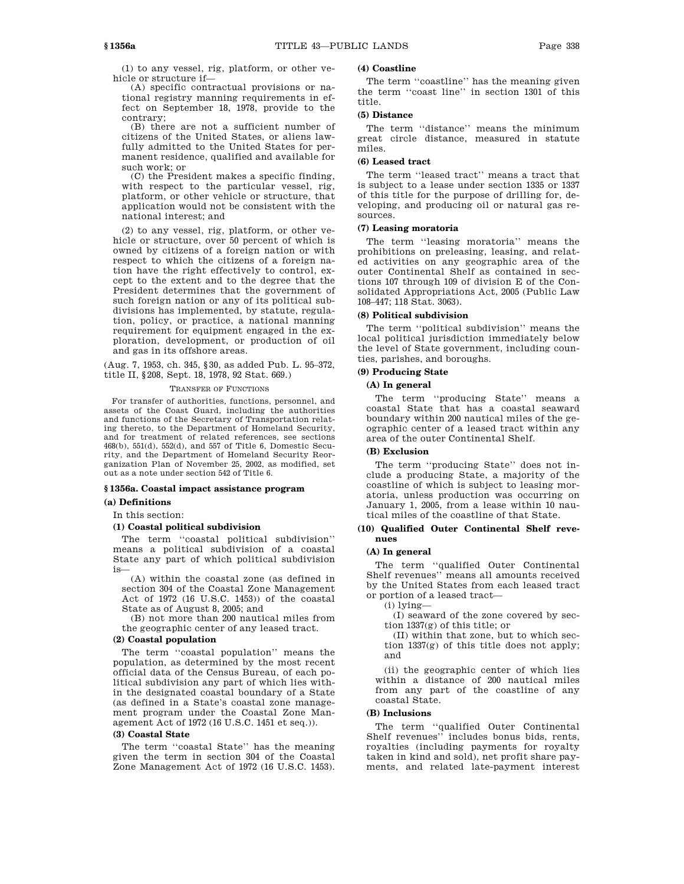(1) to any vessel, rig, platform, or other vehicle or structure if—

(A) specific contractual provisions or national registry manning requirements in effect on September 18, 1978, provide to the contrary;

(B) there are not a sufficient number of citizens of the United States, or aliens lawfully admitted to the United States for permanent residence, qualified and available for such work; or

(C) the President makes a specific finding, with respect to the particular vessel, rig, platform, or other vehicle or structure, that application would not be consistent with the national interest; and

(2) to any vessel, rig, platform, or other vehicle or structure, over 50 percent of which is owned by citizens of a foreign nation or with respect to which the citizens of a foreign nation have the right effectively to control, except to the extent and to the degree that the President determines that the government of such foreign nation or any of its political subdivisions has implemented, by statute, regulation, policy, or practice, a national manning requirement for equipment engaged in the exploration, development, or production of oil and gas in its offshore areas.

(Aug. 7, 1953, ch. 345, §30, as added Pub. L. 95–372, title II, §208, Sept. 18, 1978, 92 Stat. 669.)

#### TRANSFER OF FUNCTIONS

For transfer of authorities, functions, personnel, and assets of the Coast Guard, including the authorities and functions of the Secretary of Transportation relating thereto, to the Department of Homeland Security, and for treatment of related references, see sections 468(b), 551(d), 552(d), and 557 of Title 6, Domestic Security, and the Department of Homeland Security Reorganization Plan of November 25, 2002, as modified, set out as a note under section 542 of Title 6.

#### **§ 1356a. Coastal impact assistance program**

# **(a) Definitions**

In this section:

# **(1) Coastal political subdivision**

The term ''coastal political subdivision'' means a political subdivision of a coastal State any part of which political subdivision is—

(A) within the coastal zone (as defined in section 304 of the Coastal Zone Management Act of 1972 (16 U.S.C. 1453)) of the coastal State as of August 8, 2005; and

(B) not more than 200 nautical miles from the geographic center of any leased tract.

# **(2) Coastal population**

The term ''coastal population'' means the population, as determined by the most recent official data of the Census Bureau, of each political subdivision any part of which lies within the designated coastal boundary of a State (as defined in a State's coastal zone management program under the Coastal Zone Management Act of 1972 (16 U.S.C. 1451 et seq.)).

# **(3) Coastal State**

The term ''coastal State'' has the meaning given the term in section 304 of the Coastal Zone Management Act of 1972 (16 U.S.C. 1453).

# **(4) Coastline**

The term ''coastline'' has the meaning given the term ''coast line'' in section 1301 of this title.

# **(5) Distance**

The term ''distance'' means the minimum great circle distance, measured in statute miles.

#### **(6) Leased tract**

The term ''leased tract'' means a tract that is subject to a lease under section 1335 or 1337 of this title for the purpose of drilling for, developing, and producing oil or natural gas resources.

#### **(7) Leasing moratoria**

The term ''leasing moratoria'' means the prohibitions on preleasing, leasing, and related activities on any geographic area of the outer Continental Shelf as contained in sections 107 through 109 of division E of the Consolidated Appropriations Act, 2005 (Public Law 108–447; 118 Stat. 3063).

#### **(8) Political subdivision**

The term ''political subdivision'' means the local political jurisdiction immediately below the level of State government, including counties, parishes, and boroughs.

# **(9) Producing State**

# **(A) In general**

The term ''producing State'' means a coastal State that has a coastal seaward boundary within 200 nautical miles of the geographic center of a leased tract within any area of the outer Continental Shelf.

#### **(B) Exclusion**

The term ''producing State'' does not include a producing State, a majority of the coastline of which is subject to leasing moratoria, unless production was occurring on January 1, 2005, from a lease within 10 nautical miles of the coastline of that State.

# **(10) Qualified Outer Continental Shelf revenues**

# **(A) In general**

The term ''qualified Outer Continental Shelf revenues'' means all amounts received by the United States from each leased tract or portion of a leased tract—

(i) lying—

(I) seaward of the zone covered by section 1337(g) of this title; or

(II) within that zone, but to which section 1337(g) of this title does not apply; and

(ii) the geographic center of which lies within a distance of 200 nautical miles from any part of the coastline of any coastal State.

## **(B) Inclusions**

The term ''qualified Outer Continental Shelf revenues'' includes bonus bids, rents, royalties (including payments for royalty taken in kind and sold), net profit share payments, and related late-payment interest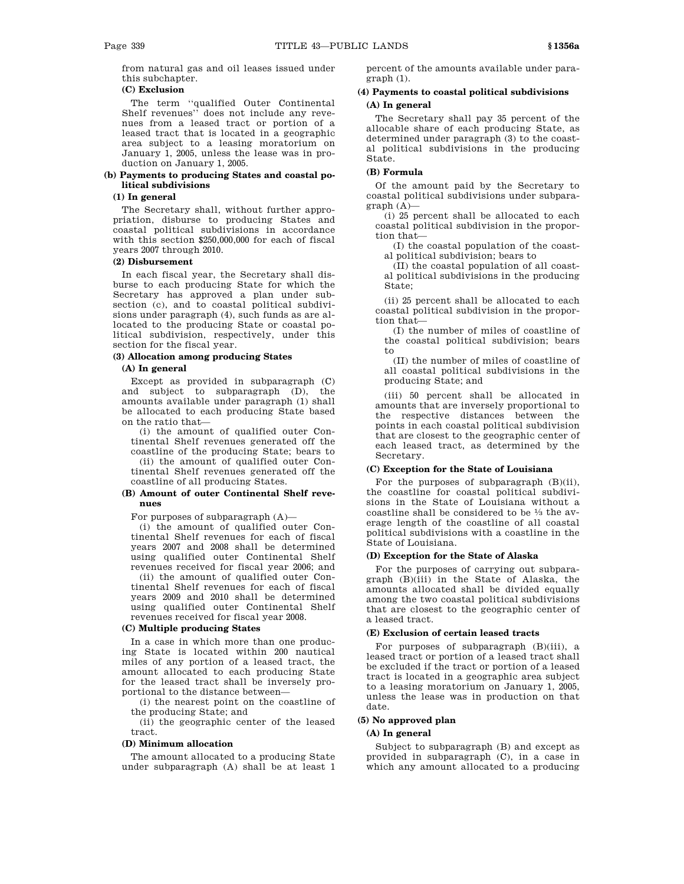from natural gas and oil leases issued under this subchapter.

# **(C) Exclusion**

The term ''qualified Outer Continental Shelf revenues'' does not include any revenues from a leased tract or portion of a leased tract that is located in a geographic area subject to a leasing moratorium on January 1, 2005, unless the lease was in production on January 1, 2005.

## **(b) Payments to producing States and coastal political subdivisions**

# **(1) In general**

The Secretary shall, without further appropriation, disburse to producing States and coastal political subdivisions in accordance with this section \$250,000,000 for each of fiscal years 2007 through 2010.

## **(2) Disbursement**

In each fiscal year, the Secretary shall disburse to each producing State for which the Secretary has approved a plan under subsection (c), and to coastal political subdivisions under paragraph (4), such funds as are allocated to the producing State or coastal political subdivision, respectively, under this section for the fiscal year.

# **(3) Allocation among producing States**

# **(A) In general**

Except as provided in subparagraph (C) and subject to subparagraph (D), the amounts available under paragraph (1) shall be allocated to each producing State based on the ratio that—

(i) the amount of qualified outer Continental Shelf revenues generated off the coastline of the producing State; bears to

(ii) the amount of qualified outer Continental Shelf revenues generated off the coastline of all producing States.

# **(B) Amount of outer Continental Shelf revenues**

For purposes of subparagraph (A)—

(i) the amount of qualified outer Continental Shelf revenues for each of fiscal years 2007 and 2008 shall be determined using qualified outer Continental Shelf revenues received for fiscal year 2006; and

(ii) the amount of qualified outer Continental Shelf revenues for each of fiscal years 2009 and 2010 shall be determined using qualified outer Continental Shelf revenues received for fiscal year 2008.

#### **(C) Multiple producing States**

In a case in which more than one producing State is located within 200 nautical miles of any portion of a leased tract, the amount allocated to each producing State for the leased tract shall be inversely proportional to the distance between—

(i) the nearest point on the coastline of the producing State; and

(ii) the geographic center of the leased tract.

# **(D) Minimum allocation**

The amount allocated to a producing State under subparagraph (A) shall be at least 1

percent of the amounts available under paragraph (1).

# **(4) Payments to coastal political subdivisions**

# **(A) In general**

The Secretary shall pay 35 percent of the allocable share of each producing State, as determined under paragraph (3) to the coastal political subdivisions in the producing State.

# **(B) Formula**

Of the amount paid by the Secretary to coastal political subdivisions under subparagraph (A)—

(i) 25 percent shall be allocated to each coastal political subdivision in the proportion that—

(I) the coastal population of the coastal political subdivision; bears to

(II) the coastal population of all coastal political subdivisions in the producing State:

(ii) 25 percent shall be allocated to each coastal political subdivision in the proportion that—

(I) the number of miles of coastline of the coastal political subdivision; bears to

(II) the number of miles of coastline of all coastal political subdivisions in the producing State; and

(iii) 50 percent shall be allocated in amounts that are inversely proportional to the respective distances between the points in each coastal political subdivision that are closest to the geographic center of each leased tract, as determined by the Secretary.

# **(C) Exception for the State of Louisiana**

For the purposes of subparagraph (B)(ii), the coastline for coastal political subdivisions in the State of Louisiana without a coastline shall be considered to be 1 ⁄3 the average length of the coastline of all coastal political subdivisions with a coastline in the State of Louisiana.

# **(D) Exception for the State of Alaska**

For the purposes of carrying out subparagraph (B)(iii) in the State of Alaska, the amounts allocated shall be divided equally among the two coastal political subdivisions that are closest to the geographic center of a leased tract.

## **(E) Exclusion of certain leased tracts**

For purposes of subparagraph  $(B)(iii)$ , a leased tract or portion of a leased tract shall be excluded if the tract or portion of a leased tract is located in a geographic area subject to a leasing moratorium on January 1, 2005, unless the lease was in production on that date.

# **(5) No approved plan**

#### **(A) In general**

Subject to subparagraph (B) and except as provided in subparagraph (C), in a case in which any amount allocated to a producing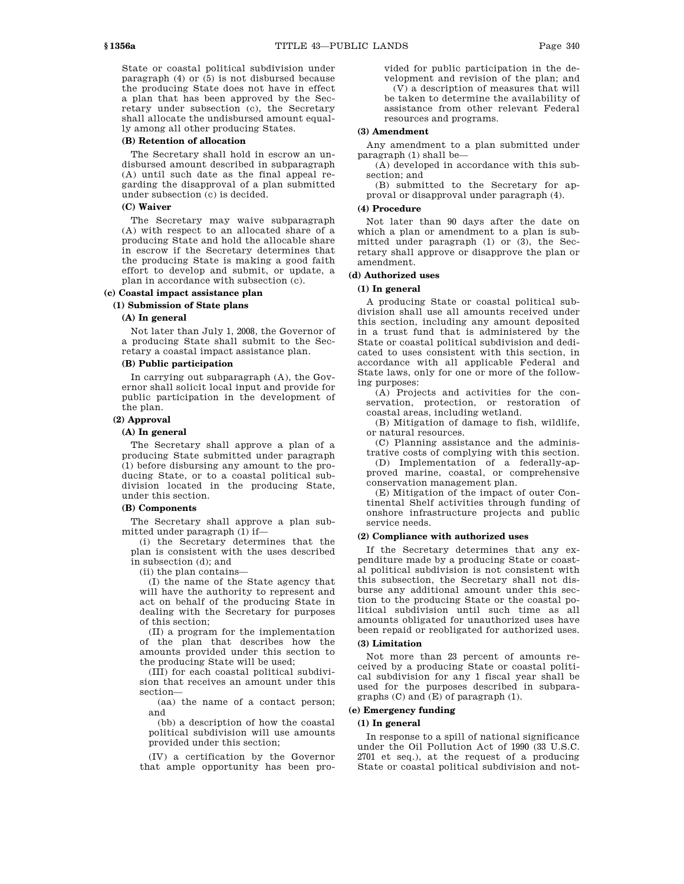State or coastal political subdivision under paragraph (4) or (5) is not disbursed because the producing State does not have in effect a plan that has been approved by the Secretary under subsection (c), the Secretary shall allocate the undisbursed amount equally among all other producing States.

#### **(B) Retention of allocation**

The Secretary shall hold in escrow an undisbursed amount described in subparagraph (A) until such date as the final appeal regarding the disapproval of a plan submitted under subsection (c) is decided.

# **(C) Waiver**

The Secretary may waive subparagraph (A) with respect to an allocated share of a producing State and hold the allocable share in escrow if the Secretary determines that the producing State is making a good faith effort to develop and submit, or update, a plan in accordance with subsection (c).

# **(c) Coastal impact assistance plan**

# **(1) Submission of State plans**

# **(A) In general**

Not later than July 1, 2008, the Governor of a producing State shall submit to the Secretary a coastal impact assistance plan.

## **(B) Public participation**

In carrying out subparagraph (A), the Governor shall solicit local input and provide for public participation in the development of the plan.

#### **(2) Approval**

#### **(A) In general**

The Secretary shall approve a plan of a producing State submitted under paragraph (1) before disbursing any amount to the producing State, or to a coastal political subdivision located in the producing State, under this section.

#### **(B) Components**

The Secretary shall approve a plan submitted under paragraph (1) if—

(i) the Secretary determines that the plan is consistent with the uses described in subsection (d); and

(ii) the plan contains—

(I) the name of the State agency that will have the authority to represent and act on behalf of the producing State in dealing with the Secretary for purposes of this section;

(II) a program for the implementation of the plan that describes how the amounts provided under this section to the producing State will be used;

(III) for each coastal political subdivision that receives an amount under this section—

(aa) the name of a contact person; and

(bb) a description of how the coastal political subdivision will use amounts provided under this section;

(IV) a certification by the Governor that ample opportunity has been pro-

vided for public participation in the development and revision of the plan; and (V) a description of measures that will be taken to determine the availability of assistance from other relevant Federal resources and programs.

## **(3) Amendment**

Any amendment to a plan submitted under paragraph (1) shall be—

(A) developed in accordance with this subsection; and

(B) submitted to the Secretary for approval or disapproval under paragraph (4).

#### **(4) Procedure**

Not later than 90 days after the date on which a plan or amendment to a plan is submitted under paragraph (1) or (3), the Secretary shall approve or disapprove the plan or amendment.

# **(d) Authorized uses**

# **(1) In general**

A producing State or coastal political subdivision shall use all amounts received under this section, including any amount deposited in a trust fund that is administered by the State or coastal political subdivision and dedicated to uses consistent with this section, in accordance with all applicable Federal and State laws, only for one or more of the following purposes:

(A) Projects and activities for the conservation, protection, or restoration of coastal areas, including wetland.

(B) Mitigation of damage to fish, wildlife, or natural resources.

(C) Planning assistance and the administrative costs of complying with this section.

(D) Implementation of a federally-approved marine, coastal, or comprehensive conservation management plan.

(E) Mitigation of the impact of outer Continental Shelf activities through funding of onshore infrastructure projects and public service needs.

#### **(2) Compliance with authorized uses**

If the Secretary determines that any expenditure made by a producing State or coastal political subdivision is not consistent with this subsection, the Secretary shall not disburse any additional amount under this section to the producing State or the coastal political subdivision until such time as all amounts obligated for unauthorized uses have been repaid or reobligated for authorized uses.

# **(3) Limitation**

Not more than 23 percent of amounts received by a producing State or coastal political subdivision for any 1 fiscal year shall be used for the purposes described in subparagraphs (C) and (E) of paragraph (1).

# **(e) Emergency funding**

## **(1) In general**

In response to a spill of national significance under the Oil Pollution Act of 1990 (33 U.S.C. 2701 et seq.), at the request of a producing State or coastal political subdivision and not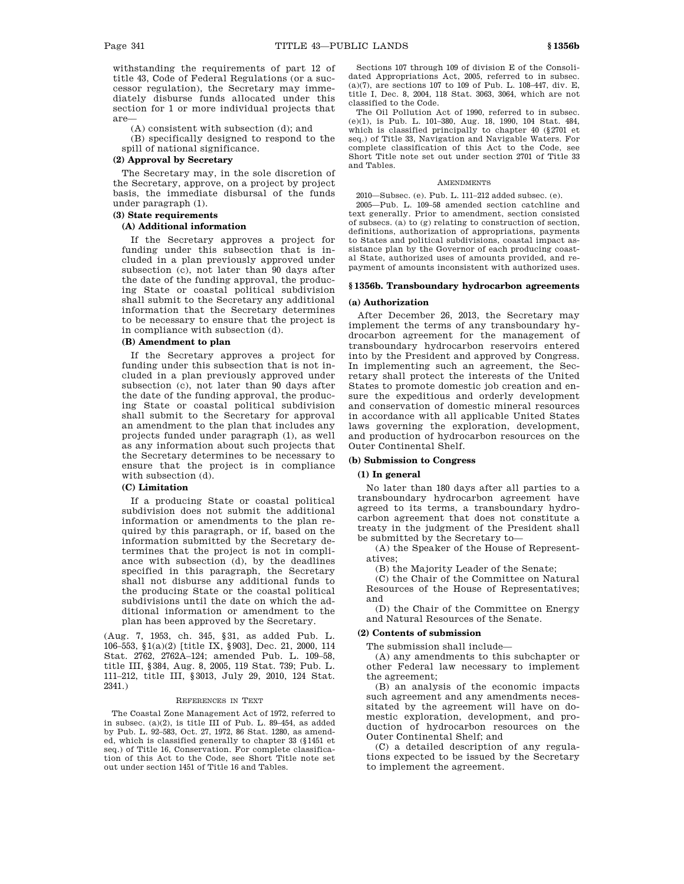withstanding the requirements of part 12 of title 43, Code of Federal Regulations (or a successor regulation), the Secretary may immediately disburse funds allocated under this section for 1 or more individual projects that are—

(A) consistent with subsection (d); and

(B) specifically designed to respond to the spill of national significance.

# **(2) Approval by Secretary**

The Secretary may, in the sole discretion of the Secretary, approve, on a project by project basis, the immediate disbursal of the funds under paragraph (1).

# **(3) State requirements**

# **(A) Additional information**

If the Secretary approves a project for funding under this subsection that is included in a plan previously approved under subsection (c), not later than 90 days after the date of the funding approval, the producing State or coastal political subdivision shall submit to the Secretary any additional information that the Secretary determines to be necessary to ensure that the project is in compliance with subsection (d).

# **(B) Amendment to plan**

If the Secretary approves a project for funding under this subsection that is not included in a plan previously approved under subsection (c), not later than 90 days after the date of the funding approval, the producing State or coastal political subdivision shall submit to the Secretary for approval an amendment to the plan that includes any projects funded under paragraph (1), as well as any information about such projects that the Secretary determines to be necessary to ensure that the project is in compliance with subsection (d).

#### **(C) Limitation**

If a producing State or coastal political subdivision does not submit the additional information or amendments to the plan required by this paragraph, or if, based on the information submitted by the Secretary determines that the project is not in compliance with subsection (d), by the deadlines specified in this paragraph, the Secretary shall not disburse any additional funds to the producing State or the coastal political subdivisions until the date on which the additional information or amendment to the plan has been approved by the Secretary.

(Aug. 7, 1953, ch. 345, §31, as added Pub. L. 106–553, §1(a)(2) [title IX, §903], Dec. 21, 2000, 114 Stat. 2762, 2762A–124; amended Pub. L. 109–58, title III, §384, Aug. 8, 2005, 119 Stat. 739; Pub. L. 111–212, title III, §3013, July 29, 2010, 124 Stat. 2341.)

#### REFERENCES IN TEXT

The Coastal Zone Management Act of 1972, referred to in subsec. (a)(2), is title III of Pub. L. 89–454, as added by Pub. L. 92–583, Oct. 27, 1972, 86 Stat. 1280, as amended, which is classified generally to chapter 33 (§1451 et seq.) of Title 16, Conservation. For complete classification of this Act to the Code, see Short Title note set out under section 1451 of Title 16 and Tables.

Sections 107 through 109 of division E of the Consolidated Appropriations Act, 2005, referred to in subsec. (a)(7), are sections 107 to 109 of Pub. L. 108–447, div. E, title I, Dec. 8, 2004, 118 Stat. 3063, 3064, which are not classified to the Code.

The Oil Pollution Act of 1990, referred to in subsec. (e)(1), is Pub. L. 101–380, Aug. 18, 1990, 104 Stat. 484, which is classified principally to chapter 40 (§2701 et seq.) of Title 33, Navigation and Navigable Waters. For complete classification of this Act to the Code, see Short Title note set out under section 2701 of Title 33 and Tables.

#### **AMENDMENTS**

2010—Subsec. (e). Pub. L. 111–212 added subsec. (e).

2005—Pub. L. 109–58 amended section catchline and text generally. Prior to amendment, section consisted of subsecs. (a) to (g) relating to construction of section, definitions, authorization of appropriations, payments to States and political subdivisions, coastal impact assistance plan by the Governor of each producing coastal State, authorized uses of amounts provided, and repayment of amounts inconsistent with authorized uses.

#### **§ 1356b. Transboundary hydrocarbon agreements**

#### **(a) Authorization**

After December 26, 2013, the Secretary may implement the terms of any transboundary hydrocarbon agreement for the management of transboundary hydrocarbon reservoirs entered into by the President and approved by Congress. In implementing such an agreement, the Secretary shall protect the interests of the United States to promote domestic job creation and ensure the expeditious and orderly development and conservation of domestic mineral resources in accordance with all applicable United States laws governing the exploration, development, and production of hydrocarbon resources on the Outer Continental Shelf.

# **(b) Submission to Congress**

# **(1) In general**

No later than 180 days after all parties to a transboundary hydrocarbon agreement have agreed to its terms, a transboundary hydrocarbon agreement that does not constitute a treaty in the judgment of the President shall be submitted by the Secretary to—

(A) the Speaker of the House of Representatives;

(B) the Majority Leader of the Senate;

(C) the Chair of the Committee on Natural Resources of the House of Representatives; and

(D) the Chair of the Committee on Energy and Natural Resources of the Senate.

#### **(2) Contents of submission**

The submission shall include—

(A) any amendments to this subchapter or other Federal law necessary to implement the agreement;

(B) an analysis of the economic impacts such agreement and any amendments necessitated by the agreement will have on domestic exploration, development, and production of hydrocarbon resources on the Outer Continental Shelf; and

(C) a detailed description of any regulations expected to be issued by the Secretary to implement the agreement.